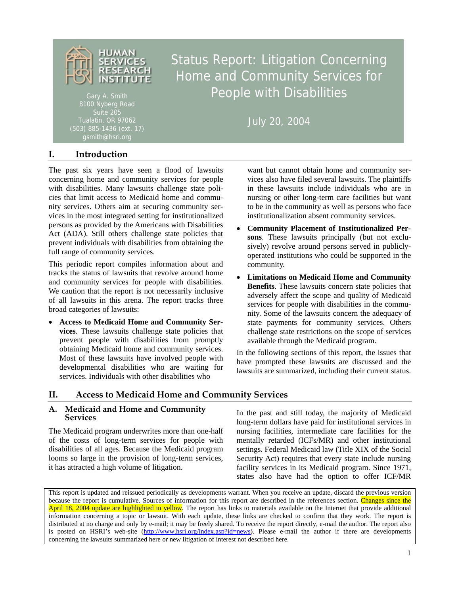

Gary A. Smith 8100 Nyberg Road Suite 205 gsmith@hsri.org

# Status Report: Litigation Concerning Home and Community Services for People with Disabilities

July 20, 2004

# **I. Introduction**

The past six years have seen a flood of lawsuits concerning home and community services for people with disabilities. Many lawsuits challenge state policies that limit access to Medicaid home and community services. Others aim at securing community services in the most integrated setting for institutionalized persons as provided by the Americans with Disabilities Act (ADA). Still others challenge state policies that prevent individuals with disabilities from obtaining the full range of community services.

This periodic report compiles information about and tracks the status of lawsuits that revolve around home and community services for people with disabilities. We caution that the report is not necessarily inclusive of all lawsuits in this arena. The report tracks three broad categories of lawsuits:

• **Access to Medicaid Home and Community Services**. These lawsuits challenge state policies that prevent people with disabilities from promptly obtaining Medicaid home and community services. Most of these lawsuits have involved people with developmental disabilities who are waiting for services. Individuals with other disabilities who

want but cannot obtain home and community services also have filed several lawsuits. The plaintiffs in these lawsuits include individuals who are in nursing or other long-term care facilities but want to be in the community as well as persons who face institutionalization absent community services.

- **Community Placement of Institutionalized Persons**. These lawsuits principally (but not exclusively) revolve around persons served in publiclyoperated institutions who could be supported in the community.
- **Limitations on Medicaid Home and Community Benefits**. These lawsuits concern state policies that adversely affect the scope and quality of Medicaid services for people with disabilities in the community. Some of the lawsuits concern the adequacy of state payments for community services. Others challenge state restrictions on the scope of services available through the Medicaid program.

In the following sections of this report, the issues that have prompted these lawsuits are discussed and the lawsuits are summarized, including their current status.

# **II. Access to Medicaid Home and Community Services**

## **A. Medicaid and Home and Community Services**

The Medicaid program underwrites more than one-half of the costs of long-term services for people with disabilities of all ages. Because the Medicaid program looms so large in the provision of long-term services, it has attracted a high volume of litigation.

In the past and still today, the majority of Medicaid long-term dollars have paid for institutional services in nursing facilities, intermediate care facilities for the mentally retarded (ICFs/MR) and other institutional settings. Federal Medicaid law (Title XIX of the Social Security Act) requires that every state include nursing facility services in its Medicaid program. Since 1971, states also have had the option to offer ICF/MR

This report is updated and reissued periodically as developments warrant. When you receive an update, discard the previous version because the report is cumulative. Sources of information for this report are described in the references section. Changes since the April 18, 2004 update are highlighted in yellow. The report has links to materials available on the Internet that provide additional information concerning a topic or lawsuit. With each update, these links are checked to confirm that they work. The report is distributed at no charge and only by e-mail; it may be freely shared. To receive the report directly, e-mail the author. The report also is posted on HSRI's web-site (http://www.hsri.org/index.asp?id=news). Please e-mail the author if there are developments concerning the lawsuits summarized here or new litigation of interest not described here.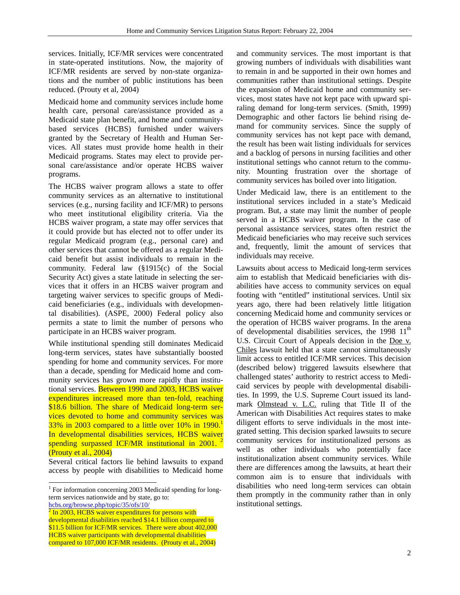services. Initially, ICF/MR services were concentrated in state-operated institutions. Now, the majority of ICF/MR residents are served by non-state organizations and the number of public institutions has been reduced. (Prouty et al, 2004)

Medicaid home and community services include home health care, personal care/assistance provided as a Medicaid state plan benefit, and home and communitybased services (HCBS) furnished under waivers granted by the Secretary of Health and Human Services. All states must provide home health in their Medicaid programs. States may elect to provide personal care/assistance and/or operate HCBS waiver programs.

The HCBS waiver program allows a state to offer community services as an alternative to institutional services (e.g., nursing facility and ICF/MR) to persons who meet institutional eligibility criteria. Via the HCBS waiver program, a state may offer services that it could provide but has elected not to offer under its regular Medicaid program (e.g., personal care) and other services that cannot be offered as a regular Medicaid benefit but assist individuals to remain in the community. Federal law (§1915(c) of the Social Security Act) gives a state latitude in selecting the services that it offers in an HCBS waiver program and targeting waiver services to specific groups of Medicaid beneficiaries (e.g., individuals with developmental disabilities). (ASPE, 2000) Federal policy also permits a state to limit the number of persons who participate in an HCBS waiver program.

While institutional spending still dominates Medicaid long-term services, states have substantially boosted spending for home and community services. For more than a decade, spending for Medicaid home and community services has grown more rapidly than institutional services. Between 1990 and 2003, HCBS waiver expenditures increased more than ten-fold, reaching \$18.6 billion. The share of Medicaid long-term services devoted to home and community services was  $33\%$  in 2003 compared to a little over 10% in 1990. In developmental disabilities services, HCBS waiver spending surpassed ICF/MR institutional in 2001. (Prouty et al., 2004)

Several critical factors lie behind lawsuits to expand access by people with disabilities to Medicaid home

hcbs.org/browse.php/topic/35/ofs/10/ 2

l

and community services. The most important is that growing numbers of individuals with disabilities want to remain in and be supported in their own homes and communities rather than institutional settings. Despite the expansion of Medicaid home and community services, most states have not kept pace with upward spiraling demand for long-term services. (Smith, 1999) Demographic and other factors lie behind rising demand for community services. Since the supply of community services has not kept pace with demand, the result has been wait listing individuals for services and a backlog of persons in nursing facilities and other institutional settings who cannot return to the community. Mounting frustration over the shortage of community services has boiled over into litigation.

Under Medicaid law, there is an entitlement to the institutional services included in a state's Medicaid program. But, a state may limit the number of people served in a HCBS waiver program. In the case of personal assistance services, states often restrict the Medicaid beneficiaries who may receive such services and, frequently, limit the amount of services that individuals may receive.

Lawsuits about access to Medicaid long-term services aim to establish that Medicaid beneficiaries with disabilities have access to community services on equal footing with "entitled" institutional services. Until six years ago, there had been relatively little litigation concerning Medicaid home and community services or the operation of HCBS waiver programs. In the arena of developmental disabilities services, the 1998  $11<sup>th</sup>$ U.S. Circuit Court of Appeals decision in the Doe v. Chiles lawsuit held that a state cannot simultaneously limit access to entitled ICF/MR services. This decision (described below) triggered lawsuits elsewhere that challenged states' authority to restrict access to Medicaid services by people with developmental disabilities. In 1999, the U.S. Supreme Court issued its landmark Olmstead v. L.C. ruling that Title II of the American with Disabilities Act requires states to make diligent efforts to serve individuals in the most integrated setting. This decision sparked lawsuits to secure community services for institutionalized persons as well as other individuals who potentially face institutionalization absent community services. While there are differences among the lawsuits, at heart their common aim is to ensure that individuals with disabilities who need long-term services can obtain them promptly in the community rather than in only institutional settings.

<sup>&</sup>lt;sup>1</sup> For information concerning 2003 Medicaid spending for longterm services nationwide and by state, go to:

In 2003, HCBS waiver expenditures for persons with developmental disabilities reached \$14.1 billion compared to \$11.5 billion for ICF/MR services. There were about 402,000 HCBS waiver participants with developmental disabilities compared to 107,000 ICF/MR residents. (Prouty et al., 2004)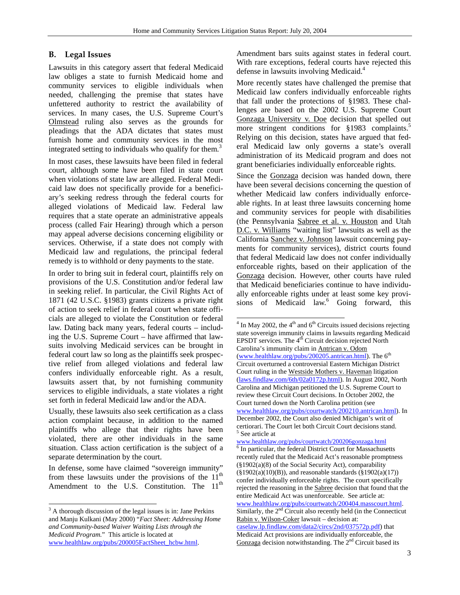$\overline{a}$ 

# **B. Legal Issues**

Lawsuits in this category assert that federal Medicaid law obliges a state to furnish Medicaid home and community services to eligible individuals when needed, challenging the premise that states have unfettered authority to restrict the availability of services. In many cases, the U.S. Supreme Court's Olmstead ruling also serves as the grounds for pleadings that the ADA dictates that states must furnish home and community services in the most integrated setting to individuals who qualify for them.<sup>3</sup>

In most cases, these lawsuits have been filed in federal court, although some have been filed in state court when violations of state law are alleged. Federal Medicaid law does not specifically provide for a beneficiary's seeking redress through the federal courts for alleged violations of Medicaid law. Federal law requires that a state operate an administrative appeals process (called Fair Hearing) through which a person may appeal adverse decisions concerning eligibility or services. Otherwise, if a state does not comply with Medicaid law and regulations, the principal federal remedy is to withhold or deny payments to the state.

In order to bring suit in federal court, plaintiffs rely on provisions of the U.S. Constitution and/or federal law in seeking relief. In particular, the Civil Rights Act of 1871 (42 U.S.C. §1983) grants citizens a private right of action to seek relief in federal court when state officials are alleged to violate the Constitution or federal law. Dating back many years, federal courts – including the U.S. Supreme Court – have affirmed that lawsuits involving Medicaid services can be brought in federal court law so long as the plaintiffs seek prospective relief from alleged violations and federal law confers individually enforceable right. As a result, lawsuits assert that, by not furnishing community services to eligible individuals, a state violates a right set forth in federal Medicaid law and/or the ADA.

Usually, these lawsuits also seek certification as a class action complaint because, in addition to the named plaintiffs who allege that their rights have been violated, there are other individuals in the same situation. Class action certification is the subject of a separate determination by the court.

In defense, some have claimed "sovereign immunity" from these lawsuits under the provisions of the  $11<sup>th</sup>$ Amendment to the U.S. Constitution. The  $11<sup>th</sup>$ 

l

Amendment bars suits against states in federal court. With rare exceptions, federal courts have rejected this defense in lawsuits involving Medicaid.<sup>4</sup>

More recently states have challenged the premise that Medicaid law confers individually enforceable rights that fall under the protections of §1983. These challenges are based on the 2002 U.S. Supreme Court Gonzaga University v. Doe decision that spelled out more stringent conditions for §1983 complaints.<sup>5</sup> Relying on this decision, states have argued that federal Medicaid law only governs a state's overall administration of its Medicaid program and does not grant beneficiaries individually enforceable rights.

Since the Gonzaga decision was handed down, there have been several decisions concerning the question of whether Medicaid law confers individually enforceable rights. In at least three lawsuits concerning home and community services for people with disabilities (the Pennsylvania Sabree et al. v. Houston and Utah D.C. v. Williams "waiting list" lawsuits as well as the California Sanchez v. Johnson lawsuit concerning payments for community services), district courts found that federal Medicaid law does not confer individually enforceable rights, based on their application of the Gonzaga decision. However, other courts have ruled that Medicaid beneficiaries continue to have individually enforceable rights under at least some key provisions of Medicaid law.<sup>6</sup> Going forward, this

 $3<sup>3</sup>$  A thorough discussion of the legal issues is in: Jane Perkins and Manju Kulkani (May 2000) "*Fact Sheet: Addressing Home and Community-based Waiver Waiting Lists through the Medicaid Program.*" This article is located at www.healthlaw.org/pubs/200005FactSheet\_hcbw.html.

 $4 \text{ In May } 2002$ , the  $4^{\text{th}}$  and  $6^{\text{th}}$  Circuits issued decisions rejecting state sovereign immunity claims in lawsuits regarding Medicaid EPSDT services. The 4<sup>th</sup> Circuit decision rejected North Carolina's immunity claim in Antrican v. Odom (www.healthlaw.org/pubs/200205.antrican.html). The  $6<sup>th</sup>$ Circuit overturned a controversial Eastern Michigan District Court ruling in the Westside Mothers v. Haveman litigation (laws.findlaw.com/6th/02a0172p.html). In August 2002, North Carolina and Michigan petitioned the U.S. Supreme Court to review these Circuit Court decisions. In October 2002, the Court turned down the North Carolina petition (see www.healthlaw.org/pubs/courtwatch/200210.antrican.html). In December 2002, the Court also denied Michigan's writ of certiorari. The Court let both Circuit Court decisions stand. 5 <sup>5</sup> See article at

www.healthlaw.org/pubs/courtwatch/200206gonzaga.html <sup>6</sup>  $6$  In particular, the federal District Court for Massachusetts recently ruled that the Medicaid Act's reasonable promptness (§1902(a)(8) of the Social Security Act), comparability  $(\S 1902(a)(10)(B))$ , and reasonable standards  $(\S 1902(a)(17))$ confer individually enforceable rights. The court specifically rejected the reasoning in the Sabree decision that found that the entire Medicaid Act was unenforceable. See article at: www.healthlaw.org/pubs/courtwatch/200404.masscourt.html. Similarly, the  $2<sup>nd</sup>$  Circuit also recently held (in the Connecticut Rabin v. Wilson-Coker lawsuit – decision at: caselaw.lp.findlaw.com/data2/circs/2nd/037572p.pdf) that Medicaid Act provisions are individually enforceable, the Gonzaga decision notwithstanding. The 2<sup>nd</sup> Circuit based its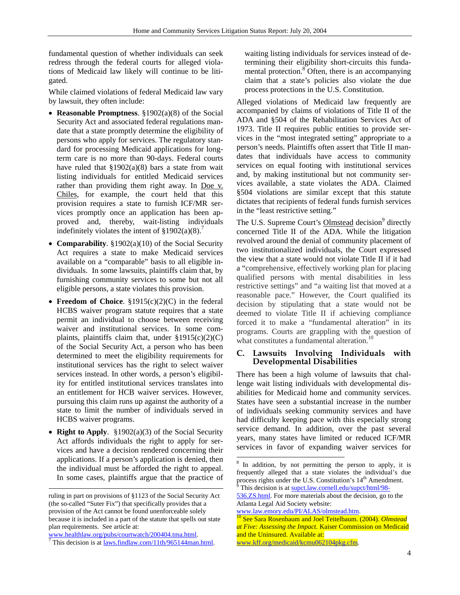fundamental question of whether individuals can seek redress through the federal courts for alleged violations of Medicaid law likely will continue to be litigated.

While claimed violations of federal Medicaid law vary by lawsuit, they often include:

- **Reasonable Promptness**. §1902(a)(8) of the Social Security Act and associated federal regulations mandate that a state promptly determine the eligibility of persons who apply for services. The regulatory standard for processing Medicaid applications for longterm care is no more than 90-days. Federal courts have ruled that  $\S 1902(a)(8)$  bars a state from wait listing individuals for entitled Medicaid services rather than providing them right away. In Doe v. Chiles, for example, the court held that this provision requires a state to furnish ICF/MR services promptly once an application has been approved and, thereby, wait-listing individuals indefinitely violates the intent of  $$1902(a)(8)$ .
- **Comparability**. §1902(a)(10) of the Social Security Act requires a state to make Medicaid services available on a "comparable" basis to all eligible individuals. In some lawsuits, plaintiffs claim that, by furnishing community services to some but not all eligible persons, a state violates this provision.
- **Freedom of Choice**. §1915(c)(2)(C) in the federal HCBS waiver program statute requires that a state permit an individual to choose between receiving waiver and institutional services. In some complaints, plaintiffs claim that, under  $\S 1915(c)(2)(C)$ of the Social Security Act, a person who has been determined to meet the eligibility requirements for institutional services has the right to select waiver services instead. In other words, a person's eligibility for entitled institutional services translates into an entitlement for HCB waiver services. However, pursuing this claim runs up against the authority of a state to limit the number of individuals served in HCBS waiver programs.
- **Right to Apply**. §1902(a)(3) of the Social Security Act affords individuals the right to apply for services and have a decision rendered concerning their applications. If a person's application is denied, then the individual must be afforded the right to appeal. In some cases, plaintiffs argue that the practice of

l

www.healthlaw.org/pubs/courtwatch/200404.tma.html.<br><sup>7</sup> This decision is at <u>laws.findlaw.com/11th/965144man.html</u>.

waiting listing individuals for services instead of determining their eligibility short-circuits this fundamental protection.<sup>8</sup> Often, there is an accompanying claim that a state's policies also violate the due process protections in the U.S. Constitution.

Alleged violations of Medicaid law frequently are accompanied by claims of violations of Title II of the ADA and §504 of the Rehabilitation Services Act of 1973. Title II requires public entities to provide services in the "most integrated setting" appropriate to a person's needs. Plaintiffs often assert that Title II mandates that individuals have access to community services on equal footing with institutional services and, by making institutional but not community services available, a state violates the ADA. Claimed §504 violations are similar except that this statute dictates that recipients of federal funds furnish services in the "least restrictive setting."

The U.S. Supreme Court's **Olmstead** decision<sup>9</sup> directly concerned Title II of the ADA. While the litigation revolved around the denial of community placement of two institutionalized individuals, the Court expressed the view that a state would not violate Title II if it had a "comprehensive, effectively working plan for placing qualified persons with mental disabilities in less restrictive settings" and "a waiting list that moved at a reasonable pace." However, the Court qualified its decision by stipulating that a state would not be deemed to violate Title II if achieving compliance forced it to make a "fundamental alteration" in its programs. Courts are grappling with the question of what constitutes a fundamental alteration.<sup>10</sup>

# **C. Lawsuits Involving Individuals with Developmental Disabilities**

There has been a high volume of lawsuits that challenge wait listing individuals with developmental disabilities for Medicaid home and community services. States have seen a substantial increase in the number of individuals seeking community services and have had difficulty keeping pace with this especially strong service demand. In addition, over the past several years, many states have limited or reduced ICF/MR services in favor of expanding waiver services for

ruling in part on provisions of §1123 of the Social Security Act (the so-called "Suter Fix") that specifically provides that a provision of the Act cannot be found unenforceable solely because it is included in a part of the statute that spells out state plan requirements. See article at:

<sup>8</sup> In addition, by not permitting the person to apply, it is frequently alleged that a state violates the individual's due process rights under the U.S. Constitution's 14<sup>th</sup> Amendment. This decision is at supct.law.cornell.edu/supct/html/98-

<sup>536.</sup>ZS.html. For more materials about the decision, go to the Atlanta Legal Aid Society website:

www.law.emory.edu/PI/ALAS/olmstead.htm. 10 See Sara Rosenbaum and Joel Teitelbaum. (2004). *Olmstead at Five: Assessing the Impact.* Kaiser Commission on Medicaid and the Uninsured. Available at:

www.kff.org/medicaid/kcmu062104pkg.cfm.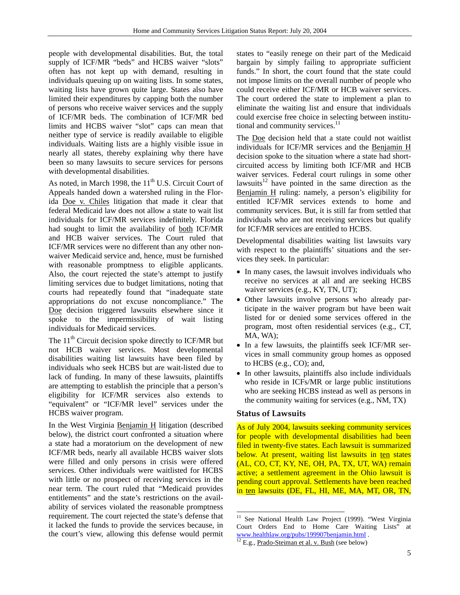people with developmental disabilities. But, the total supply of ICF/MR "beds" and HCBS waiver "slots" often has not kept up with demand, resulting in individuals queuing up on waiting lists. In some states, waiting lists have grown quite large. States also have limited their expenditures by capping both the number of persons who receive waiver services and the supply of ICF/MR beds. The combination of ICF/MR bed limits and HCBS waiver "slot" caps can mean that neither type of service is readily available to eligible individuals. Waiting lists are a highly visible issue in nearly all states, thereby explaining why there have been so many lawsuits to secure services for persons with developmental disabilities.

As noted, in March 1998, the  $11<sup>th</sup>$  U.S. Circuit Court of Appeals handed down a watershed ruling in the Florida Doe v. Chiles litigation that made it clear that federal Medicaid law does not allow a state to wait list individuals for ICF/MR services indefinitely. Florida had sought to limit the availability of both ICF/MR and HCB waiver services. The Court ruled that ICF/MR services were no different than any other nonwaiver Medicaid service and, hence, must be furnished with reasonable promptness to eligible applicants. Also, the court rejected the state's attempt to justify limiting services due to budget limitations, noting that courts had repeatedly found that "inadequate state appropriations do not excuse noncompliance." The Doe decision triggered lawsuits elsewhere since it spoke to the impermissibility of wait listing individuals for Medicaid services.

The 11<sup>th</sup> Circuit decision spoke directly to ICF/MR but not HCB waiver services. Most developmental disabilities waiting list lawsuits have been filed by individuals who seek HCBS but are wait-listed due to lack of funding. In many of these lawsuits, plaintiffs are attempting to establish the principle that a person's eligibility for ICF/MR services also extends to "equivalent" or "ICF/MR level" services under the HCBS waiver program.

In the West Virginia Benjamin H litigation (described below), the district court confronted a situation where a state had a moratorium on the development of new ICF/MR beds, nearly all available HCBS waiver slots were filled and only persons in crisis were offered services. Other individuals were waitlisted for HCBS with little or no prospect of receiving services in the near term. The court ruled that "Medicaid provides entitlements" and the state's restrictions on the availability of services violated the reasonable promptness requirement. The court rejected the state's defense that it lacked the funds to provide the services because, in the court's view, allowing this defense would permit states to "easily renege on their part of the Medicaid bargain by simply failing to appropriate sufficient funds." In short, the court found that the state could not impose limits on the overall number of people who could receive either ICF/MR or HCB waiver services. The court ordered the state to implement a plan to eliminate the waiting list and ensure that individuals could exercise free choice in selecting between institutional and community services.<sup>11</sup>

The Doe decision held that a state could not waitlist individuals for ICF/MR services and the Benjamin H decision spoke to the situation where a state had shortcircuited access by limiting both ICF/MR and HCB waiver services. Federal court rulings in some other lawsuits $12$  have pointed in the same direction as the Benjamin H ruling: namely, a person's eligibility for entitled ICF/MR services extends to home and community services. But, it is still far from settled that individuals who are not receiving services but qualify for ICF/MR services are entitled to HCBS.

Developmental disabilities waiting list lawsuits vary with respect to the plaintiffs' situations and the services they seek. In particular:

- In many cases, the lawsuit involves individuals who receive no services at all and are seeking HCBS waiver services (e.g., KY, TN, UT);
- Other lawsuits involve persons who already participate in the waiver program but have been wait listed for or denied some services offered in the program, most often residential services (e.g., CT, MA, WA);
- In a few lawsuits, the plaintiffs seek ICF/MR services in small community group homes as opposed to HCBS (e.g., CO); and,
- In other lawsuits, plaintiffs also include individuals who reside in ICFs/MR or large public institutions who are seeking HCBS instead as well as persons in the community waiting for services (e.g., NM, TX)

## **Status of Lawsuits**

As of July 2004, lawsuits seeking community services for people with developmental disabilities had been filed in twenty-five states. Each lawsuit is summarized below. At present, waiting list lawsuits in ten states (AL, CO, CT, KY, NE, OH, PA, TX, UT, WA) remain active; a settlement agreement in the Ohio lawsuit is pending court approval. Settlements have been reached in ten lawsuits (DE, FL, HI, ME, MA, MT, OR, TN,

 $\overline{a}$ <sup>11</sup> See National Health Law Project (1999). "West Virginia Court Orders End to Home Care Waiting Lists" at www.healthlaw.org/pubs/199907benjamin.html . 12 E.g., Prado-Steiman et al. v. Bush (see below)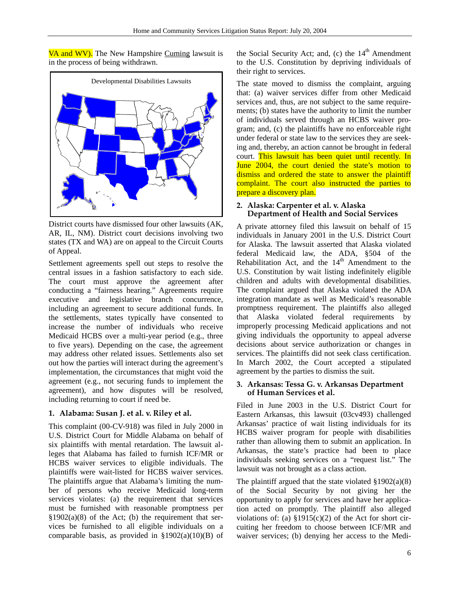VA and WV). The New Hampshire Cuming lawsuit is in the process of being withdrawn.



District courts have dismissed four other lawsuits (AK, AR, IL, NM). District court decisions involving two states (TX and WA) are on appeal to the Circuit Courts of Appeal.

Settlement agreements spell out steps to resolve the central issues in a fashion satisfactory to each side. The court must approve the agreement after conducting a "fairness hearing." Agreements require executive and legislative branch concurrence, including an agreement to secure additional funds. In the settlements, states typically have consented to increase the number of individuals who receive Medicaid HCBS over a multi-year period (e.g., three to five years). Depending on the case, the agreement may address other related issues. Settlements also set out how the parties will interact during the agreement's implementation, the circumstances that might void the agreement (e.g., not securing funds to implement the agreement), and how disputes will be resolved, including returning to court if need be.

# **1. Alabama: Susan J. et al. v. Riley et al.**

This complaint (00-CV-918) was filed in July 2000 in U.S. District Court for Middle Alabama on behalf of six plaintiffs with mental retardation. The lawsuit alleges that Alabama has failed to furnish ICF/MR or HCBS waiver services to eligible individuals. The plaintiffs were wait-listed for HCBS waiver services. The plaintiffs argue that Alabama's limiting the number of persons who receive Medicaid long-term services violates: (a) the requirement that services must be furnished with reasonable promptness per  $§1902(a)(8)$  of the Act; (b) the requirement that services be furnished to all eligible individuals on a comparable basis, as provided in  $\S 1902(a)(10)(B)$  of the Social Security Act; and, (c) the  $14<sup>th</sup>$  Amendment to the U.S. Constitution by depriving individuals of their right to services.

The state moved to dismiss the complaint, arguing that: (a) waiver services differ from other Medicaid services and, thus, are not subject to the same requirements; (b) states have the authority to limit the number of individuals served through an HCBS waiver program; and, (c) the plaintiffs have no enforceable right under federal or state law to the services they are seeking and, thereby, an action cannot be brought in federal court. This lawsuit has been quiet until recently. In June 2004, the court denied the state's motion to dismiss and ordered the state to answer the plaintiff complaint. The court also instructed the parties to prepare a discovery plan.

## **2. Alaska: Carpenter et al. v. Alaska Department of Health and Social Services**

A private attorney filed this lawsuit on behalf of 15 individuals in January 2001 in the U.S. District Court for Alaska. The lawsuit asserted that Alaska violated federal Medicaid law, the ADA, §504 of the Rehabilitation Act, and the  $14<sup>th</sup>$  Amendment to the U.S. Constitution by wait listing indefinitely eligible children and adults with developmental disabilities. The complaint argued that Alaska violated the ADA integration mandate as well as Medicaid's reasonable promptness requirement. The plaintiffs also alleged that Alaska violated federal requirements by improperly processing Medicaid applications and not giving individuals the opportunity to appeal adverse decisions about service authorization or changes in services. The plaintiffs did not seek class certification. In March 2002, the Court accepted a stipulated agreement by the parties to dismiss the suit.

#### **3. Arkansas: Tessa G. v. Arkansas Department of Human Services et al.**

Filed in June 2003 in the U.S. District Court for Eastern Arkansas, this lawsuit (03cv493) challenged Arkansas' practice of wait listing individuals for its HCBS waiver program for people with disabilities rather than allowing them to submit an application. In Arkansas, the state's practice had been to place individuals seeking services on a "request list." The lawsuit was not brought as a class action.

The plaintiff argued that the state violated  $\S 1902(a)(8)$ of the Social Security by not giving her the opportunity to apply for services and have her application acted on promptly. The plaintiff also alleged violations of: (a)  $\S 1915(c)(2)$  of the Act for short circuiting her freedom to choose between ICF/MR and waiver services; (b) denying her access to the Medi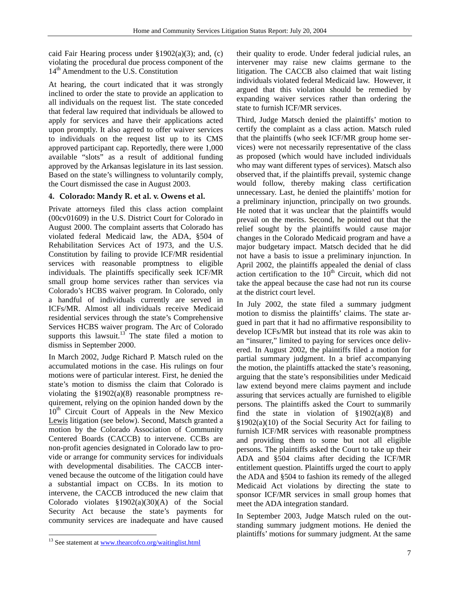caid Fair Hearing process under  $\S 1902(a)(3)$ ; and, (c) violating the procedural due process component of the 14<sup>th</sup> Amendment to the U.S. Constitution

At hearing, the court indicated that it was strongly inclined to order the state to provide an application to all individuals on the request list. The state conceded that federal law required that individuals be allowed to apply for services and have their applications acted upon promptly. It also agreed to offer waiver services to individuals on the request list up to its CMS approved participant cap. Reportedly, there were 1,000 available "slots" as a result of additional funding approved by the Arkansas legislature in its last session. Based on the state's willingness to voluntarily comply, the Court dismissed the case in August 2003.

# **4. Colorado: Mandy R. et al. v. Owens et al.**

Private attorneys filed this class action complaint (00cv01609) in the U.S. District Court for Colorado in August 2000. The complaint asserts that Colorado has violated federal Medicaid law, the ADA, §504 of Rehabilitation Services Act of 1973, and the U.S. Constitution by failing to provide ICF/MR residential services with reasonable promptness to eligible individuals. The plaintiffs specifically seek ICF/MR small group home services rather than services via Colorado's HCBS waiver program. In Colorado, only a handful of individuals currently are served in ICFs/MR. Almost all individuals receive Medicaid residential services through the state's Comprehensive Services HCBS waiver program. The Arc of Colorado supports this lawsuit.<sup>13</sup> The state filed a motion to dismiss in September 2000.

In March 2002, Judge Richard P. Matsch ruled on the accumulated motions in the case. His rulings on four motions were of particular interest. First, he denied the state's motion to dismiss the claim that Colorado is violating the  $$1902(a)(8)$  reasonable promptness requirement, relying on the opinion handed down by the 10<sup>th</sup> Circuit Court of Appeals in the New Mexico Lewis litigation (see below). Second, Matsch granted a motion by the Colorado Association of Community Centered Boards (CACCB) to intervene. CCBs are non-profit agencies designated in Colorado law to provide or arrange for community services for individuals with developmental disabilities. The CACCB intervened because the outcome of the litigation could have a substantial impact on CCBs. In its motion to intervene, the CACCB introduced the new claim that Colorado violates §1902(a)(30)(A) of the Social Security Act because the state's payments for community services are inadequate and have caused

their quality to erode. Under federal judicial rules, an intervener may raise new claims germane to the litigation. The CACCB also claimed that wait listing individuals violated federal Medicaid law. However, it argued that this violation should be remedied by expanding waiver services rather than ordering the state to furnish ICF/MR services.

Third, Judge Matsch denied the plaintiffs' motion to certify the complaint as a class action. Matsch ruled that the plaintiffs (who seek ICF/MR group home services) were not necessarily representative of the class as proposed (which would have included individuals who may want different types of services). Matsch also observed that, if the plaintiffs prevail, systemic change would follow, thereby making class certification unnecessary. Last, he denied the plaintiffs' motion for a preliminary injunction, principally on two grounds. He noted that it was unclear that the plaintiffs would prevail on the merits. Second, he pointed out that the relief sought by the plaintiffs would cause major changes in the Colorado Medicaid program and have a major budgetary impact. Matsch decided that he did not have a basis to issue a preliminary injunction. In April 2002, the plaintiffs appealed the denial of class action certification to the  $10<sup>th</sup>$  Circuit, which did not take the appeal because the case had not run its course at the district court level.

In July 2002, the state filed a summary judgment motion to dismiss the plaintiffs' claims. The state argued in part that it had no affirmative responsibility to develop ICFs/MR but instead that its role was akin to an "insurer," limited to paying for services once delivered. In August 2002, the plaintiffs filed a motion for partial summary judgment. In a brief accompanying the motion, the plaintiffs attacked the state's reasoning, arguing that the state's responsibilities under Medicaid law extend beyond mere claims payment and include assuring that services actually are furnished to eligible persons. The plaintiffs asked the Court to summarily find the state in violation of  $\S 1902(a)(8)$  and §1902(a)(10) of the Social Security Act for failing to furnish ICF/MR services with reasonable promptness and providing them to some but not all eligible persons. The plaintiffs asked the Court to take up their ADA and §504 claims after deciding the ICF/MR entitlement question. Plaintiffs urged the court to apply the ADA and §504 to fashion its remedy of the alleged Medicaid Act violations by directing the state to sponsor ICF/MR services in small group homes that meet the ADA integration standard.

In September 2003, Judge Matsch ruled on the outstanding summary judgment motions. He denied the plaintiffs' motions for summary judgment. At the same

l <sup>13</sup> See statement at www.thearcofco.org/waitinglist.html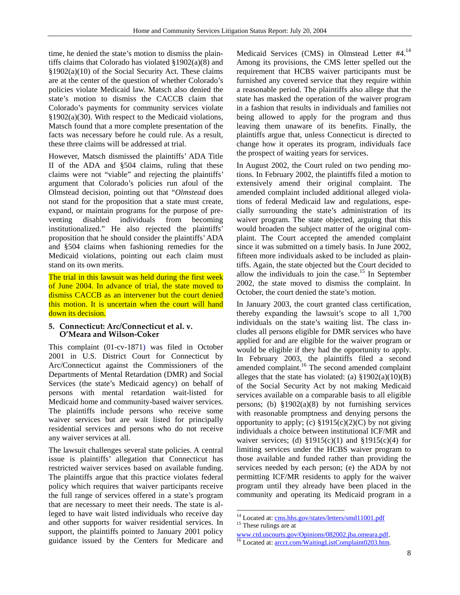time, he denied the state's motion to dismiss the plaintiffs claims that Colorado has violated §1902(a)(8) and §1902(a)(10) of the Social Security Act. These claims are at the center of the question of whether Colorado's policies violate Medicaid law. Matsch also denied the state's motion to dismiss the CACCB claim that Colorado's payments for community services violate §1902(a)(30). With respect to the Medicaid violations, Matsch found that a more complete presentation of the facts was necessary before he could rule. As a result, these three claims will be addressed at trial.

However, Matsch dismissed the plaintiffs' ADA Title II of the ADA and §504 claims, ruling that these claims were not "viable" and rejecting the plaintiffs' argument that Colorado's policies run afoul of the Olmstead decision, pointing out that "*Olmstead* does not stand for the proposition that a state must create, expand, or maintain programs for the purpose of preventing disabled individuals from becoming institutionalized." He also rejected the plaintiffs' proposition that he should consider the plaintiffs' ADA and §504 claims when fashioning remedies for the Medicaid violations, pointing out each claim must stand on its own merits.

The trial in this lawsuit was held during the first week of June 2004. In advance of trial, the state moved to dismiss CACCB as an intervener but the court denied this motion. It is uncertain when the court will hand down its decision.

#### **5. Connecticut: Arc/Connecticut et al. v. O'Meara and Wilson-Coker**

This complaint (01-cv-1871) was filed in October 2001 in U.S. District Court for Connecticut by Arc/Connecticut against the Commissioners of the Departments of Mental Retardation (DMR) and Social Services (the state's Medicaid agency) on behalf of persons with mental retardation wait-listed for Medicaid home and community-based waiver services. The plaintiffs include persons who receive some waiver services but are wait listed for principally residential services and persons who do not receive any waiver services at all.

The lawsuit challenges several state policies. A central issue is plaintiffs' allegation that Connecticut has restricted waiver services based on available funding. The plaintiffs argue that this practice violates federal policy which requires that waiver participants receive the full range of services offered in a state's program that are necessary to meet their needs. The state is alleged to have wait listed individuals who receive day and other supports for waiver residential services. In support, the plaintiffs pointed to January 2001 policy guidance issued by the Centers for Medicare and Medicaid Services (CMS) in Olmstead Letter #4.14 Among its provisions, the CMS letter spelled out the requirement that HCBS waiver participants must be furnished any covered service that they require within a reasonable period. The plaintiffs also allege that the state has masked the operation of the waiver program in a fashion that results in individuals and families not being allowed to apply for the program and thus leaving them unaware of its benefits. Finally, the plaintiffs argue that, unless Connecticut is directed to change how it operates its program, individuals face the prospect of waiting years for services.

In August 2002, the Court ruled on two pending motions. In February 2002, the plaintiffs filed a motion to extensively amend their original complaint. The amended complaint included additional alleged violations of federal Medicaid law and regulations, especially surrounding the state's administration of its waiver program. The state objected, arguing that this would broaden the subject matter of the original complaint. The Court accepted the amended complaint since it was submitted on a timely basis. In June 2002, fifteen more individuals asked to be included as plaintiffs. Again, the state objected but the Court decided to allow the individuals to join the case.<sup>15</sup> In September 2002, the state moved to dismiss the complaint. In October, the court denied the state's motion.

In January 2003, the court granted class certification, thereby expanding the lawsuit's scope to all 1,700 individuals on the state's waiting list. The class includes all persons eligible for DMR services who have applied for and are eligible for the waiver program or would be eligible if they had the opportunity to apply. In February 2003, the plaintiffs filed a second amended complaint.<sup>16</sup> The second amended complaint alleges that the state has violated: (a)  $\S 1902(a)(10)(B)$ of the Social Security Act by not making Medicaid services available on a comparable basis to all eligible persons; (b)  $\S 1902(a)(8)$  by not furnishing services with reasonable promptness and denying persons the opportunity to apply; (c)  $\S1915(c)(2)(C)$  by not giving individuals a choice between institutional ICF/MR and waiver services; (d)  $\S 1915(c)(1)$  and  $\S 1915(c)(4)$  for limiting services under the HCBS waiver program to those available and funded rather than providing the services needed by each person; (e) the ADA by not permitting ICF/MR residents to apply for the waiver program until they already have been placed in the community and operating its Medicaid program in a

<sup>&</sup>lt;sup>14</sup> Located at: <u>cms.hhs.gov/states/letters/smd11001.pdf</u><br><sup>15</sup> These rulings are at

www.ctd.uscourts.gov/Opinions/082002.jba.omeara.pdf. 16 Located at: arcct.com/WaitingListComplaint0203.htm.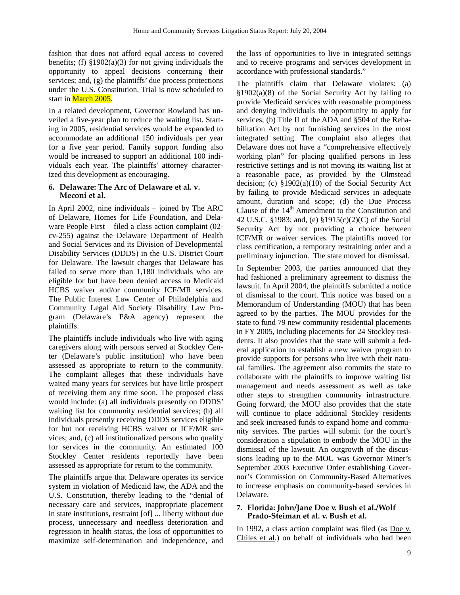fashion that does not afford equal access to covered benefits; (f)  $\S 1902(a)(3)$  for not giving individuals the opportunity to appeal decisions concerning their services; and, (g) the plaintiffs' due process protections under the U.S. Constitution. Trial is now scheduled to start in <mark>March 2005</mark>.

In a related development, Governor Rowland has unveiled a five-year plan to reduce the waiting list. Starting in 2005, residential services would be expanded to accommodate an additional 150 individuals per year for a five year period. Family support funding also would be increased to support an additional 100 individuals each year. The plaintiffs' attorney characterized this development as encouraging.

## **6. Delaware: The Arc of Delaware et al. v. Meconi et al.**

In April 2002, nine individuals – joined by The ARC of Delaware, Homes for Life Foundation, and Delaware People First – filed a class action complaint (02 cv-255) against the Delaware Department of Health and Social Services and its Division of Developmental Disability Services (DDDS) in the U.S. District Court for Delaware. The lawsuit charges that Delaware has failed to serve more than 1,180 individuals who are eligible for but have been denied access to Medicaid HCBS waiver and/or community ICF/MR services. The Public Interest Law Center of Philadelphia and Community Legal Aid Society Disability Law Program (Delaware's P&A agency) represent the plaintiffs.

The plaintiffs include individuals who live with aging caregivers along with persons served at Stockley Center (Delaware's public institution) who have been assessed as appropriate to return to the community. The complaint alleges that these individuals have waited many years for services but have little prospect of receiving them any time soon. The proposed class would include: (a) all individuals presently on DDDS' waiting list for community residential services; (b) all individuals presently receiving DDDS services eligible for but not receiving HCBS waiver or ICF/MR services; and, (c) all institutionalized persons who qualify for services in the community. An estimated 100 Stockley Center residents reportedly have been assessed as appropriate for return to the community.

The plaintiffs argue that Delaware operates its service system in violation of Medicaid law, the ADA and the U.S. Constitution, thereby leading to the "denial of necessary care and services, inappropriate placement in state institutions, restraint [of] ... liberty without due process, unnecessary and needless deterioration and regression in health status, the loss of opportunities to maximize self-determination and independence, and the loss of opportunities to live in integrated settings and to receive programs and services development in accordance with professional standards."

The plaintiffs claim that Delaware violates: (a) §1902(a)(8) of the Social Security Act by failing to provide Medicaid services with reasonable promptness and denying individuals the opportunity to apply for services; (b) Title II of the ADA and §504 of the Rehabilitation Act by not furnishing services in the most integrated setting. The complaint also alleges that Delaware does not have a "comprehensive effectively working plan" for placing qualified persons in less restrictive settings and is not moving its waiting list at a reasonable pace, as provided by the Olmstead decision; (c) §1902(a)(10) of the Social Security Act by failing to provide Medicaid services in adequate amount, duration and scope; (d) the Due Process Clause of the  $14<sup>th</sup>$  Amendment to the Constitution and 42 U.S.C. §1983; and, (e) §1915(c)(2)(C) of the Social Security Act by not providing a choice between ICF/MR or waiver services. The plaintiffs moved for class certification, a temporary restraining order and a preliminary injunction. The state moved for dismissal.

In September 2003, the parties announced that they had fashioned a preliminary agreement to dismiss the lawsuit. In April 2004, the plaintiffs submitted a notice of dismissal to the court. This notice was based on a Memorandum of Understanding (MOU) that has been agreed to by the parties. The MOU provides for the state to fund 79 new community residential placements in FY 2005, including placements for 24 Stockley residents. It also provides that the state will submit a federal application to establish a new waiver program to provide supports for persons who live with their natural families. The agreement also commits the state to collaborate with the plaintiffs to improve waiting list management and needs assessment as well as take other steps to strengthen community infrastructure. Going forward, the MOU also provides that the state will continue to place additional Stockley residents and seek increased funds to expand home and community services. The parties will submit for the court's consideration a stipulation to embody the MOU in the dismissal of the lawsuit. An outgrowth of the discussions leading up to the MOU was Governor Miner's September 2003 Executive Order establishing Governor's Commission on Community-Based Alternatives to increase emphasis on community-based services in Delaware.

## **7. Florida: John/Jane Doe v. Bush et al./Wolf Prado-Steiman et al. v. Bush et al.**

In 1992, a class action complaint was filed (as Doe v. Chiles et al.) on behalf of individuals who had been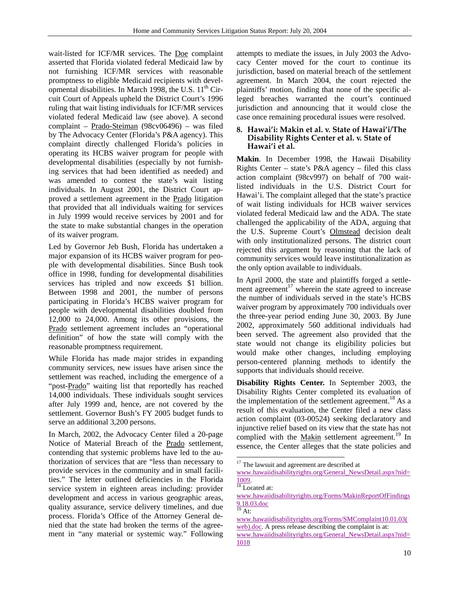wait-listed for ICF/MR services. The Doe complaint asserted that Florida violated federal Medicaid law by not furnishing ICF/MR services with reasonable promptness to eligible Medicaid recipients with developmental disabilities. In March 1998, the U.S.  $11<sup>th</sup>$  Circuit Court of Appeals upheld the District Court's 1996 ruling that wait listing individuals for ICF/MR services violated federal Medicaid law (see above). A second complaint – Prado-Steiman (98cv06496) – was filed by The Advocacy Center (Florida's P&A agency). This complaint directly challenged Florida's policies in operating its HCBS waiver program for people with developmental disabilities (especially by not furnishing services that had been identified as needed) and was amended to contest the state's wait listing individuals. In August 2001, the District Court approved a settlement agreement in the Prado litigation that provided that all individuals waiting for services in July 1999 would receive services by 2001 and for the state to make substantial changes in the operation of its waiver program.

Led by Governor Jeb Bush, Florida has undertaken a major expansion of its HCBS waiver program for people with developmental disabilities. Since Bush took office in 1998, funding for developmental disabilities services has tripled and now exceeds \$1 billion. Between 1998 and 2001, the number of persons participating in Florida's HCBS waiver program for people with developmental disabilities doubled from 12,000 to 24,000. Among its other provisions, the Prado settlement agreement includes an "operational definition" of how the state will comply with the reasonable promptness requirement.

While Florida has made major strides in expanding community services, new issues have arisen since the settlement was reached, including the emergence of a "post-Prado" waiting list that reportedly has reached 14,000 individuals. These individuals sought services after July 1999 and, hence, are not covered by the settlement. Governor Bush's FY 2005 budget funds to serve an additional 3,200 persons.

In March, 2002, the Advocacy Center filed a 20-page Notice of Material Breach of the Prado settlement, contending that systemic problems have led to the authorization of services that are "less than necessary to provide services in the community and in small facilities." The letter outlined deficiencies in the Florida service system in eighteen areas including: provider development and access in various geographic areas, quality assurance, service delivery timelines, and due process. Florida's Office of the Attorney General denied that the state had broken the terms of the agreement in "any material or systemic way." Following

attempts to mediate the issues, in July 2003 the Advocacy Center moved for the court to continue its jurisdiction, based on material breach of the settlement agreement. In March 2004, the court rejected the plaintiffs' motion, finding that none of the specific alleged breaches warranted the court's continued jurisdiction and announcing that it would close the case once remaining procedural issues were resolved.

## **8. Hawai'i: Makin et al. v. State of Hawai'i/The Disability Rights Center et al. v. State of Hawai'i et al.**

**Makin**. In December 1998, the Hawaii Disability Rights Center – state's P&A agency – filed this class action complaint (98cv997) on behalf of 700 waitlisted individuals in the U.S. District Court for Hawai'i. The complaint alleged that the state's practice of wait listing individuals for HCB waiver services violated federal Medicaid law and the ADA. The state challenged the applicability of the ADA, arguing that the U.S. Supreme Court's Olmstead decision dealt with only institutionalized persons. The district court rejected this argument by reasoning that the lack of community services would leave institutionalization as the only option available to individuals.

In April 2000, the state and plaintiffs forged a settlement agreement $17$  wherein the state agreed to increase the number of individuals served in the state's HCBS waiver program by approximately 700 individuals over the three-year period ending June 30, 2003. By June 2002, approximately 560 additional individuals had been served. The agreement also provided that the state would not change its eligibility policies but would make other changes, including employing person-centered planning methods to identify the supports that individuals should receive.

**Disability Rights Center.** In September 2003, the Disability Rights Center completed its evaluation of the implementation of the settlement agreement.<sup>18</sup> As a result of this evaluation, the Center filed a new class action complaint (03-00524) seeking declaratory and injunctive relief based on its view that the state has not complied with the Makin settlement agreement.<sup>19</sup> In essence, the Center alleges that the state policies and

<sup>&</sup>lt;sup>17</sup> The lawsuit and agreement are described at

www.hawaiidisabilityrights.org/General\_NewsDetail.aspx?nid=  $\frac{1009}{18}$  Located at:

www.hawaiidisabilityrights.org/Forms/MakinReportOfFindings  $\frac{9.18.03 \text{.doc}}{19 \text{ At:}}$ 

www.hawaiidisabilityrights.org/Forms/SMComplaint10.01.03( web).doc. A press release describing the complaint is at:

www.hawaiidisabilityrights.org/General\_NewsDetail.aspx?nid= 1018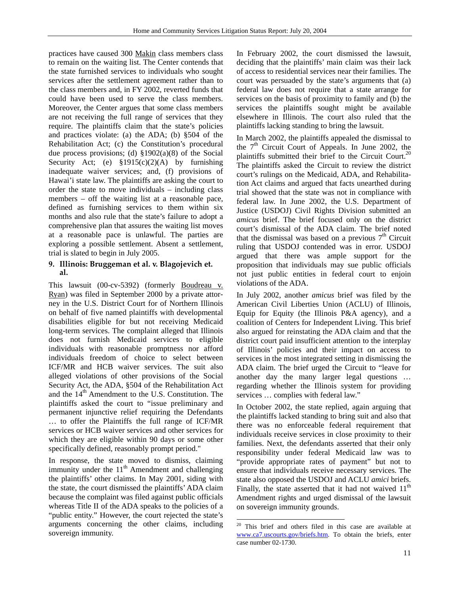practices have caused 300 Makin class members class to remain on the waiting list. The Center contends that the state furnished services to individuals who sought services after the settlement agreement rather than to the class members and, in FY 2002, reverted funds that could have been used to serve the class members. Moreover, the Center argues that some class members are not receiving the full range of services that they require. The plaintiffs claim that the state's policies and practices violate: (a) the ADA; (b) §504 of the Rehabilitation Act; (c) the Constitution's procedural due process provisions; (d) §1902(a)(8) of the Social Security Act; (e)  $$1915(c)(2)(A)$  by furnishing inadequate waiver services; and, (f) provisions of Hawai'i state law. The plaintiffs are asking the court to order the state to move individuals – including class members – off the waiting list at a reasonable pace, defined as furnishing services to them within six months and also rule that the state's failure to adopt a comprehensive plan that assures the waiting list moves at a reasonable pace is unlawful. The parties are exploring a possible settlement. Absent a settlement, trial is slated to begin in July 2005.

# **9. Illinois: Bruggeman et al. v. Blagojevich et. al.**

This lawsuit (00-cv-5392) (formerly Boudreau v. Ryan) was filed in September 2000 by a private attorney in the U.S. District Court for of Northern Illinois on behalf of five named plaintiffs with developmental disabilities eligible for but not receiving Medicaid long-term services. The complaint alleged that Illinois does not furnish Medicaid services to eligible individuals with reasonable promptness nor afford individuals freedom of choice to select between ICF/MR and HCB waiver services. The suit also alleged violations of other provisions of the Social Security Act, the ADA, §504 of the Rehabilitation Act and the  $14<sup>th</sup>$  Amendment to the U.S. Constitution. The plaintiffs asked the court to "issue preliminary and permanent injunctive relief requiring the Defendants … to offer the Plaintiffs the full range of ICF/MR services or HCB waiver services and other services for which they are eligible within 90 days or some other specifically defined, reasonably prompt period."

In response, the state moved to dismiss, claiming immunity under the  $11<sup>th</sup>$  Amendment and challenging the plaintiffs' other claims. In May 2001, siding with the state, the court dismissed the plaintiffs' ADA claim because the complaint was filed against public officials whereas Title II of the ADA speaks to the policies of a "public entity." However, the court rejected the state's arguments concerning the other claims, including sovereign immunity.

In February 2002, the court dismissed the lawsuit, deciding that the plaintiffs' main claim was their lack of access to residential services near their families. The court was persuaded by the state's arguments that (a) federal law does not require that a state arrange for services on the basis of proximity to family and (b) the services the plaintiffs sought might be available elsewhere in Illinois. The court also ruled that the plaintiffs lacking standing to bring the lawsuit.

In March 2002, the plaintiffs appealed the dismissal to the  $7<sup>th</sup>$  Circuit Court of Appeals. In June 2002, the plaintiffs submitted their brief to the Circuit Court.<sup>20</sup> The plaintiffs asked the Circuit to review the district court's rulings on the Medicaid, ADA, and Rehabilitation Act claims and argued that facts unearthed during trial showed that the state was not in compliance with federal law. In June 2002, the U.S. Department of Justice (USDOJ) Civil Rights Division submitted an *amicus* brief. The brief focused only on the district court's dismissal of the ADA claim. The brief noted that the dismissal was based on a previous  $7<sup>th</sup>$  Circuit ruling that USDOJ contended was in error. USDOJ argued that there was ample support for the proposition that individuals may sue public officials not just public entities in federal court to enjoin violations of the ADA.

In July 2002, another *amicus* brief was filed by the American Civil Liberties Union (ACLU) of Illinois, Equip for Equity (the Illinois P&A agency), and a coalition of Centers for Independent Living. This brief also argued for reinstating the ADA claim and that the district court paid insufficient attention to the interplay of Illinois' policies and their impact on access to services in the most integrated setting in dismissing the ADA claim. The brief urged the Circuit to "leave for another day the many larger legal questions … regarding whether the Illinois system for providing services … complies with federal law."

In October 2002, the state replied, again arguing that the plaintiffs lacked standing to bring suit and also that there was no enforceable federal requirement that individuals receive services in close proximity to their families. Next, the defendants asserted that their only responsibility under federal Medicaid law was to "provide appropriate rates of payment" but not to ensure that individuals receive necessary services. The state also opposed the USDOJ and ACLU *amici* briefs. Finally, the state asserted that it had not waived  $11<sup>th</sup>$ Amendment rights and urged dismissal of the lawsuit on sovereign immunity grounds.

 $\overline{a}$ <sup>20</sup> This brief and others filed in this case are available at www.ca7.uscourts.gov/briefs.htm. To obtain the briefs, enter case number 02-1730.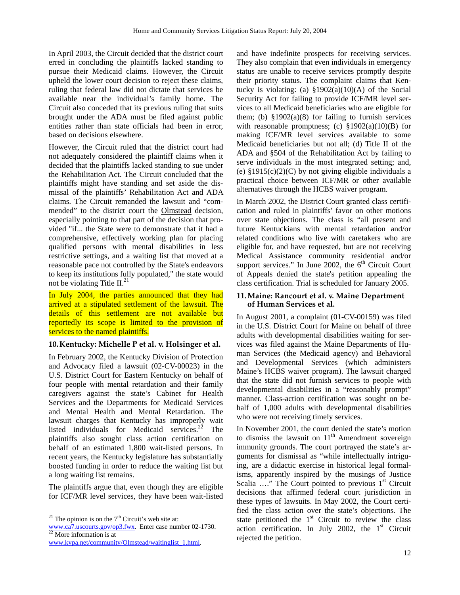In April 2003, the Circuit decided that the district court erred in concluding the plaintiffs lacked standing to pursue their Medicaid claims. However, the Circuit upheld the lower court decision to reject these claims, ruling that federal law did not dictate that services be available near the individual's family home. The Circuit also conceded that its previous ruling that suits brought under the ADA must be filed against public entities rather than state officials had been in error, based on decisions elsewhere.

However, the Circuit ruled that the district court had not adequately considered the plaintiff claims when it decided that the plaintiffs lacked standing to sue under the Rehabilitation Act. The Circuit concluded that the plaintiffs might have standing and set aside the dismissal of the plaintiffs' Rehabilitation Act and ADA claims. The Circuit remanded the lawsuit and "commended" to the district court the Olmstead decision, especially pointing to that part of the decision that provided "if... the State were to demonstrate that it had a comprehensive, effectively working plan for placing qualified persons with mental disabilities in less restrictive settings, and a waiting list that moved at a reasonable pace not controlled by the State's endeavors to keep its institutions fully populated," the state would not be violating Title  $II.^{21}$ 

In July 2004, the parties announced that they had arrived at a stipulated settlement of the lawsuit. The details of this settlement are not available but reportedly its scope is limited to the provision of services to the named plaintiffs.

## **10.Kentucky: Michelle P et al. v. Holsinger et al.**

In February 2002, the Kentucky Division of Protection and Advocacy filed a lawsuit (02-CV-00023) in the U.S. District Court for Eastern Kentucky on behalf of four people with mental retardation and their family caregivers against the state's Cabinet for Health Services and the Departments for Medicaid Services and Mental Health and Mental Retardation. The lawsuit charges that Kentucky has improperly wait listed individuals for Medicaid services.<sup>22</sup> The plaintiffs also sought class action certification on behalf of an estimated 1,800 wait-listed persons. In recent years, the Kentucky legislature has substantially boosted funding in order to reduce the waiting list but a long waiting list remains.

The plaintiffs argue that, even though they are eligible for ICF/MR level services, they have been wait-listed

l

and have indefinite prospects for receiving services. They also complain that even individuals in emergency status are unable to receive services promptly despite their priority status. The complaint claims that Kentucky is violating: (a)  $\S 1902(a)(10)(A)$  of the Social Security Act for failing to provide ICF/MR level services to all Medicaid beneficiaries who are eligible for them; (b)  $$1902(a)(8)$  for failing to furnish services with reasonable promptness; (c)  $\S 1902(a)(10)(B)$  for making ICF/MR level services available to some Medicaid beneficiaries but not all; (d) Title II of the ADA and §504 of the Rehabilitation Act by failing to serve individuals in the most integrated setting; and, (e)  $$1915(c)(2)(C)$  by not giving eligible individuals a practical choice between ICF/MR or other available alternatives through the HCBS waiver program.

In March 2002, the District Court granted class certification and ruled in plaintiffs' favor on other motions over state objections. The class is "all present and future Kentuckians with mental retardation and/or related conditions who live with caretakers who are eligible for, and have requested, but are not receiving Medical Assistance community residential and/or support services." In June 2002, the  $6<sup>th</sup>$  Circuit Court of Appeals denied the state's petition appealing the class certification. Trial is scheduled for January 2005.

#### **11.Maine: Rancourt et al. v. Maine Department of Human Services et al.**

In August 2001, a complaint (01-CV-00159) was filed in the U.S. District Court for Maine on behalf of three adults with developmental disabilities waiting for services was filed against the Maine Departments of Human Services (the Medicaid agency) and Behavioral and Developmental Services (which administers Maine's HCBS waiver program). The lawsuit charged that the state did not furnish services to people with developmental disabilities in a "reasonably prompt" manner. Class-action certification was sought on behalf of 1,000 adults with developmental disabilities who were not receiving timely services.

In November 2001, the court denied the state's motion to dismiss the lawsuit on  $11<sup>th</sup>$  Amendment sovereign immunity grounds. The court portrayed the state's arguments for dismissal as "while intellectually intriguing, are a didactic exercise in historical legal formalisms, apparently inspired by the musings of Justice Scalia  $\ldots$ " The Court pointed to previous  $1<sup>st</sup>$  Circuit decisions that affirmed federal court jurisdiction in these types of lawsuits. In May 2002, the Court certified the class action over the state's objections. The state petitioned the  $1<sup>st</sup>$  Circuit to review the class action certification. In July 2002, the  $1<sup>st</sup>$  Circuit rejected the petition.

<sup>&</sup>lt;sup>21</sup> The opinion is on the  $7<sup>th</sup>$  Circuit's web site at:

www.ca7.uscourts.gov/op3.fwx. Enter case number 02-1730.<br><sup>22</sup> More information is at

www.kypa.net/community/Olmstead/waitinglist\_1.html.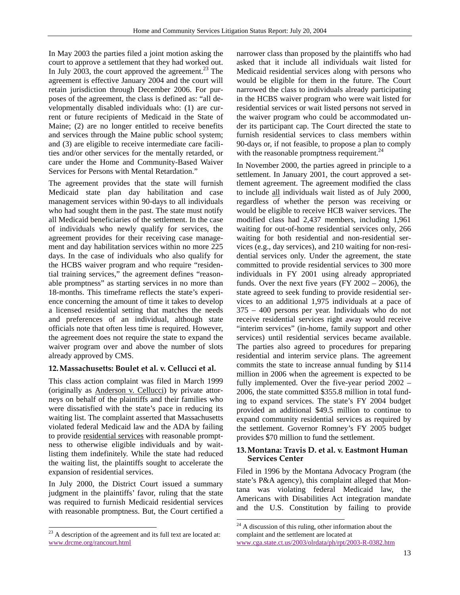In May 2003 the parties filed a joint motion asking the court to approve a settlement that they had worked out. In July 2003, the court approved the agreement.<sup>23</sup> The agreement is effective January 2004 and the court will retain jurisdiction through December 2006. For purposes of the agreement, the class is defined as: "all developmentally disabled individuals who: (1) are current or future recipients of Medicaid in the State of Maine; (2) are no longer entitled to receive benefits and services through the Maine public school system; and (3) are eligible to receive intermediate care facilities and/or other services for the mentally retarded, or care under the Home and Community-Based Waiver Services for Persons with Mental Retardation."

The agreement provides that the state will furnish Medicaid state plan day habilitation and case management services within 90-days to all individuals who had sought them in the past. The state must notify all Medicaid beneficiaries of the settlement. In the case of individuals who newly qualify for services, the agreement provides for their receiving case management and day habilitation services within no more 225 days. In the case of individuals who also qualify for the HCBS waiver program and who require "residential training services," the agreement defines "reasonable promptness" as starting services in no more than 18-months. This timeframe reflects the state's experience concerning the amount of time it takes to develop a licensed residential setting that matches the needs and preferences of an individual, although state officials note that often less time is required. However, the agreement does not require the state to expand the waiver program over and above the number of slots already approved by CMS.

# **12.Massachusetts: Boulet et al. v. Cellucci et al.**

This class action complaint was filed in March 1999 (originally as Anderson v. Cellucci) by private attorneys on behalf of the plaintiffs and their families who were dissatisfied with the state's pace in reducing its waiting list. The complaint asserted that Massachusetts violated federal Medicaid law and the ADA by failing to provide residential services with reasonable promptness to otherwise eligible individuals and by waitlisting them indefinitely. While the state had reduced the waiting list, the plaintiffs sought to accelerate the expansion of residential services.

In July 2000, the District Court issued a summary judgment in the plaintiffs' favor, ruling that the state was required to furnish Medicaid residential services with reasonable promptness. But, the Court certified a

l

narrower class than proposed by the plaintiffs who had asked that it include all individuals wait listed for Medicaid residential services along with persons who would be eligible for them in the future. The Court narrowed the class to individuals already participating in the HCBS waiver program who were wait listed for residential services or wait listed persons not served in the waiver program who could be accommodated under its participant cap. The Court directed the state to furnish residential services to class members within 90-days or, if not feasible, to propose a plan to comply with the reasonable promptness requirement. $^{24}$ 

In November 2000, the parties agreed in principle to a settlement. In January 2001, the court approved a settlement agreement. The agreement modified the class to include all individuals wait listed as of July 2000, regardless of whether the person was receiving or would be eligible to receive HCB waiver services. The modified class had 2,437 members, including 1,961 waiting for out-of-home residential services only, 266 waiting for both residential and non-residential services (e.g., day services), and 210 waiting for non-residential services only. Under the agreement, the state committed to provide residential services to 300 more individuals in FY 2001 using already appropriated funds. Over the next five years (FY 2002 – 2006), the state agreed to seek funding to provide residential services to an additional 1,975 individuals at a pace of 375 – 400 persons per year. Individuals who do not receive residential services right away would receive "interim services" (in-home, family support and other services) until residential services became available. The parties also agreed to procedures for preparing residential and interim service plans. The agreement commits the state to increase annual funding by \$114 million in 2006 when the agreement is expected to be fully implemented. Over the five-year period 2002 – 2006, the state committed \$355.8 million in total funding to expand services. The state's FY 2004 budget provided an additional \$49.5 million to continue to expand community residential services as required by the settlement. Governor Romney's FY 2005 budget provides \$70 million to fund the settlement.

## **13.Montana: Travis D. et al. v. Eastmont Human Services Center**

Filed in 1996 by the Montana Advocacy Program (the state's P&A agency), this complaint alleged that Montana was violating federal Medicaid law, the Americans with Disabilities Act integration mandate and the U.S. Constitution by failing to provide

 $^{23}$  A description of the agreement and its full text are located at: www.drcme.org/rancourt.html

 $24$  A discussion of this ruling, other information about the complaint and the settlement are located at www.cga.state.ct.us/2003/olrdata/ph/rpt/2003-R-0382.htm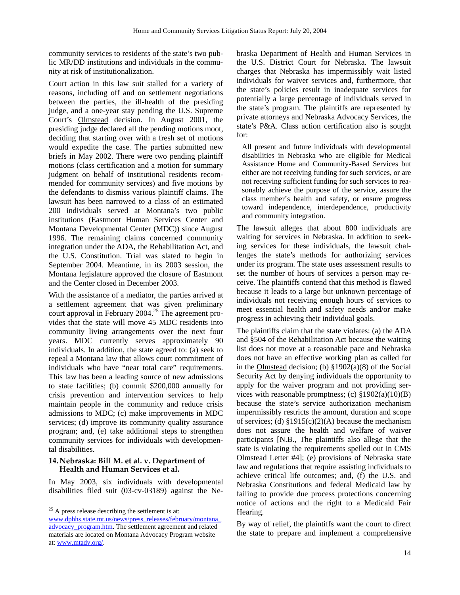community services to residents of the state's two public MR/DD institutions and individuals in the community at risk of institutionalization.

Court action in this law suit stalled for a variety of reasons, including off and on settlement negotiations between the parties, the ill-health of the presiding judge, and a one-year stay pending the U.S. Supreme Court's Olmstead decision. In August 2001, the presiding judge declared all the pending motions moot, deciding that starting over with a fresh set of motions would expedite the case. The parties submitted new briefs in May 2002. There were two pending plaintiff motions (class certification and a motion for summary judgment on behalf of institutional residents recommended for community services) and five motions by the defendants to dismiss various plaintiff claims. The lawsuit has been narrowed to a class of an estimated 200 individuals served at Montana's two public institutions (Eastmont Human Services Center and Montana Developmental Center (MDC)) since August 1996. The remaining claims concerned community integration under the ADA, the Rehabilitation Act, and the U.S. Constitution. Trial was slated to begin in September 2004. Meantime, in its 2003 session, the Montana legislature approved the closure of Eastmont and the Center closed in December 2003.

With the assistance of a mediator, the parties arrived at a settlement agreement that was given preliminary court approval in February 2004.<sup>25</sup> The agreement provides that the state will move 45 MDC residents into community living arrangements over the next four years. MDC currently serves approximately 90 individuals. In addition, the state agreed to: (a) seek to repeal a Montana law that allows court commitment of individuals who have "near total care" requirements. This law has been a leading source of new admissions to state facilities; (b) commit \$200,000 annually for crisis prevention and intervention services to help maintain people in the community and reduce crisis admissions to MDC; (c) make improvements in MDC services; (d) improve its community quality assurance program; and, (e) take additional steps to strengthen community services for individuals with developmental disabilities.

## **14.Nebraska: Bill M. et al. v. Department of Health and Human Services et al.**

l

In May 2003, six individuals with developmental disabilities filed suit (03-cv-03189) against the Ne-

 $25$  A press release describing the settlement is at: www.dphhs.state.mt.us/news/press\_releases/february/montana\_ advocacy\_program.htm. The settlement agreement and related materials are located on Montana Advocacy Program website at: www.mtadv.org/.

braska Department of Health and Human Services in the U.S. District Court for Nebraska. The lawsuit charges that Nebraska has impermissibly wait listed individuals for waiver services and, furthermore, that the state's policies result in inadequate services for potentially a large percentage of individuals served in the state's program. The plaintiffs are represented by private attorneys and Nebraska Advocacy Services, the state's P&A. Class action certification also is sought for:

All present and future individuals with developmental disabilities in Nebraska who are eligible for Medical Assistance Home and Community-Based Services but either are not receiving funding for such services, or are not receiving sufficient funding for such services to reasonably achieve the purpose of the service, assure the class member's health and safety, or ensure progress toward independence, interdependence, productivity and community integration.

The lawsuit alleges that about 800 individuals are waiting for services in Nebraska. In addition to seeking services for these individuals, the lawsuit challenges the state's methods for authorizing services under its program. The state uses assessment results to set the number of hours of services a person may receive. The plaintiffs contend that this method is flawed because it leads to a large but unknown percentage of individuals not receiving enough hours of services to meet essential health and safety needs and/or make progress in achieving their individual goals.

The plaintiffs claim that the state violates: (a) the ADA and §504 of the Rehabilitation Act because the waiting list does not move at a reasonable pace and Nebraska does not have an effective working plan as called for in the Olmstead decision; (b) §1902(a)(8) of the Social Security Act by denying individuals the opportunity to apply for the waiver program and not providing services with reasonable promptness; (c)  $$1902(a)(10)(B)$ because the state's service authorization mechanism impermissibly restricts the amount, duration and scope of services; (d)  $$1915(c)(2)(A)$  because the mechanism does not assure the health and welfare of waiver participants [N.B., The plaintiffs also allege that the state is violating the requirements spelled out in CMS Olmstead Letter #4]; (e) provisions of Nebraska state law and regulations that require assisting individuals to achieve critical life outcomes; and, (f) the U.S. and Nebraska Constitutions and federal Medicaid law by failing to provide due process protections concerning notice of actions and the right to a Medicaid Fair Hearing.

By way of relief, the plaintiffs want the court to direct the state to prepare and implement a comprehensive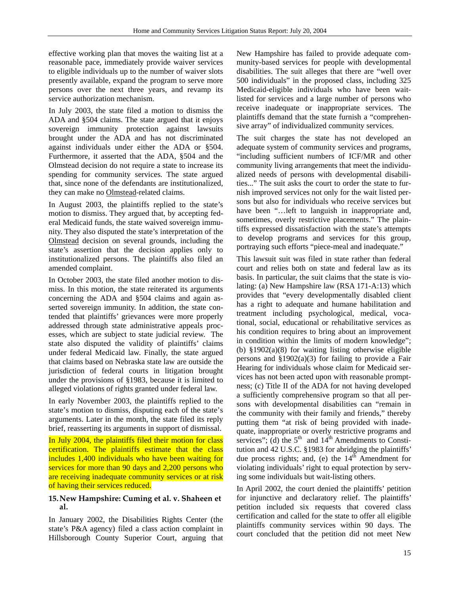effective working plan that moves the waiting list at a reasonable pace, immediately provide waiver services to eligible individuals up to the number of waiver slots presently available, expand the program to serve more persons over the next three years, and revamp its service authorization mechanism.

In July 2003, the state filed a motion to dismiss the ADA and §504 claims. The state argued that it enjoys sovereign immunity protection against lawsuits brought under the ADA and has not discriminated against individuals under either the ADA or §504. Furthermore, it asserted that the ADA, §504 and the Olmstead decision do not require a state to increase its spending for community services. The state argued that, since none of the defendants are institutionalized, they can make no Olmstead-related claims.

In August 2003, the plaintiffs replied to the state's motion to dismiss. They argued that, by accepting federal Medicaid funds, the state waived sovereign immunity. They also disputed the state's interpretation of the Olmstead decision on several grounds, including the state's assertion that the decision applies only to institutionalized persons. The plaintiffs also filed an amended complaint.

In October 2003, the state filed another motion to dismiss. In this motion, the state reiterated its arguments concerning the ADA and §504 claims and again asserted sovereign immunity. In addition, the state contended that plaintiffs' grievances were more properly addressed through state administrative appeals processes, which are subject to state judicial review. The state also disputed the validity of plaintiffs' claims under federal Medicaid law. Finally, the state argued that claims based on Nebraska state law are outside the jurisdiction of federal courts in litigation brought under the provisions of §1983, because it is limited to alleged violations of rights granted under federal law.

In early November 2003, the plaintiffs replied to the state's motion to dismiss, disputing each of the state's arguments. Later in the month, the state filed its reply brief, reasserting its arguments in support of dismissal.

In July 2004, the plaintiffs filed their motion for class certification. The plaintiffs estimate that the class includes 1,400 individuals who have been waiting for services for more than 90 days and 2,200 persons who are receiving inadequate community services or at risk of having their services reduced.

# **15.New Hampshire: Cuming et al. v. Shaheen et al.**

In January 2002, the Disabilities Rights Center (the state's P&A agency) filed a class action complaint in Hillsborough County Superior Court, arguing that New Hampshire has failed to provide adequate community-based services for people with developmental disabilities. The suit alleges that there are "well over 500 individuals" in the proposed class, including 325 Medicaid-eligible individuals who have been waitlisted for services and a large number of persons who receive inadequate or inappropriate services. The plaintiffs demand that the state furnish a "comprehensive array" of individualized community services.

The suit charges the state has not developed an adequate system of community services and programs, "including sufficient numbers of ICF/MR and other community living arrangements that meet the individualized needs of persons with developmental disabilities..." The suit asks the court to order the state to furnish improved services not only for the wait listed persons but also for individuals who receive services but have been "…left to languish in inappropriate and, sometimes, overly restrictive placements." The plaintiffs expressed dissatisfaction with the state's attempts to develop programs and services for this group, portraying such efforts "piece-meal and inadequate."

This lawsuit suit was filed in state rather than federal court and relies both on state and federal law as its basis. In particular, the suit claims that the state is violating: (a) New Hampshire law (RSA 171-A:13) which provides that "every developmentally disabled client has a right to adequate and humane habilitation and treatment including psychological, medical, vocational, social, educational or rehabilitative services as his condition requires to bring about an improvement in condition within the limits of modern knowledge"; (b) §1902(a)(8) for waiting listing otherwise eligible persons and  $\S 1902(a)(3)$  for failing to provide a Fair Hearing for individuals whose claim for Medicaid services has not been acted upon with reasonable promptness; (c) Title II of the ADA for not having developed a sufficiently comprehensive program so that all persons with developmental disabilities can "remain in the community with their family and friends," thereby putting them "at risk of being provided with inadequate, inappropriate or overly restrictive programs and services"; (d) the  $5<sup>th</sup>$  and  $14<sup>th</sup>$  Amendments to Constitution and 42 U.S.C. §1983 for abridging the plaintiffs' due process rights; and, (e) the  $14<sup>th</sup>$  Amendment for violating individuals' right to equal protection by serving some individuals but wait-listing others.

In April 2002, the court denied the plaintiffs' petition for injunctive and declaratory relief. The plaintiffs' petition included six requests that covered class certification and called for the state to offer all eligible plaintiffs community services within 90 days. The court concluded that the petition did not meet New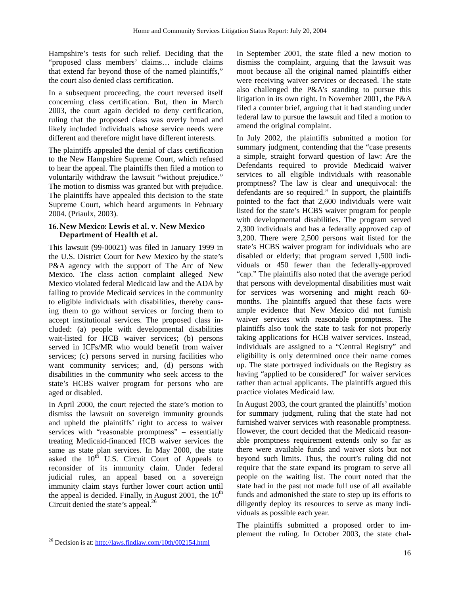Hampshire's tests for such relief. Deciding that the "proposed class members' claims… include claims that extend far beyond those of the named plaintiffs," the court also denied class certification.

In a subsequent proceeding, the court reversed itself concerning class certification. But, then in March 2003, the court again decided to deny certification, ruling that the proposed class was overly broad and likely included individuals whose service needs were different and therefore might have different interests.

The plaintiffs appealed the denial of class certification to the New Hampshire Supreme Court, which refused to hear the appeal. The plaintiffs then filed a motion to voluntarily withdraw the lawsuit "without prejudice." The motion to dismiss was granted but with prejudice. The plaintiffs have appealed this decision to the state Supreme Court, which heard arguments in February 2004. (Priaulx, 2003).

## **16.New Mexico: Lewis et al. v. New Mexico Department of Health et al.**

This lawsuit (99-00021) was filed in January 1999 in the U.S. District Court for New Mexico by the state's P&A agency with the support of The Arc of New Mexico. The class action complaint alleged New Mexico violated federal Medicaid law and the ADA by failing to provide Medicaid services in the community to eligible individuals with disabilities, thereby causing them to go without services or forcing them to accept institutional services. The proposed class included: (a) people with developmental disabilities wait-listed for HCB waiver services; (b) persons served in ICFs/MR who would benefit from waiver services; (c) persons served in nursing facilities who want community services; and, (d) persons with disabilities in the community who seek access to the state's HCBS waiver program for persons who are aged or disabled.

In April 2000, the court rejected the state's motion to dismiss the lawsuit on sovereign immunity grounds and upheld the plaintiffs' right to access to waiver services with "reasonable promptness" – essentially treating Medicaid-financed HCB waiver services the same as state plan services. In May 2000, the state asked the  $10^{th}$  U.S. Circuit Court of Appeals to reconsider of its immunity claim. Under federal judicial rules, an appeal based on a sovereign immunity claim stays further lower court action until the appeal is decided. Finally, in August 2001, the  $10<sup>th</sup>$ Circuit denied the state's appeal.<sup>26</sup>

l

In September 2001, the state filed a new motion to dismiss the complaint, arguing that the lawsuit was moot because all the original named plaintiffs either were receiving waiver services or deceased. The state also challenged the P&A's standing to pursue this litigation in its own right. In November 2001, the P&A filed a counter brief, arguing that it had standing under federal law to pursue the lawsuit and filed a motion to amend the original complaint.

In July 2002, the plaintiffs submitted a motion for summary judgment, contending that the "case presents a simple, straight forward question of law: Are the Defendants required to provide Medicaid waiver services to all eligible individuals with reasonable promptness? The law is clear and unequivocal: the defendants are so required." In support, the plaintiffs pointed to the fact that 2,600 individuals were wait listed for the state's HCBS waiver program for people with developmental disabilities. The program served 2,300 individuals and has a federally approved cap of 3,200. There were 2,500 persons wait listed for the state's HCBS waiver program for individuals who are disabled or elderly; that program served 1,500 individuals or 450 fewer than the federally-approved "cap." The plaintiffs also noted that the average period that persons with developmental disabilities must wait for services was worsening and might reach 60 months. The plaintiffs argued that these facts were ample evidence that New Mexico did not furnish waiver services with reasonable promptness. The plaintiffs also took the state to task for not properly taking applications for HCB waiver services. Instead, individuals are assigned to a "Central Registry" and eligibility is only determined once their name comes up. The state portrayed individuals on the Registry as having "applied to be considered" for waiver services rather than actual applicants. The plaintiffs argued this practice violates Medicaid law.

In August 2003, the court granted the plaintiffs' motion for summary judgment, ruling that the state had not furnished waiver services with reasonable promptness. However, the court decided that the Medicaid reasonable promptness requirement extends only so far as there were available funds and waiver slots but not beyond such limits. Thus, the court's ruling did not require that the state expand its program to serve all people on the waiting list. The court noted that the state had in the past not made full use of all available funds and admonished the state to step up its efforts to diligently deploy its resources to serve as many individuals as possible each year.

The plaintiffs submitted a proposed order to implement the ruling. In October 2003, the state chal-

<sup>&</sup>lt;sup>26</sup> Decision is at: http://laws.findlaw.com/10th/002154.html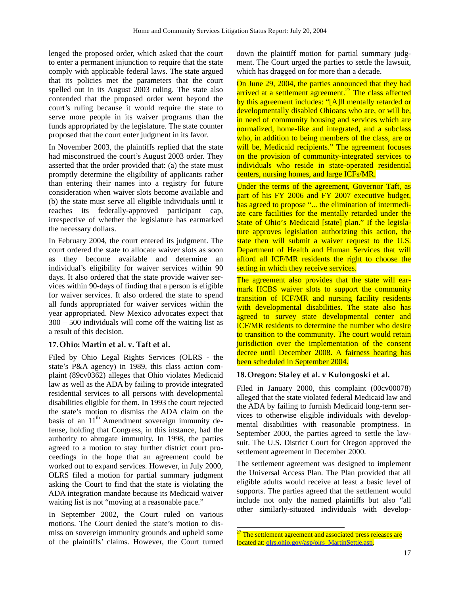lenged the proposed order, which asked that the court to enter a permanent injunction to require that the state comply with applicable federal laws. The state argued that its policies met the parameters that the court spelled out in its August 2003 ruling. The state also contended that the proposed order went beyond the court's ruling because it would require the state to serve more people in its waiver programs than the funds appropriated by the legislature. The state counter proposed that the court enter judgment in its favor.

In November 2003, the plaintiffs replied that the state had misconstrued the court's August 2003 order. They asserted that the order provided that: (a) the state must promptly determine the eligibility of applicants rather than entering their names into a registry for future consideration when waiver slots become available and (b) the state must serve all eligible individuals until it reaches its federally-approved participant cap, irrespective of whether the legislature has earmarked the necessary dollars.

In February 2004, the court entered its judgment. The court ordered the state to allocate waiver slots as soon as they become available and determine an individual's eligibility for waiver services within 90 days. It also ordered that the state provide waiver services within 90-days of finding that a person is eligible for waiver services. It also ordered the state to spend all funds appropriated for waiver services within the year appropriated. New Mexico advocates expect that 300 – 500 individuals will come off the waiting list as a result of this decision.

# **17.Ohio: Martin et al. v. Taft et al.**

Filed by Ohio Legal Rights Services (OLRS - the state's P&A agency) in 1989, this class action complaint (89cv0362) alleges that Ohio violates Medicaid law as well as the ADA by failing to provide integrated residential services to all persons with developmental disabilities eligible for them. In 1993 the court rejected the state's motion to dismiss the ADA claim on the basis of an  $11<sup>th</sup>$  Amendment sovereign immunity defense, holding that Congress, in this instance, had the authority to abrogate immunity. In 1998, the parties agreed to a motion to stay further district court proceedings in the hope that an agreement could be worked out to expand services. However, in July 2000, OLRS filed a motion for partial summary judgment asking the Court to find that the state is violating the ADA integration mandate because its Medicaid waiver waiting list is not "moving at a reasonable pace."

In September 2002, the Court ruled on various motions. The Court denied the state's motion to dismiss on sovereign immunity grounds and upheld some of the plaintiffs' claims. However, the Court turned down the plaintiff motion for partial summary judgment. The Court urged the parties to settle the lawsuit, which has dragged on for more than a decade.

On June 29, 2004, the parties announced that they had arrived at a settlement agreement.<sup>27</sup> The class affected by this agreement includes: "[A]ll mentally retarded or developmentally disabled Ohioans who are, or will be, in need of community housing and services which are normalized, home-like and integrated, and a subclass who, in addition to being members of the class, are or will be, Medicaid recipients." The agreement focuses on the provision of community-integrated services to individuals who reside in state-operated residential centers, nursing homes, and large ICFs/MR.

Under the terms of the agreement, Governor Taft, as part of his FY 2006 and FY 2007 executive budget, has agreed to propose "... the elimination of intermediate care facilities for the mentally retarded under the State of Ohio's Medicaid [state] plan." If the legislature approves legislation authorizing this action, the state then will submit a waiver request to the U.S. Department of Health and Human Services that will afford all ICF/MR residents the right to choose the setting in which they receive services.

The agreement also provides that the state will earmark HCBS waiver slots to support the community transition of ICF/MR and nursing facility residents with developmental disabilities. The state also has agreed to survey state developmental center and ICF/MR residents to determine the number who desire to transition to the community. The court would retain jurisdiction over the implementation of the consent decree until December 2008. A fairness hearing has been scheduled in September 2004.

# **18.Oregon: Staley et al. v Kulongoski et al.**

Filed in January 2000, this complaint (00cv00078) alleged that the state violated federal Medicaid law and the ADA by failing to furnish Medicaid long-term services to otherwise eligible individuals with developmental disabilities with reasonable promptness. In September 2000, the parties agreed to settle the lawsuit. The U.S. District Court for Oregon approved the settlement agreement in December 2000.

The settlement agreement was designed to implement the Universal Access Plan. The Plan provided that all eligible adults would receive at least a basic level of supports. The parties agreed that the settlement would include not only the named plaintiffs but also "all other similarly-situated individuals with develop-

l

 $27$  The settlement agreement and associated press releases are located at: olrs.ohio.gov/asp/olrs\_MartinSettle.asp.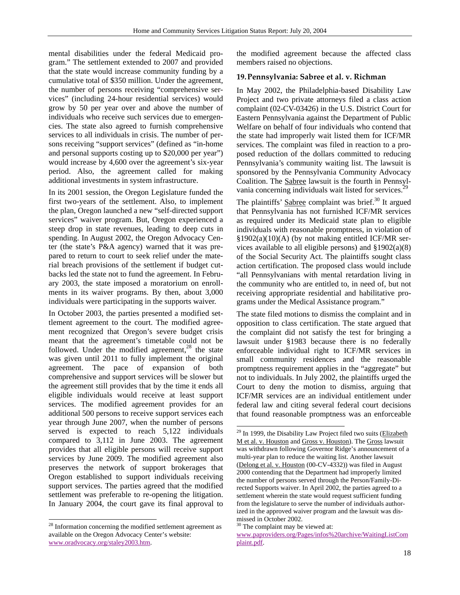mental disabilities under the federal Medicaid program." The settlement extended to 2007 and provided that the state would increase community funding by a cumulative total of \$350 million. Under the agreement, the number of persons receiving "comprehensive services" (including 24-hour residential services) would grow by 50 per year over and above the number of individuals who receive such services due to emergencies. The state also agreed to furnish comprehensive services to all individuals in crisis. The number of persons receiving "support services" (defined as "in-home and personal supports costing up to \$20,000 per year") would increase by 4,600 over the agreement's six-year period. Also, the agreement called for making additional investments in system infrastructure.

In its 2001 session, the Oregon Legislature funded the first two-years of the settlement. Also, to implement the plan, Oregon launched a new "self-directed support services" waiver program. But, Oregon experienced a steep drop in state revenues, leading to deep cuts in spending. In August 2002, the Oregon Advocacy Center (the state's P&A agency) warned that it was prepared to return to court to seek relief under the material breach provisions of the settlement if budget cutbacks led the state not to fund the agreement. In February 2003, the state imposed a moratorium on enrollments in its waiver programs. By then, about 3,000 individuals were participating in the supports waiver.

In October 2003, the parties presented a modified settlement agreement to the court. The modified agreement recognized that Oregon's severe budget crisis meant that the agreement's timetable could not be followed. Under the modified agreement,  $28$  the state was given until 2011 to fully implement the original agreement. The pace of expansion of both comprehensive and support services will be slower but the agreement still provides that by the time it ends all eligible individuals would receive at least support services. The modified agreement provides for an additional 500 persons to receive support services each year through June 2007, when the number of persons served is expected to reach 5,122 individuals compared to 3,112 in June 2003. The agreement provides that all eligible persons will receive support services by June 2009. The modified agreement also preserves the network of support brokerages that Oregon established to support individuals receiving support services. The parties agreed that the modified settlement was preferable to re-opening the litigation. In January 2004, the court gave its final approval to

l

the modified agreement because the affected class members raised no objections.

## **19.Pennsylvania: Sabree et al. v. Richman**

In May 2002, the Philadelphia-based Disability Law Project and two private attorneys filed a class action complaint (02-CV-03426) in the U.S. District Court for Eastern Pennsylvania against the Department of Public Welfare on behalf of four individuals who contend that the state had improperly wait listed them for ICF/MR services. The complaint was filed in reaction to a proposed reduction of the dollars committed to reducing Pennsylvania's community waiting list. The lawsuit is sponsored by the Pennsylvania Community Advocacy Coalition. The Sabree lawsuit is the fourth in Pennsylvania concerning individuals wait listed for services.<sup>2</sup>

The plaintiffs' Sabree complaint was brief.<sup>30</sup> It argued that Pennsylvania has not furnished ICF/MR services as required under its Medicaid state plan to eligible individuals with reasonable promptness, in violation of §1902(a)(10)(A) (by not making entitled ICF/MR services available to all eligible persons) and  $\S 1902(a)(8)$ of the Social Security Act. The plaintiffs sought class action certification. The proposed class would include "all Pennsylvanians with mental retardation living in the community who are entitled to, in need of, but not receiving appropriate residential and habilitative programs under the Medical Assistance program."

The state filed motions to dismiss the complaint and in opposition to class certification. The state argued that the complaint did not satisfy the test for bringing a lawsuit under §1983 because there is no federally enforceable individual right to ICF/MR services in small community residences and the reasonable promptness requirement applies in the "aggregate" but not to individuals. In July 2002, the plaintiffs urged the Court to deny the motion to dismiss, arguing that ICF/MR services are an individual entitlement under federal law and citing several federal court decisions that found reasonable promptness was an enforceable

<sup>&</sup>lt;sup>28</sup> Information concerning the modified settlement agreement as available on the Oregon Advocacy Center's website: www.oradvocacy.org/staley2003.htm.

 $\overline{a}$  $29$  In 1999, the Disability Law Project filed two suits (Elizabeth M et al. v. Houston and Gross v. Houston). The Gross lawsuit was withdrawn following Governor Ridge's announcement of a multi-year plan to reduce the waiting list. Another lawsuit (Delong et al. v. Houston (00-CV-4332)) was filed in August 2000 contending that the Department had improperly limited the number of persons served through the Person/Family-Directed Supports waiver. In April 2002, the parties agreed to a settlement wherein the state would request sufficient funding from the legislature to serve the number of individuals authorized in the approved waiver program and the lawsuit was dismissed in October 2002.

<sup>&</sup>lt;sup>30</sup> The complaint may be viewed at:

www.paproviders.org/Pages/infos%20archive/WaitingListCom plaint.pdf.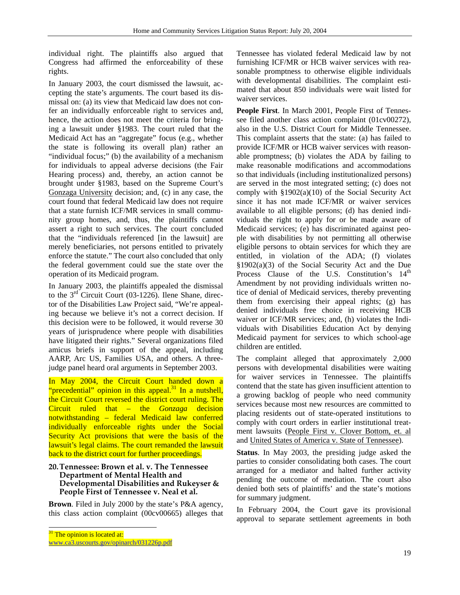individual right. The plaintiffs also argued that Congress had affirmed the enforceability of these rights.

In January 2003, the court dismissed the lawsuit, accepting the state's arguments. The court based its dismissal on: (a) its view that Medicaid law does not confer an individually enforceable right to services and, hence, the action does not meet the criteria for bringing a lawsuit under §1983. The court ruled that the Medicaid Act has an "aggregate" focus (e.g., whether the state is following its overall plan) rather an "individual focus;" (b) the availability of a mechanism for individuals to appeal adverse decisions (the Fair Hearing process) and, thereby, an action cannot be brought under §1983, based on the Supreme Court's Gonzaga University decision; and, (c) in any case, the court found that federal Medicaid law does not require that a state furnish ICF/MR services in small community group homes, and, thus, the plaintiffs cannot assert a right to such services. The court concluded that the "individuals referenced [in the lawsuit] are merely beneficiaries, not persons entitled to privately enforce the statute." The court also concluded that only the federal government could sue the state over the operation of its Medicaid program.

In January 2003, the plaintiffs appealed the dismissal to the  $3<sup>rd</sup>$  Circuit Court (03-1226). Ilene Shane, director of the Disabilities Law Project said, "We're appealing because we believe it's not a correct decision. If this decision were to be followed, it would reverse 30 years of jurisprudence where people with disabilities have litigated their rights." Several organizations filed amicus briefs in support of the appeal, including AARP, Arc US, Families USA, and others. A threejudge panel heard oral arguments in September 2003.

In May 2004, the Circuit Court handed down a "precedential" opinion in this appeal.<sup>31</sup> In a nutshell, the Circuit Court reversed the district court ruling. The Circuit ruled that – the *Gonzaga* decision notwithstanding – federal Medicaid law conferred individually enforceable rights under the Social Security Act provisions that were the basis of the lawsuit's legal claims. The court remanded the lawsuit back to the district court for further proceedings.

## **20.Tennessee: Brown et al. v. The Tennessee Department of Mental Health and Developmental Disabilities and Rukeyser & People First of Tennessee v. Neal et al.**

**Brown**. Filed in July 2000 by the state's P&A agency, this class action complaint (00cv00665) alleges that Tennessee has violated federal Medicaid law by not furnishing ICF/MR or HCB waiver services with reasonable promptness to otherwise eligible individuals with developmental disabilities. The complaint estimated that about 850 individuals were wait listed for waiver services.

**People First**. In March 2001, People First of Tennessee filed another class action complaint (01cv00272), also in the U.S. District Court for Middle Tennessee. This complaint asserts that the state: (a) has failed to provide ICF/MR or HCB waiver services with reasonable promptness; (b) violates the ADA by failing to make reasonable modifications and accommodations so that individuals (including institutionalized persons) are served in the most integrated setting; (c) does not comply with §1902(a)(10) of the Social Security Act since it has not made ICF/MR or waiver services available to all eligible persons; (d) has denied individuals the right to apply for or be made aware of Medicaid services; (e) has discriminated against people with disabilities by not permitting all otherwise eligible persons to obtain services for which they are entitled, in violation of the ADA; (f) violates §1902(a)(3) of the Social Security Act and the Due Process Clause of the U.S. Constitution's 14<sup>th</sup> Amendment by not providing individuals written notice of denial of Medicaid services, thereby preventing them from exercising their appeal rights; (g) has denied individuals free choice in receiving HCB waiver or ICF/MR services; and, (h) violates the Individuals with Disabilities Education Act by denying Medicaid payment for services to which school-age children are entitled.

The complaint alleged that approximately 2,000 persons with developmental disabilities were waiting for waiver services in Tennessee. The plaintiffs contend that the state has given insufficient attention to a growing backlog of people who need community services because most new resources are committed to placing residents out of state-operated institutions to comply with court orders in earlier institutional treatment lawsuits (People First v. Clover Bottom, et. al and United States of America v. State of Tennessee).

**Status**. In May 2003, the presiding judge asked the parties to consider consolidating both cases. The court arranged for a mediator and halted further activity pending the outcome of mediation. The court also denied both sets of plaintiffs' and the state's motions for summary judgment.

In February 2004, the Court gave its provisional approval to separate settlement agreements in both

l

 $31$  The opinion is located at:

www.ca3.uscourts.gov/opinarch/031226p.pdf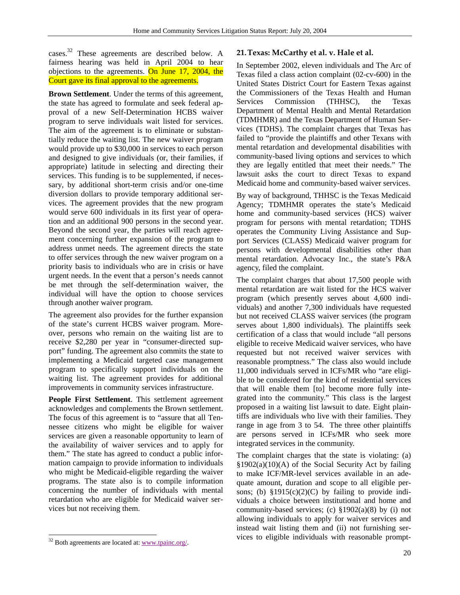cases.<sup>32</sup> These agreements are described below. A fairness hearing was held in April 2004 to hear objections to the agreements. On June 17, 2004, the Court gave its final approval to the agreements.

**Brown Settlement**. Under the terms of this agreement, the state has agreed to formulate and seek federal approval of a new Self-Determination HCBS waiver program to serve individuals wait listed for services. The aim of the agreement is to eliminate or substantially reduce the waiting list. The new waiver program would provide up to \$30,000 in services to each person and designed to give individuals (or, their families, if appropriate) latitude in selecting and directing their services. This funding is to be supplemented, if necessary, by additional short-term crisis and/or one-time diversion dollars to provide temporary additional services. The agreement provides that the new program would serve 600 individuals in its first year of operation and an additional 900 persons in the second year. Beyond the second year, the parties will reach agreement concerning further expansion of the program to address unmet needs. The agreement directs the state to offer services through the new waiver program on a priority basis to individuals who are in crisis or have urgent needs. In the event that a person's needs cannot be met through the self-determination waiver, the individual will have the option to choose services through another waiver program.

The agreement also provides for the further expansion of the state's current HCBS waiver program. Moreover, persons who remain on the waiting list are to receive \$2,280 per year in "consumer-directed support" funding. The agreement also commits the state to implementing a Medicaid targeted case management program to specifically support individuals on the waiting list. The agreement provides for additional improvements in community services infrastructure.

**People First Settlement**. This settlement agreement acknowledges and complements the Brown settlement. The focus of this agreement is to "assure that all Tennessee citizens who might be eligible for waiver services are given a reasonable opportunity to learn of the availability of waiver services and to apply for them." The state has agreed to conduct a public information campaign to provide information to individuals who might be Medicaid-eligible regarding the waiver programs. The state also is to compile information concerning the number of individuals with mental retardation who are eligible for Medicaid waiver services but not receiving them.

l

## **21.Texas: McCarthy et al. v. Hale et al.**

In September 2002, eleven individuals and The Arc of Texas filed a class action complaint (02-cv-600) in the United States District Court for Eastern Texas against the Commissioners of the Texas Health and Human Services Commission (THHSC), the Texas Department of Mental Health and Mental Retardation (TDMHMR) and the Texas Department of Human Services (TDHS). The complaint charges that Texas has failed to "provide the plaintiffs and other Texans with mental retardation and developmental disabilities with community-based living options and services to which they are legally entitled that meet their needs." The lawsuit asks the court to direct Texas to expand Medicaid home and community-based waiver services.

By way of background, THHSC is the Texas Medicaid Agency; TDMHMR operates the state's Medicaid home and community-based services (HCS) waiver program for persons with mental retardation; TDHS operates the Community Living Assistance and Support Services (CLASS) Medicaid waiver program for persons with developmental disabilities other than mental retardation. Advocacy Inc., the state's P&A agency, filed the complaint.

The complaint charges that about 17,500 people with mental retardation are wait listed for the HCS waiver program (which presently serves about 4,600 individuals) and another 7,300 individuals have requested but not received CLASS waiver services (the program serves about 1,800 individuals). The plaintiffs seek certification of a class that would include "all persons eligible to receive Medicaid waiver services, who have requested but not received waiver services with reasonable promptness." The class also would include 11,000 individuals served in ICFs/MR who "are eligible to be considered for the kind of residential services that will enable them [to] become more fully integrated into the community." This class is the largest proposed in a waiting list lawsuit to date. Eight plaintiffs are individuals who live with their families. They range in age from 3 to 54. The three other plaintiffs are persons served in ICFs/MR who seek more integrated services in the community.

The complaint charges that the state is violating: (a) §1902(a)(10)(A) of the Social Security Act by failing to make ICF/MR-level services available in an adequate amount, duration and scope to all eligible persons; (b)  $$1915(c)(2)(C)$  by failing to provide individuals a choice between institutional and home and community-based services; (c)  $$1902(a)(8)$  by (i) not allowing individuals to apply for waiver services and instead wait listing them and (ii) not furnishing services to eligible individuals with reasonable prompt-

 $32$  Both agreements are located at: www.tpainc.org/.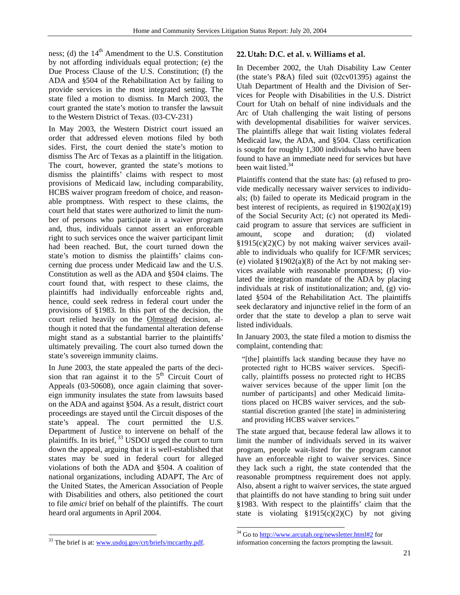ness; (d) the  $14<sup>th</sup>$  Amendment to the U.S. Constitution by not affording individuals equal protection; (e) the Due Process Clause of the U.S. Constitution; (f) the ADA and §504 of the Rehabilitation Act by failing to provide services in the most integrated setting. The state filed a motion to dismiss. In March 2003, the court granted the state's motion to transfer the lawsuit to the Western District of Texas. (03-CV-231)

In May 2003, the Western District court issued an order that addressed eleven motions filed by both sides. First, the court denied the state's motion to dismiss The Arc of Texas as a plaintiff in the litigation. The court, however, granted the state's motions to dismiss the plaintiffs' claims with respect to most provisions of Medicaid law, including comparability, HCBS waiver program freedom of choice, and reasonable promptness. With respect to these claims, the court held that states were authorized to limit the number of persons who participate in a waiver program and, thus, individuals cannot assert an enforceable right to such services once the waiver participant limit had been reached. But, the court turned down the state's motion to dismiss the plaintiffs' claims concerning due process under Medicaid law and the U.S. Constitution as well as the ADA and §504 claims. The court found that, with respect to these claims, the plaintiffs had individually enforceable rights and, hence, could seek redress in federal court under the provisions of §1983. In this part of the decision, the court relied heavily on the Olmstead decision, although it noted that the fundamental alteration defense might stand as a substantial barrier to the plaintiffs' ultimately prevailing. The court also turned down the state's sovereign immunity claims.

In June 2003, the state appealed the parts of the decision that ran against it to the  $5<sup>th</sup>$  Circuit Court of Appeals (03-50608), once again claiming that sovereign immunity insulates the state from lawsuits based on the ADA and against §504. As a result, district court proceedings are stayed until the Circuit disposes of the state's appeal. The court permitted the U.S. Department of Justice to intervene on behalf of the plaintiffs. In its brief, <sup>33</sup> USDOJ urged the court to turn down the appeal, arguing that it is well-established that states may be sued in federal court for alleged violations of both the ADA and §504. A coalition of national organizations, including ADAPT, The Arc of the United States, the American Association of People with Disabilities and others, also petitioned the court to file *amici* brief on behalf of the plaintiffs. The court heard oral arguments in April 2004.

# **22.Utah: D.C. et al. v. Williams et al.**

In December 2002, the Utah Disability Law Center (the state's P&A) filed suit (02cv01395) against the Utah Department of Health and the Division of Services for People with Disabilities in the U.S. District Court for Utah on behalf of nine individuals and the Arc of Utah challenging the wait listing of persons with developmental disabilities for waiver services. The plaintiffs allege that wait listing violates federal Medicaid law, the ADA, and §504. Class certification is sought for roughly 1,300 individuals who have been found to have an immediate need for services but have been wait listed.<sup>34</sup>

Plaintiffs contend that the state has: (a) refused to provide medically necessary waiver services to individuals; (b) failed to operate its Medicaid program in the best interest of recipients, as required in §1902(a)(19) of the Social Security Act; (c) not operated its Medicaid program to assure that services are sufficient in amount, scope and duration; (d) violated §1915(c)(2)(C) by not making waiver services available to individuals who qualify for ICF/MR services; (e) violated  $$1902(a)(8)$  of the Act by not making services available with reasonable promptness; (f) violated the integration mandate of the ADA by placing individuals at risk of institutionalization; and, (g) violated §504 of the Rehabilitation Act. The plaintiffs seek declaratory and injunctive relief in the form of an order that the state to develop a plan to serve wait listed individuals.

In January 2003, the state filed a motion to dismiss the complaint, contending that:

"[the] plaintiffs lack standing because they have no protected right to HCBS waiver services. Specifically, plaintiffs possess no protected right to HCBS waiver services because of the upper limit [on the number of participants] and other Medicaid limitations placed on HCBS waiver services, and the substantial discretion granted [the state] in administering and providing HCBS waiver services."

The state argued that, because federal law allows it to limit the number of individuals served in its waiver program, people wait-listed for the program cannot have an enforceable right to waiver services. Since they lack such a right, the state contended that the reasonable promptness requirement does not apply. Also, absent a right to waiver services, the state argued that plaintiffs do not have standing to bring suit under §1983. With respect to the plaintiffs' claim that the state is violating  $$1915(c)(2)(C)$  by not giving

l

l <sup>33</sup> The brief is at: www.usdoj.gov/crt/briefs/mccarthy.pdf.

<sup>&</sup>lt;sup>34</sup> Go to http://www.arcutah.org/newsletter.html#2 for information concerning the factors prompting the lawsuit.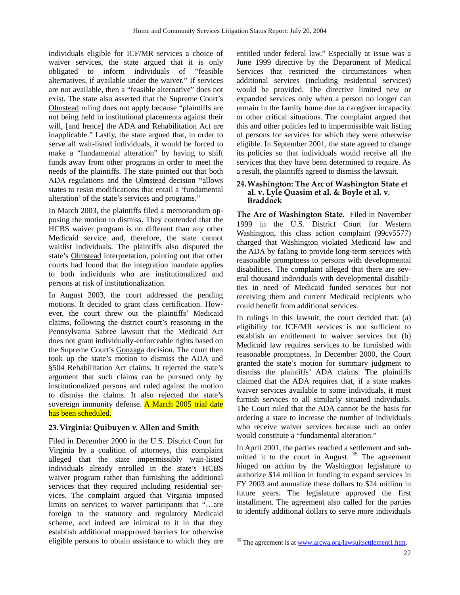individuals eligible for ICF/MR services a choice of waiver services, the state argued that it is only obligated to inform individuals of "feasible alternatives, if available under the waiver." If services are not available, then a "feasible alternative" does not exist. The state also asserted that the Supreme Court's Olmstead ruling does not apply because "plaintiffs are not being held in institutional placements against their will, [and hence] the ADA and Rehabilitation Act are inapplicable." Lastly, the state argued that, in order to serve all wait-listed individuals, it would be forced to make a "fundamental alteration" by having to shift funds away from other programs in order to meet the needs of the plaintiffs. The state pointed out that both ADA regulations and the Olmstead decision "allows states to resist modifications that entail a 'fundamental alteration' of the state's services and programs."

In March 2003, the plaintiffs filed a memorandum opposing the motion to dismiss. They contended that the HCBS waiver program is no different than any other Medicaid service and, therefore, the state cannot waitlist individuals. The plaintiffs also disputed the state's Olmstead interpretation, pointing out that other courts had found that the integration mandate applies to both individuals who are institutionalized and persons at risk of institutionalization.

In August 2003, the court addressed the pending motions. It decided to grant class certification. However, the court threw out the plaintiffs' Medicaid claims, following the district court's reasoning in the Pennsylvania Sabree lawsuit that the Medicaid Act does not grant individually-enforceable rights based on the Supreme Court's Gonzaga decision. The court then took up the state's motion to dismiss the ADA and §504 Rehabilitation Act claims. It rejected the state's argument that such claims can be pursued only by institutionalized persons and ruled against the motion to dismiss the claims. It also rejected the state's sovereign immunity defense. A March 2005 trial date has been scheduled.

# **23.Virginia: Quibuyen v. Allen and Smith**

Filed in December 2000 in the U.S. District Court for Virginia by a coalition of attorneys, this complaint alleged that the state impermissibly wait-listed individuals already enrolled in the state's HCBS waiver program rather than furnishing the additional services that they required including residential services. The complaint argued that Virginia imposed limits on services to waiver participants that "…are foreign to the statutory and regulatory Medicaid scheme, and indeed are inimical to it in that they establish additional unapproved barriers for otherwise eligible persons to obtain assistance to which they are

entitled under federal law." Especially at issue was a June 1999 directive by the Department of Medical Services that restricted the circumstances when additional services (including residential services) would be provided. The directive limited new or expanded services only when a person no longer can remain in the family home due to caregiver incapacity or other critical situations. The complaint argued that this and other policies led to impermissible wait listing of persons for services for which they were otherwise eligible. In September 2001, the state agreed to change its policies so that individuals would receive all the services that they have been determined to require. As a result, the plaintiffs agreed to dismiss the lawsuit.

#### **24.Washington: The Arc of Washington State et al. v. Lyle Quasim et al. & Boyle et al. v. Braddock**

**The Arc of Washington State.** Filed in November 1999 in the U.S. District Court for Western Washington, this class action complaint (99cv5577) charged that Washington violated Medicaid law and the ADA by failing to provide long-term services with reasonable promptness to persons with developmental disabilities. The complaint alleged that there are several thousand individuals with developmental disabilities in need of Medicaid funded services but not receiving them and current Medicaid recipients who could benefit from additional services.

In rulings in this lawsuit, the court decided that: (a) eligibility for ICF/MR services is not sufficient to establish an entitlement to waiver services but (b) Medicaid law requires services to be furnished with reasonable promptness. In December 2000, the Court granted the state's motion for summary judgment to dismiss the plaintiffs' ADA claims. The plaintiffs claimed that the ADA requires that, if a state makes waiver services available to some individuals, it must furnish services to all similarly situated individuals. The Court ruled that the ADA cannot be the basis for ordering a state to increase the number of individuals who receive waiver services because such an order would constitute a "fundamental alteration."

In April 2001, the parties reached a settlement and submitted it to the court in August.  $35$  The agreement hinged on action by the Washington legislature to authorize \$14 million in funding to expand services in FY 2003 and annualize these dollars to \$24 million in future years. The legislature approved the first installment. The agreement also called for the parties to identify additional dollars to serve more individuals

<sup>&</sup>lt;sup>35</sup> The agreement is at www.arcwa.org/lawsuitsettlement1.htm.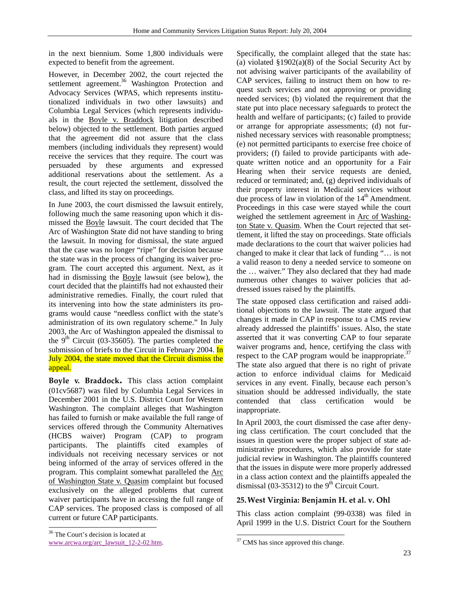in the next biennium. Some 1,800 individuals were expected to benefit from the agreement.

However, in December 2002, the court rejected the settlement agreement.<sup>36</sup> Washington Protection and Advocacy Services (WPAS, which represents institutionalized individuals in two other lawsuits) and Columbia Legal Services (which represents individuals in the Boyle v. Braddock litigation described below) objected to the settlement. Both parties argued that the agreement did not assure that the class members (including individuals they represent) would receive the services that they require. The court was persuaded by these arguments and expressed additional reservations about the settlement. As a result, the court rejected the settlement, dissolved the class, and lifted its stay on proceedings.

In June 2003, the court dismissed the lawsuit entirely, following much the same reasoning upon which it dismissed the Boyle lawsuit. The court decided that The Arc of Washington State did not have standing to bring the lawsuit. In moving for dismissal, the state argued that the case was no longer "ripe" for decision because the state was in the process of changing its waiver program. The court accepted this argument. Next, as it had in dismissing the Boyle lawsuit (see below), the court decided that the plaintiffs had not exhausted their administrative remedies. Finally, the court ruled that its intervening into how the state administers its programs would cause "needless conflict with the state's administration of its own regulatory scheme." In July 2003, the Arc of Washington appealed the dismissal to the  $9<sup>th</sup>$  Circuit (03-35605). The parties completed the submission of briefs to the Circuit in February 2004. In July 2004, the state moved that the Circuit dismiss the appeal.

**Boyle v. Braddock.** This class action complaint (01cv5687) was filed by Columbia Legal Services in December 2001 in the U.S. District Court for Western Washington. The complaint alleges that Washington has failed to furnish or make available the full range of services offered through the Community Alternatives (HCBS waiver) Program (CAP) to program participants. The plaintiffs cited examples of individuals not receiving necessary services or not being informed of the array of services offered in the program. This complaint somewhat paralleled the Arc of Washington State v. Quasim complaint but focused exclusively on the alleged problems that current waiver participants have in accessing the full range of CAP services. The proposed class is composed of all current or future CAP participants.

Specifically, the complaint alleged that the state has: (a) violated  $$1902(a)(8)$  of the Social Security Act by not advising waiver participants of the availability of CAP services, failing to instruct them on how to request such services and not approving or providing needed services; (b) violated the requirement that the state put into place necessary safeguards to protect the health and welfare of participants; (c) failed to provide or arrange for appropriate assessments; (d) not furnished necessary services with reasonable promptness; (e) not permitted participants to exercise free choice of providers; (f) failed to provide participants with adequate written notice and an opportunity for a Fair Hearing when their service requests are denied, reduced or terminated; and, (g) deprived individuals of their property interest in Medicaid services without due process of law in violation of the  $14<sup>th</sup>$  Amendment. Proceedings in this case were stayed while the court weighed the settlement agreement in Arc of Washington State v. Quasim. When the Court rejected that settlement, it lifted the stay on proceedings. State officials made declarations to the court that waiver policies had changed to make it clear that lack of funding "… is not a valid reason to deny a needed service to someone on the … waiver." They also declared that they had made numerous other changes to waiver policies that addressed issues raised by the plaintiffs.

The state opposed class certification and raised additional objections to the lawsuit. The state argued that changes it made in CAP in response to a CMS review already addressed the plaintiffs' issues. Also, the state asserted that it was converting CAP to four separate waiver programs and, hence, certifying the class with respect to the CAP program would be inappropriate.<sup>37</sup> The state also argued that there is no right of private action to enforce individual claims for Medicaid services in any event. Finally, because each person's situation should be addressed individually, the state contended that class certification would be inappropriate.

In April 2003, the court dismissed the case after denying class certification. The court concluded that the issues in question were the proper subject of state administrative procedures, which also provide for state judicial review in Washington. The plaintiffs countered that the issues in dispute were more properly addressed in a class action context and the plaintiffs appealed the dismissal (03-35312) to the  $9<sup>th</sup>$  Circuit Court.

# **25.West Virginia: Benjamin H. et al. v. Ohl**

This class action complaint (99-0338) was filed in April 1999 in the U.S. District Court for the Southern

l

<sup>&</sup>lt;sup>36</sup> The Court's decision is located at

www.arcwa.org/arc\_lawsuit\_12-2-02.htm.

<sup>&</sup>lt;sup>37</sup> CMS has since approved this change.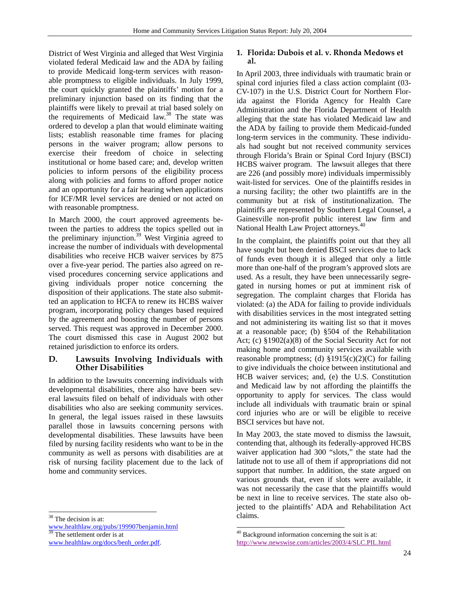District of West Virginia and alleged that West Virginia violated federal Medicaid law and the ADA by failing to provide Medicaid long-term services with reasonable promptness to eligible individuals. In July 1999, the court quickly granted the plaintiffs' motion for a preliminary injunction based on its finding that the plaintiffs were likely to prevail at trial based solely on the requirements of Medicaid law.<sup>38</sup> The state was ordered to develop a plan that would eliminate waiting lists; establish reasonable time frames for placing persons in the waiver program; allow persons to exercise their freedom of choice in selecting institutional or home based care; and, develop written policies to inform persons of the eligibility process along with policies and forms to afford proper notice and an opportunity for a fair hearing when applications for ICF/MR level services are denied or not acted on with reasonable promptness.

In March 2000, the court approved agreements between the parties to address the topics spelled out in the preliminary injunction.<sup>39</sup> West Virginia agreed to increase the number of individuals with developmental disabilities who receive HCB waiver services by 875 over a five-year period. The parties also agreed on revised procedures concerning service applications and giving individuals proper notice concerning the disposition of their applications. The state also submitted an application to HCFA to renew its HCBS waiver program, incorporating policy changes based required by the agreement and boosting the number of persons served. This request was approved in December 2000. The court dismissed this case in August 2002 but retained jurisdiction to enforce its orders.

# **D. Lawsuits Involving Individuals with Other Disabilities**

In addition to the lawsuits concerning individuals with developmental disabilities, there also have been several lawsuits filed on behalf of individuals with other disabilities who also are seeking community services. In general, the legal issues raised in these lawsuits parallel those in lawsuits concerning persons with developmental disabilities. These lawsuits have been filed by nursing facility residents who want to be in the community as well as persons with disabilities are at risk of nursing facility placement due to the lack of home and community services.

<sup>38</sup> The decision is at:

l

# **1. Florida: Dubois et al. v. Rhonda Medows et al.**

In April 2003, three individuals with traumatic brain or spinal cord injuries filed a class action complaint (03- CV-107) in the U.S. District Court for Northern Florida against the Florida Agency for Health Care Administration and the Florida Department of Health alleging that the state has violated Medicaid law and the ADA by failing to provide them Medicaid-funded long-term services in the community. These individuals had sought but not received community services through Florida's Brain or Spinal Cord Injury (BSCI) HCBS waiver program. The lawsuit alleges that there are 226 (and possibly more) individuals impermissibly wait-listed for services. One of the plaintiffs resides in a nursing facility; the other two plaintiffs are in the community but at risk of institutionalization. The plaintiffs are represented by Southern Legal Counsel, a Gainesville non-profit public interest law firm and National Health Law Project attorneys.<sup>40</sup>

In the complaint, the plaintiffs point out that they all have sought but been denied BSCI services due to lack of funds even though it is alleged that only a little more than one-half of the program's approved slots are used. As a result, they have been unnecessarily segregated in nursing homes or put at imminent risk of segregation. The complaint charges that Florida has violated: (a) the ADA for failing to provide individuals with disabilities services in the most integrated setting and not administering its waiting list so that it moves at a reasonable pace; (b) §504 of the Rehabilitation Act; (c) §1902(a)(8) of the Social Security Act for not making home and community services available with reasonable promptness; (d)  $\S 1915(c)(2)(C)$  for failing to give individuals the choice between institutional and HCB waiver services; and, (e) the U.S. Constitution and Medicaid law by not affording the plaintiffs the opportunity to apply for services. The class would include all individuals with traumatic brain or spinal cord injuries who are or will be eligible to receive BSCI services but have not.

In May 2003, the state moved to dismiss the lawsuit, contending that, although its federally-approved HCBS waiver application had 300 "slots," the state had the latitude not to use all of them if appropriations did not support that number. In addition, the state argued on various grounds that, even if slots were available, it was not necessarily the case that the plaintiffs would be next in line to receive services. The state also objected to the plaintiffs' ADA and Rehabilitation Act claims.

l

www.healthlaw.org/pubs/199907benjamin.html<br><sup>39</sup> The settlement The settlement order is at

www.healthlaw.org/docs/benh\_order.pdf.

<sup>40</sup> Background information concerning the suit is at: http://www.newswise.com/articles/2003/4/SLC.PIL.html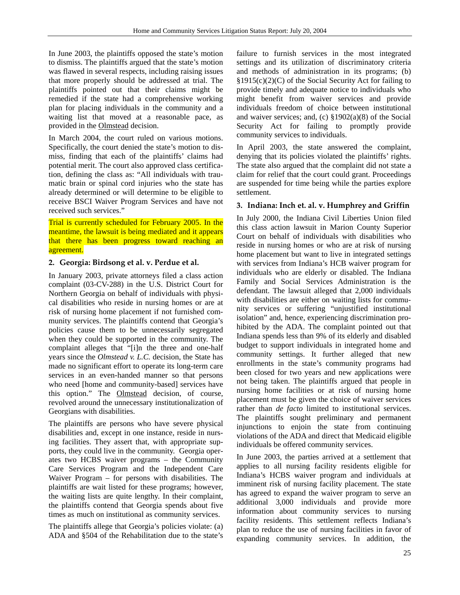In June 2003, the plaintiffs opposed the state's motion to dismiss. The plaintiffs argued that the state's motion was flawed in several respects, including raising issues that more properly should be addressed at trial. The plaintiffs pointed out that their claims might be remedied if the state had a comprehensive working plan for placing individuals in the community and a waiting list that moved at a reasonable pace, as provided in the Olmstead decision.

In March 2004, the court ruled on various motions. Specifically, the court denied the state's motion to dismiss, finding that each of the plaintiffs' claims had potential merit. The court also approved class certification, defining the class as: "All individuals with traumatic brain or spinal cord injuries who the state has already determined or will determine to be eligible to receive BSCI Waiver Program Services and have not received such services."

Trial is currently scheduled for February 2005. In the meantime, the lawsuit is being mediated and it appears that there has been progress toward reaching an agreement.

# **2. Georgia: Birdsong et al. v. Perdue et al.**

In January 2003, private attorneys filed a class action complaint (03-CV-288) in the U.S. District Court for Northern Georgia on behalf of individuals with physical disabilities who reside in nursing homes or are at risk of nursing home placement if not furnished community services. The plaintiffs contend that Georgia's policies cause them to be unnecessarily segregated when they could be supported in the community. The complaint alleges that "[i]n the three and one-half years since the *Olmstead v. L.C.* decision, the State has made no significant effort to operate its long-term care services in an even-handed manner so that persons who need [home and community-based] services have this option." The Olmstead decision, of course, revolved around the unnecessary institutionalization of Georgians with disabilities.

The plaintiffs are persons who have severe physical disabilities and, except in one instance, reside in nursing facilities. They assert that, with appropriate supports, they could live in the community. Georgia operates two HCBS waiver programs – the Community Care Services Program and the Independent Care Waiver Program – for persons with disabilities. The plaintiffs are wait listed for these programs; however, the waiting lists are quite lengthy. In their complaint, the plaintiffs contend that Georgia spends about five times as much on institutional as community services.

The plaintiffs allege that Georgia's policies violate: (a) ADA and §504 of the Rehabilitation due to the state's

failure to furnish services in the most integrated settings and its utilization of discriminatory criteria and methods of administration in its programs; (b) §1915(c)(2)(C) of the Social Security Act for failing to provide timely and adequate notice to individuals who might benefit from waiver services and provide individuals freedom of choice between institutional and waiver services; and, (c) §1902(a)(8) of the Social Security Act for failing to promptly provide community services to individuals.

In April 2003, the state answered the complaint, denying that its policies violated the plaintiffs' rights. The state also argued that the complaint did not state a claim for relief that the court could grant. Proceedings are suspended for time being while the parties explore settlement.

# **3. Indiana: Inch et. al. v. Humphrey and Griffin**

In July 2000, the Indiana Civil Liberties Union filed this class action lawsuit in Marion County Superior Court on behalf of individuals with disabilities who reside in nursing homes or who are at risk of nursing home placement but want to live in integrated settings with services from Indiana's HCB waiver program for individuals who are elderly or disabled. The Indiana Family and Social Services Administration is the defendant. The lawsuit alleged that 2,000 individuals with disabilities are either on waiting lists for community services or suffering "unjustified institutional isolation" and, hence, experiencing discrimination prohibited by the ADA. The complaint pointed out that Indiana spends less than 9% of its elderly and disabled budget to support individuals in integrated home and community settings. It further alleged that new enrollments in the state's community programs had been closed for two years and new applications were not being taken. The plaintiffs argued that people in nursing home facilities or at risk of nursing home placement must be given the choice of waiver services rather than *de facto* limited to institutional services. The plaintiffs sought preliminary and permanent injunctions to enjoin the state from continuing violations of the ADA and direct that Medicaid eligible individuals be offered community services.

In June 2003, the parties arrived at a settlement that applies to all nursing facility residents eligible for Indiana's HCBS waiver program and individuals at imminent risk of nursing facility placement. The state has agreed to expand the waiver program to serve an additional 3,000 individuals and provide more information about community services to nursing facility residents. This settlement reflects Indiana's plan to reduce the use of nursing facilities in favor of expanding community services. In addition, the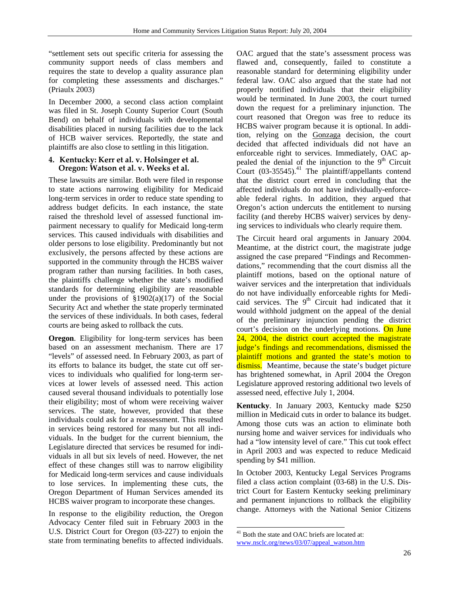"settlement sets out specific criteria for assessing the community support needs of class members and requires the state to develop a quality assurance plan for completing these assessments and discharges." (Priaulx 2003)

In December 2000, a second class action complaint was filed in St. Joseph County Superior Court (South Bend) on behalf of individuals with developmental disabilities placed in nursing facilities due to the lack of HCB waiver services. Reportedly, the state and plaintiffs are also close to settling in this litigation.

#### **4. Kentucky: Kerr et al. v. Holsinger et al. Oregon: Watson et al. v. Weeks et al.**

These lawsuits are similar. Both were filed in response to state actions narrowing eligibility for Medicaid long-term services in order to reduce state spending to address budget deficits. In each instance, the state raised the threshold level of assessed functional impairment necessary to qualify for Medicaid long-term services. This caused individuals with disabilities and older persons to lose eligibility. Predominantly but not exclusively, the persons affected by these actions are supported in the community through the HCBS waiver program rather than nursing facilities. In both cases, the plaintiffs challenge whether the state's modified standards for determining eligibility are reasonable under the provisions of  $\S1902(a)(17)$  of the Social Security Act and whether the state properly terminated the services of these individuals. In both cases, federal courts are being asked to rollback the cuts.

**Oregon**. Eligibility for long-term services has been based on an assessment mechanism. There are 17 "levels" of assessed need. In February 2003, as part of its efforts to balance its budget, the state cut off services to individuals who qualified for long-term services at lower levels of assessed need. This action caused several thousand individuals to potentially lose their eligibility; most of whom were receiving waiver services. The state, however, provided that these individuals could ask for a reassessment. This resulted in services being restored for many but not all individuals. In the budget for the current biennium, the Legislature directed that services be resumed for individuals in all but six levels of need. However, the net effect of these changes still was to narrow eligibility for Medicaid long-term services and cause individuals to lose services. In implementing these cuts, the Oregon Department of Human Services amended its HCBS waiver program to incorporate these changes.

In response to the eligibility reduction, the Oregon Advocacy Center filed suit in February 2003 in the U.S. District Court for Oregon (03-227) to enjoin the state from terminating benefits to affected individuals.

OAC argued that the state's assessment process was flawed and, consequently, failed to constitute a reasonable standard for determining eligibility under federal law. OAC also argued that the state had not properly notified individuals that their eligibility would be terminated. In June 2003, the court turned down the request for a preliminary injunction. The court reasoned that Oregon was free to reduce its HCBS waiver program because it is optional. In addition, relying on the Gonzaga decision, the court decided that affected individuals did not have an enforceable right to services. Immediately, OAC appealed the denial of the injunction to the  $9<sup>th</sup>$  Circuit Court  $(03-35545).$ <sup>41</sup> The plaintiff/appellants contend that the district court erred in concluding that the affected individuals do not have individually-enforceable federal rights. In addition, they argued that Oregon's action undercuts the entitlement to nursing facility (and thereby HCBS waiver) services by denying services to individuals who clearly require them.

The Circuit heard oral arguments in January 2004. Meantime, at the district court, the magistrate judge assigned the case prepared "Findings and Recommendations," recommending that the court dismiss all the plaintiff motions, based on the optional nature of waiver services and the interpretation that individuals do not have individually enforceable rights for Medicaid services. The 9<sup>th</sup> Circuit had indicated that it would withhold judgment on the appeal of the denial of the preliminary injunction pending the district court's decision on the underlying motions. On June 24, 2004, the district court accepted the magistrate judge's findings and recommendations, dismissed the plaintiff motions and granted the state's motion to dismiss. Meantime, because the state's budget picture has brightened somewhat, in April 2004 the Oregon Legislature approved restoring additional two levels of assessed need, effective July 1, 2004.

**Kentucky**. In January 2003, Kentucky made \$250 million in Medicaid cuts in order to balance its budget. Among those cuts was an action to eliminate both nursing home and waiver services for individuals who had a "low intensity level of care." This cut took effect in April 2003 and was expected to reduce Medicaid spending by \$41 million.

In October 2003, Kentucky Legal Services Programs filed a class action complaint (03-68) in the U.S. District Court for Eastern Kentucky seeking preliminary and permanent injunctions to rollback the eligibility change. Attorneys with the National Senior Citizens

l

<sup>&</sup>lt;sup>41</sup> Both the state and OAC briefs are located at:

www.nsclc.org/news/03/07/appeal\_watson.htm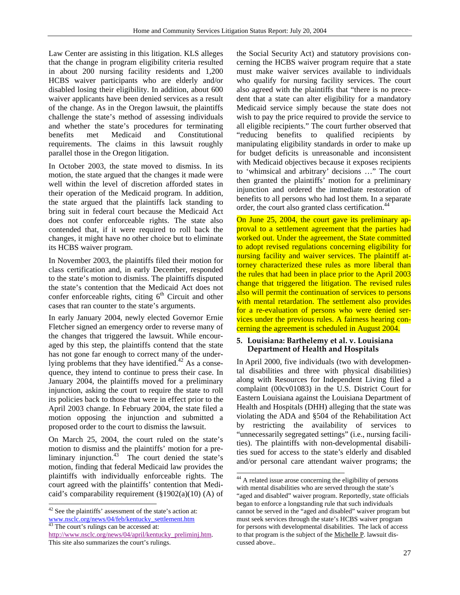Law Center are assisting in this litigation. KLS alleges that the change in program eligibility criteria resulted in about 200 nursing facility residents and 1,200 HCBS waiver participants who are elderly and/or disabled losing their eligibility. In addition, about 600 waiver applicants have been denied services as a result of the change. As in the Oregon lawsuit, the plaintiffs challenge the state's method of assessing individuals and whether the state's procedures for terminating benefits met Medicaid and Constitutional requirements. The claims in this lawsuit roughly parallel those in the Oregon litigation.

In October 2003, the state moved to dismiss. In its motion, the state argued that the changes it made were well within the level of discretion afforded states in their operation of the Medicaid program. In addition, the state argued that the plaintiffs lack standing to bring suit in federal court because the Medicaid Act does not confer enforceable rights. The state also contended that, if it were required to roll back the changes, it might have no other choice but to eliminate its HCBS waiver program.

In November 2003, the plaintiffs filed their motion for class certification and, in early December, responded to the state's motion to dismiss. The plaintiffs disputed the state's contention that the Medicaid Act does not confer enforceable rights, citing  $6<sup>th</sup>$  Circuit and other cases that ran counter to the state's arguments.

In early January 2004, newly elected Governor Ernie Fletcher signed an emergency order to reverse many of the changes that triggered the lawsuit. While encouraged by this step, the plaintiffs contend that the state has not gone far enough to correct many of the underlying problems that they have identified. $42$  As a consequence, they intend to continue to press their case. In January 2004, the plaintiffs moved for a preliminary injunction, asking the court to require the state to roll its policies back to those that were in effect prior to the April 2003 change. In February 2004, the state filed a motion opposing the injunction and submitted a proposed order to the court to dismiss the lawsuit.

On March 25, 2004, the court ruled on the state's motion to dismiss and the plaintiffs' motion for a preliminary injunction. $43$  The court denied the state's motion, finding that federal Medicaid law provides the plaintiffs with individually enforceable rights. The court agreed with the plaintiffs' contention that Medicaid's comparability requirement  $(\S 1902(a)(10)$  (A) of

l

the Social Security Act) and statutory provisions concerning the HCBS waiver program require that a state must make waiver services available to individuals who qualify for nursing facility services. The court also agreed with the plaintiffs that "there is no precedent that a state can alter eligibility for a mandatory Medicaid service simply because the state does not wish to pay the price required to provide the service to all eligible recipients." The court further observed that "reducing benefits to qualified recipients by manipulating eligibility standards in order to make up for budget deficits is unreasonable and inconsistent with Medicaid objectives because it exposes recipients to 'whimsical and arbitrary' decisions …" The court then granted the plaintiffs' motion for a preliminary injunction and ordered the immediate restoration of benefits to all persons who had lost them. In a separate order, the court also granted class certification.<sup>44</sup>

On June 25, 2004, the court gave its preliminary approval to a settlement agreement that the parties had worked out. Under the agreement, the State committed to adopt revised regulations concerning eligibility for nursing facility and waiver services. The plaintiff attorney characterized these rules as more liberal than the rules that had been in place prior to the April 2003 change that triggered the litigation. The revised rules also will permit the continuation of services to persons with mental retardation. The settlement also provides for a re-evaluation of persons who were denied services under the previous rules. A fairness hearing concerning the agreement is scheduled in August 2004.

# **5. Louisiana: Barthelemy et al. v. Louisiana Department of Health and Hospitals**

In April 2000, five individuals (two with developmental disabilities and three with physical disabilities) along with Resources for Independent Living filed a complaint (00cv01083) in the U.S. District Court for Eastern Louisiana against the Louisiana Department of Health and Hospitals (DHH) alleging that the state was violating the ADA and §504 of the Rehabilitation Act by restricting the availability of services to "unnecessarily segregated settings" (i.e., nursing facilities). The plaintiffs with non-developmental disabilities sued for access to the state's elderly and disabled and/or personal care attendant waiver programs; the

 $42$  See the plaintiffs' assessment of the state's action at: www.nsclc.org/news/04/feb/kentucky\_settlement.htm <sup>43</sup> The court's rulings can be accessed at:

http://www.nsclc.org/news/04/april/kentucky\_preliminj.htm. This site also summarizes the court's rulings.

 $44$  A related issue arose concerning the eligibility of persons with mental disabilities who are served through the state's "aged and disabled" waiver program. Reportedly, state officials began to enforce a longstanding rule that such individuals cannot be served in the "aged and disabled" waiver program but must seek services through the state's HCBS waiver program for persons with developmental disabilities. The lack of access to that program is the subject of the Michelle P. lawsuit discussed above..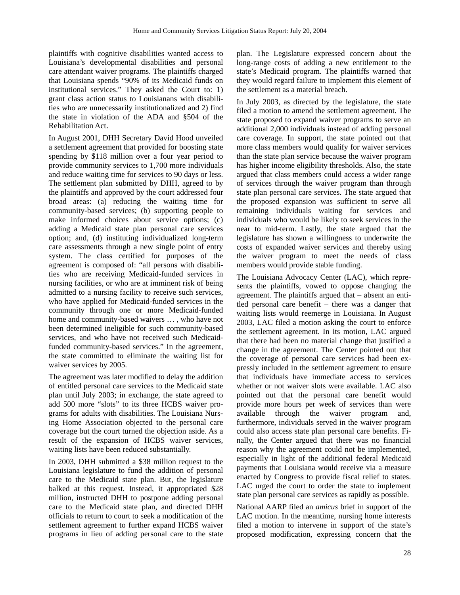plaintiffs with cognitive disabilities wanted access to Louisiana's developmental disabilities and personal care attendant waiver programs. The plaintiffs charged that Louisiana spends "90% of its Medicaid funds on institutional services." They asked the Court to: 1) grant class action status to Louisianans with disabilities who are unnecessarily institutionalized and 2) find the state in violation of the ADA and §504 of the Rehabilitation Act.

In August 2001, DHH Secretary David Hood unveiled a settlement agreement that provided for boosting state spending by \$118 million over a four year period to provide community services to 1,700 more individuals and reduce waiting time for services to 90 days or less. The settlement plan submitted by DHH, agreed to by the plaintiffs and approved by the court addressed four broad areas: (a) reducing the waiting time for community-based services; (b) supporting people to make informed choices about service options; (c) adding a Medicaid state plan personal care services option; and, (d) instituting individualized long-term care assessments through a new single point of entry system. The class certified for purposes of the agreement is composed of: "all persons with disabilities who are receiving Medicaid-funded services in nursing facilities, or who are at imminent risk of being admitted to a nursing facility to receive such services, who have applied for Medicaid-funded services in the community through one or more Medicaid-funded home and community-based waivers … , who have not been determined ineligible for such community-based services, and who have not received such Medicaidfunded community-based services." In the agreement, the state committed to eliminate the waiting list for waiver services by 2005.

The agreement was later modified to delay the addition of entitled personal care services to the Medicaid state plan until July 2003; in exchange, the state agreed to add 500 more "slots" to its three HCBS waiver programs for adults with disabilities. The Louisiana Nursing Home Association objected to the personal care coverage but the court turned the objection aside. As a result of the expansion of HCBS waiver services, waiting lists have been reduced substantially.

In 2003, DHH submitted a \$38 million request to the Louisiana legislature to fund the addition of personal care to the Medicaid state plan. But, the legislature balked at this request. Instead, it appropriated \$28 million, instructed DHH to postpone adding personal care to the Medicaid state plan, and directed DHH officials to return to court to seek a modification of the settlement agreement to further expand HCBS waiver programs in lieu of adding personal care to the state plan. The Legislature expressed concern about the long-range costs of adding a new entitlement to the state's Medicaid program. The plaintiffs warned that they would regard failure to implement this element of the settlement as a material breach.

In July 2003, as directed by the legislature, the state filed a motion to amend the settlement agreement. The state proposed to expand waiver programs to serve an additional 2,000 individuals instead of adding personal care coverage. In support, the state pointed out that more class members would qualify for waiver services than the state plan service because the waiver program has higher income eligibility thresholds. Also, the state argued that class members could access a wider range of services through the waiver program than through state plan personal care services. The state argued that the proposed expansion was sufficient to serve all remaining individuals waiting for services and individuals who would be likely to seek services in the near to mid-term. Lastly, the state argued that the legislature has shown a willingness to underwrite the costs of expanded waiver services and thereby using the waiver program to meet the needs of class members would provide stable funding.

The Louisiana Advocacy Center (LAC), which represents the plaintiffs, vowed to oppose changing the agreement. The plaintiffs argued that – absent an entitled personal care benefit – there was a danger that waiting lists would reemerge in Louisiana. In August 2003, LAC filed a motion asking the court to enforce the settlement agreement. In its motion, LAC argued that there had been no material change that justified a change in the agreement. The Center pointed out that the coverage of personal care services had been expressly included in the settlement agreement to ensure that individuals have immediate access to services whether or not waiver slots were available. LAC also pointed out that the personal care benefit would provide more hours per week of services than were available through the waiver program and, furthermore, individuals served in the waiver program could also access state plan personal care benefits. Finally, the Center argued that there was no financial reason why the agreement could not be implemented, especially in light of the additional federal Medicaid payments that Louisiana would receive via a measure enacted by Congress to provide fiscal relief to states. LAC urged the court to order the state to implement state plan personal care services as rapidly as possible.

National AARP filed an *amicus* brief in support of the LAC motion. In the meantime, nursing home interests filed a motion to intervene in support of the state's proposed modification, expressing concern that the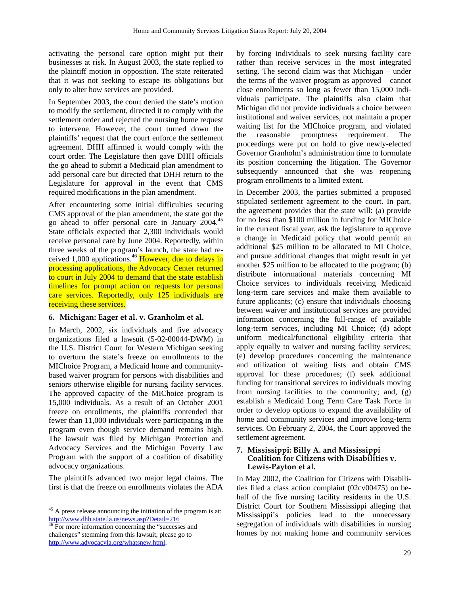activating the personal care option might put their businesses at risk. In August 2003, the state replied to the plaintiff motion in opposition. The state reiterated that it was not seeking to escape its obligations but only to alter how services are provided.

In September 2003, the court denied the state's motion to modify the settlement, directed it to comply with the settlement order and rejected the nursing home request to intervene. However, the court turned down the plaintiffs' request that the court enforce the settlement agreement. DHH affirmed it would comply with the court order. The Legislature then gave DHH officials the go ahead to submit a Medicaid plan amendment to add personal care but directed that DHH return to the Legislature for approval in the event that CMS required modifications in the plan amendment.

After encountering some initial difficulties securing CMS approval of the plan amendment, the state got the go ahead to offer personal care in January 2004.<sup>45</sup> State officials expected that 2,300 individuals would receive personal care by June 2004. Reportedly, within three weeks of the program's launch, the state had received 1,000 applications.<sup>46</sup> However, due to delays in processing applications, the Advocacy Center returned to court in July 2004 to demand that the state establish timelines for prompt action on requests for personal care services. Reportedly, only 125 individuals are receiving these services.

## **6. Michigan: Eager et al. v. Granholm et al.**

In March, 2002, six individuals and five advocacy organizations filed a lawsuit (5-02-00044-DWM) in the U.S. District Court for Western Michigan seeking to overturn the state's freeze on enrollments to the MIChoice Program, a Medicaid home and communitybased waiver program for persons with disabilities and seniors otherwise eligible for nursing facility services. The approved capacity of the MIChoice program is 15,000 individuals. As a result of an October 2001 freeze on enrollments, the plaintiffs contended that fewer than 11,000 individuals were participating in the program even though service demand remains high. The lawsuit was filed by Michigan Protection and Advocacy Services and the Michigan Poverty Law Program with the support of a coalition of disability advocacy organizations.

The plaintiffs advanced two major legal claims. The first is that the freeze on enrollments violates the ADA

l

by forcing individuals to seek nursing facility care rather than receive services in the most integrated setting. The second claim was that Michigan – under the terms of the waiver program as approved – cannot close enrollments so long as fewer than 15,000 individuals participate. The plaintiffs also claim that Michigan did not provide individuals a choice between institutional and waiver services, not maintain a proper waiting list for the MIChoice program, and violated the reasonable promptness requirement. The proceedings were put on hold to give newly-elected Governor Granholm's administration time to formulate its position concerning the litigation. The Governor subsequently announced that she was reopening program enrollments to a limited extent.

In December 2003, the parties submitted a proposed stipulated settlement agreement to the court. In part, the agreement provides that the state will: (a) provide for no less than \$100 million in funding for MIChoice in the current fiscal year, ask the legislature to approve a change in Medicaid policy that would permit an additional \$25 million to be allocated to MI Choice, and pursue additional changes that might result in yet another \$25 million to be allocated to the program; (b) distribute informational materials concerning MI Choice services to individuals receiving Medicaid long-term care services and make them available to future applicants; (c) ensure that individuals choosing between waiver and institutional services are provided information concerning the full-range of available long-term services, including MI Choice; (d) adopt uniform medical/functional eligibility criteria that apply equally to waiver and nursing facility services; (e) develop procedures concerning the maintenance and utilization of waiting lists and obtain CMS approval for these procedures; (f) seek additional funding for transitional services to individuals moving from nursing facilities to the community; and, (g) establish a Medicaid Long Term Care Task Force in order to develop options to expand the availability of home and community services and improve long-term services. On February 2, 2004, the Court approved the settlement agreement.

## **7. Mississippi: Billy A. and Mississippi Coalition for Citizens with Disabilities v. Lewis-Payton et al.**

In May 2002, the Coalition for Citizens with Disabilities filed a class action complaint (02cv00475) on behalf of the five nursing facility residents in the U.S. District Court for Southern Mississippi alleging that Mississippi's policies lead to the unnecessary segregation of individuals with disabilities in nursing homes by not making home and community services

<sup>&</sup>lt;sup>45</sup> A press release announcing the initiation of the program is at: http://www.dhh.state.la.us/news.asp?Detail=216<br><sup>46</sup> For more information concerning the "successes and

challenges" stemming from this lawsuit, please go to http://www.advocacyla.org/whatsnew.html.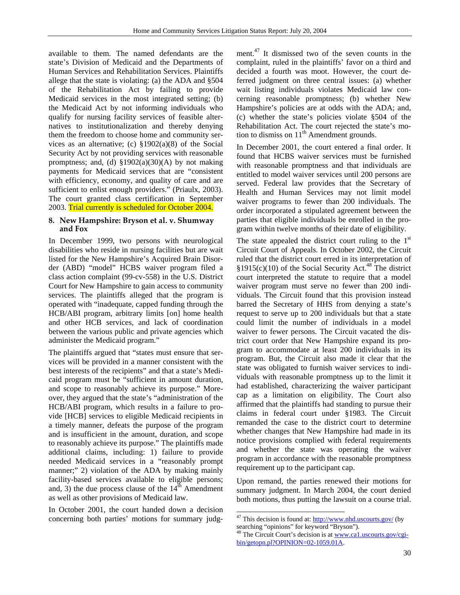available to them. The named defendants are the state's Division of Medicaid and the Departments of Human Services and Rehabilitation Services. Plaintiffs allege that the state is violating: (a) the ADA and §504 of the Rehabilitation Act by failing to provide Medicaid services in the most integrated setting; (b) the Medicaid Act by not informing individuals who qualify for nursing facility services of feasible alternatives to institutionalization and thereby denying them the freedom to choose home and community services as an alternative; (c) §1902(a)(8) of the Social Security Act by not providing services with reasonable promptness; and, (d)  $$1902(a)(30)(A)$  by not making payments for Medicaid services that are "consistent with efficiency, economy, and quality of care and are sufficient to enlist enough providers." (Priaulx, 2003). The court granted class certification in September 2003. Trial currently is scheduled for October 2004.

#### **8. New Hampshire: Bryson et al. v. Shumway and Fox**

In December 1999, two persons with neurological disabilities who reside in nursing facilities but are wait listed for the New Hampshire's Acquired Brain Disorder (ABD) "model" HCBS waiver program filed a class action complaint (99-cv-558) in the U.S. District Court for New Hampshire to gain access to community services. The plaintiffs alleged that the program is operated with "inadequate, capped funding through the HCB/ABI program, arbitrary limits [on] home health and other HCB services, and lack of coordination between the various public and private agencies which administer the Medicaid program."

The plaintiffs argued that "states must ensure that services will be provided in a manner consistent with the best interests of the recipients" and that a state's Medicaid program must be "sufficient in amount duration, and scope to reasonably achieve its purpose." Moreover, they argued that the state's "administration of the HCB/ABI program, which results in a failure to provide [HCB] services to eligible Medicaid recipients in a timely manner, defeats the purpose of the program and is insufficient in the amount, duration, and scope to reasonably achieve its purpose." The plaintiffs made additional claims, including: 1) failure to provide needed Medicaid services in a "reasonably prompt manner;" 2) violation of the ADA by making mainly facility-based services available to eligible persons; and, 3) the due process clause of the  $14^{\text{th}}$  Amendment as well as other provisions of Medicaid law.

In October 2001, the court handed down a decision concerning both parties' motions for summary judgment.<sup>47</sup> It dismissed two of the seven counts in the complaint, ruled in the plaintiffs' favor on a third and decided a fourth was moot. However, the court deferred judgment on three central issues: (a) whether wait listing individuals violates Medicaid law concerning reasonable promptness; (b) whether New Hampshire's policies are at odds with the ADA; and, (c) whether the state's policies violate §504 of the Rehabilitation Act. The court rejected the state's motion to dismiss on  $11<sup>th</sup>$  Amendment grounds.

In December 2001, the court entered a final order. It found that HCBS waiver services must be furnished with reasonable promptness and that individuals are entitled to model waiver services until 200 persons are served. Federal law provides that the Secretary of Health and Human Services may not limit model waiver programs to fewer than 200 individuals. The order incorporated a stipulated agreement between the parties that eligible individuals be enrolled in the program within twelve months of their date of eligibility.

The state appealed the district court ruling to the  $1<sup>st</sup>$ Circuit Court of Appeals. In October 2002, the Circuit ruled that the district court erred in its interpretation of §1915(c)(10) of the Social Security Act.<sup>48</sup> The district court interpreted the statute to require that a model waiver program must serve no fewer than 200 individuals. The Circuit found that this provision instead barred the Secretary of HHS from denying a state's request to serve up to 200 individuals but that a state could limit the number of individuals in a model waiver to fewer persons. The Circuit vacated the district court order that New Hampshire expand its program to accommodate at least 200 individuals in its program. But, the Circuit also made it clear that the state was obligated to furnish waiver services to individuals with reasonable promptness up to the limit it had established, characterizing the waiver participant cap as a limitation on eligibility. The Court also affirmed that the plaintiffs had standing to pursue their claims in federal court under §1983. The Circuit remanded the case to the district court to determine whether changes that New Hampshire had made in its notice provisions complied with federal requirements and whether the state was operating the waiver program in accordance with the reasonable promptness requirement up to the participant cap.

Upon remand, the parties renewed their motions for summary judgment. In March 2004, the court denied both motions, thus putting the lawsuit on a course trial.

 $47$  This decision is found at: http://www.nhd.uscourts.gov/ (by searching "opinions" for keyword "Bryson").

<sup>&</sup>lt;sup>48</sup> The Circuit Court's decision is at www.ca1.uscourts.gov/cgibin/getopn.pl?OPINION=02-1059.01A.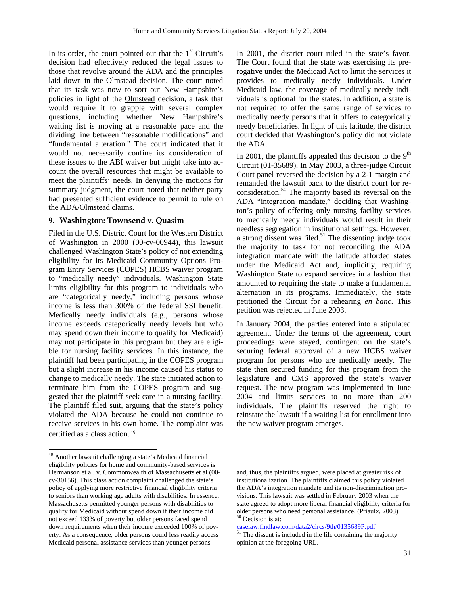In its order, the court pointed out that the  $1<sup>st</sup>$  Circuit's decision had effectively reduced the legal issues to those that revolve around the ADA and the principles laid down in the Olmstead decision. The court noted that its task was now to sort out New Hampshire's policies in light of the Olmstead decision, a task that would require it to grapple with several complex questions, including whether New Hampshire's waiting list is moving at a reasonable pace and the dividing line between "reasonable modifications" and "fundamental alteration." The court indicated that it would not necessarily confine its consideration of these issues to the ABI waiver but might take into account the overall resources that might be available to meet the plaintiffs' needs. In denying the motions for summary judgment, the court noted that neither party had presented sufficient evidence to permit to rule on the ADA/Olmstead claims.

# **9. Washington: Townsend v. Quasim**

Filed in the U.S. District Court for the Western District of Washington in 2000 (00-cv-00944), this lawsuit challenged Washington State's policy of not extending eligibility for its Medicaid Community Options Program Entry Services (COPES) HCBS waiver program to "medically needy" individuals. Washington State limits eligibility for this program to individuals who are "categorically needy," including persons whose income is less than 300% of the federal SSI benefit. Medically needy individuals (e.g., persons whose income exceeds categorically needy levels but who may spend down their income to qualify for Medicaid) may not participate in this program but they are eligible for nursing facility services. In this instance, the plaintiff had been participating in the COPES program but a slight increase in his income caused his status to change to medically needy. The state initiated action to terminate him from the COPES program and suggested that the plaintiff seek care in a nursing facility. The plaintiff filed suit, arguing that the state's policy violated the ADA because he could not continue to receive services in his own home. The complaint was certified as a class action.<sup>49</sup>

l

In 2001, the district court ruled in the state's favor. The Court found that the state was exercising its prerogative under the Medicaid Act to limit the services it provides to medically needy individuals. Under Medicaid law, the coverage of medically needy individuals is optional for the states. In addition, a state is not required to offer the same range of services to medically needy persons that it offers to categorically needy beneficiaries. In light of this latitude, the district court decided that Washington's policy did not violate the ADA.

In 2001, the plaintiffs appealed this decision to the  $9<sup>th</sup>$ Circuit (01-35689). In May 2003, a three-judge Circuit Court panel reversed the decision by a 2-1 margin and remanded the lawsuit back to the district court for reconsideration.<sup>50</sup> The majority based its reversal on the ADA "integration mandate," deciding that Washington's policy of offering only nursing facility services to medically needy individuals would result in their needless segregation in institutional settings. However, a strong dissent was filed.<sup>51</sup> The dissenting judge took the majority to task for not reconciling the ADA integration mandate with the latitude afforded states under the Medicaid Act and, implicitly, requiring Washington State to expand services in a fashion that amounted to requiring the state to make a fundamental alternation in its programs. Immediately, the state petitioned the Circuit for a rehearing *en banc*. This petition was rejected in June 2003.

In January 2004, the parties entered into a stipulated agreement. Under the terms of the agreement, court proceedings were stayed, contingent on the state's securing federal approval of a new HCBS waiver program for persons who are medically needy. The state then secured funding for this program from the legislature and CMS approved the state's waiver request. The new program was implemented in June 2004 and limits services to no more than 200 individuals. The plaintiffs reserved the right to reinstate the lawsuit if a waiting list for enrollment into the new waiver program emerges.

<sup>49</sup> Another lawsuit challenging a state's Medicaid financial eligibility policies for home and community-based services is Hermanson et al. v. Commonwealth of Massachusetts et al (00 cv-30156). This class action complaint challenged the state's policy of applying more restrictive financial eligibility criteria to seniors than working age adults with disabilities. In essence, Massachusetts permitted younger persons with disabilities to qualify for Medicaid without spend down if their income did not exceed 133% of poverty but older persons faced spend down requirements when their income exceeded 100% of poverty. As a consequence, older persons could less readily access Medicaid personal assistance services than younger persons

and, thus, the plaintiffs argued, were placed at greater risk of institutionalization. The plaintiffs claimed this policy violated the ADA's integration mandate and its non-discrimination provisions. This lawsuit was settled in February 2003 when the state agreed to adopt more liberal financial eligibility criteria for older persons who need personal assistance. (Priaulx, 2003)  $50$  Decision is at:

caselaw.findlaw.com/data2/circs/9th/0135689P.pdf 51 The dissent is included in the file containing the majority opinion at the foregoing URL.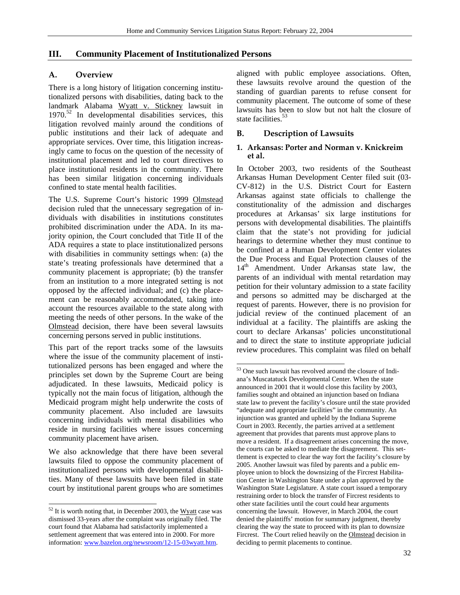$\overline{a}$ 

# **III. Community Placement of Institutionalized Persons**

# **A. Overview**

There is a long history of litigation concerning institutionalized persons with disabilities, dating back to the landmark Alabama Wyatt v. Stickney lawsuit in  $1970.<sup>52</sup>$  In developmental disabilities services, this litigation revolved mainly around the conditions of public institutions and their lack of adequate and appropriate services. Over time, this litigation increasingly came to focus on the question of the necessity of institutional placement and led to court directives to place institutional residents in the community. There has been similar litigation concerning individuals confined to state mental health facilities.

The U.S. Supreme Court's historic 1999 Olmstead decision ruled that the unnecessary segregation of individuals with disabilities in institutions constitutes prohibited discrimination under the ADA. In its majority opinion, the Court concluded that Title II of the ADA requires a state to place institutionalized persons with disabilities in community settings when: (a) the state's treating professionals have determined that a community placement is appropriate; (b) the transfer from an institution to a more integrated setting is not opposed by the affected individual; and (c) the placement can be reasonably accommodated, taking into account the resources available to the state along with meeting the needs of other persons. In the wake of the Olmstead decision, there have been several lawsuits concerning persons served in public institutions.

This part of the report tracks some of the lawsuits where the issue of the community placement of institutionalized persons has been engaged and where the principles set down by the Supreme Court are being adjudicated. In these lawsuits, Medicaid policy is typically not the main focus of litigation, although the Medicaid program might help underwrite the costs of community placement. Also included are lawsuits concerning individuals with mental disabilities who reside in nursing facilities where issues concerning community placement have arisen.

We also acknowledge that there have been several lawsuits filed to oppose the community placement of institutionalized persons with developmental disabilities. Many of these lawsuits have been filed in state court by institutional parent groups who are sometimes

l

aligned with public employee associations. Often, these lawsuits revolve around the question of the standing of guardian parents to refuse consent for community placement. The outcome of some of these lawsuits has been to slow but not halt the closure of state facilities.<sup>53</sup>

# **B. Description of Lawsuits**

# **1. Arkansas: Porter and Norman v. Knickreim et al.**

In October 2003, two residents of the Southeast Arkansas Human Development Center filed suit (03- CV-812) in the U.S. District Court for Eastern Arkansas against state officials to challenge the constitutionality of the admission and discharges procedures at Arkansas' six large institutions for persons with developmental disabilities. The plaintiffs claim that the state's not providing for judicial hearings to determine whether they must continue to be confined at a Human Development Center violates the Due Process and Equal Protection clauses of the 14<sup>th</sup> Amendment. Under Arkansas state law, the parents of an individual with mental retardation may petition for their voluntary admission to a state facility and persons so admitted may be discharged at the request of parents. However, there is no provision for judicial review of the continued placement of an individual at a facility. The plaintiffs are asking the court to declare Arkansas' policies unconstitutional and to direct the state to institute appropriate judicial review procedures. This complaint was filed on behalf

 $52$  It is worth noting that, in December 2003, the Wyatt case was dismissed 33-years after the complaint was originally filed. The court found that Alabama had satisfactorily implemented a settlement agreement that was entered into in 2000. For more information: www.bazelon.org/newsroom/12-15-03wyatt.htm.

<sup>53</sup> One such lawsuit has revolved around the closure of Indiana's Muscatatuck Developmental Center. When the state announced in 2001 that it would close this facility by 2003, families sought and obtained an injunction based on Indiana state law to prevent the facility's closure until the state provided "adequate and appropriate facilities" in the community. An injunction was granted and upheld by the Indiana Supreme Court in 2003. Recently, the parties arrived at a settlement agreement that provides that parents must approve plans to move a resident. If a disagreement arises concerning the move, the courts can be asked to mediate the disagreement. This settlement is expected to clear the way fort the facility's closure by 2005. Another lawsuit was filed by parents and a public employee union to block the downsizing of the Fircrest Habilitation Center in Washington State under a plan approved by the Washington State Legislature. A state court issued a temporary restraining order to block the transfer of Fircrest residents to other state facilities until the court could hear arguments concerning the lawsuit. However, in March 2004, the court denied the plaintiffs' motion for summary judgment, thereby clearing the way the state to proceed with its plan to downsize Fircrest. The Court relied heavily on the Olmstead decision in deciding to permit placements to continue.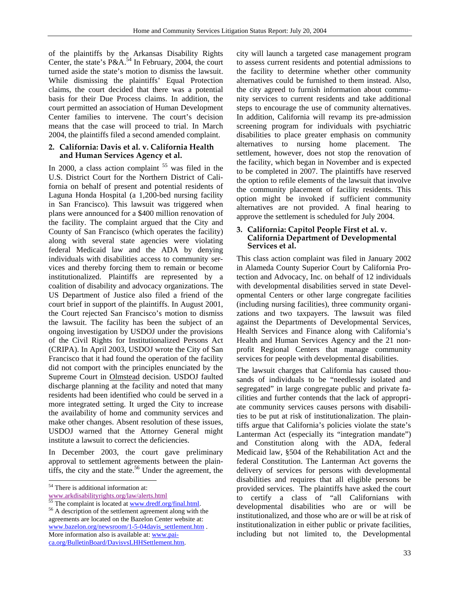of the plaintiffs by the Arkansas Disability Rights Center, the state's P&A.<sup>54</sup> In February, 2004, the court turned aside the state's motion to dismiss the lawsuit. While dismissing the plaintiffs' Equal Protection claims, the court decided that there was a potential basis for their Due Process claims. In addition, the court permitted an association of Human Development Center families to intervene. The court's decision means that the case will proceed to trial. In March 2004, the plaintiffs filed a second amended complaint.

#### **2. California: Davis et al. v. California Health and Human Services Agency et al.**

In 2000, a class action complaint  $55$  was filed in the U.S. District Court for the Northern District of California on behalf of present and potential residents of Laguna Honda Hospital (a 1,200-bed nursing facility in San Francisco). This lawsuit was triggered when plans were announced for a \$400 million renovation of the facility. The complaint argued that the City and County of San Francisco (which operates the facility) along with several state agencies were violating federal Medicaid law and the ADA by denying individuals with disabilities access to community services and thereby forcing them to remain or become institutionalized. Plaintiffs are represented by a coalition of disability and advocacy organizations. The US Department of Justice also filed a friend of the court brief in support of the plaintiffs. In August 2001, the Court rejected San Francisco's motion to dismiss the lawsuit. The facility has been the subject of an ongoing investigation by USDOJ under the provisions of the Civil Rights for Institutionalized Persons Act (CRIPA). In April 2003, USDOJ wrote the City of San Francisco that it had found the operation of the facility did not comport with the principles enunciated by the Supreme Court in Olmstead decision. USDOJ faulted discharge planning at the facility and noted that many residents had been identified who could be served in a more integrated setting. It urged the City to increase the availability of home and community services and make other changes. Absent resolution of these issues, USDOJ warned that the Attorney General might institute a lawsuit to correct the deficiencies.

In December 2003, the court gave preliminary approval to settlement agreements between the plaintiffs, the city and the state.<sup>56</sup> Under the agreement, the city will launch a targeted case management program to assess current residents and potential admissions to the facility to determine whether other community alternatives could be furnished to them instead. Also, the city agreed to furnish information about community services to current residents and take additional steps to encourage the use of community alternatives. In addition, California will revamp its pre-admission screening program for individuals with psychiatric disabilities to place greater emphasis on community alternatives to nursing home placement. The settlement, however, does not stop the renovation of the facility, which began in November and is expected to be completed in 2007. The plaintiffs have reserved the option to refile elements of the lawsuit that involve the community placement of facility residents. This option might be invoked if sufficient community alternatives are not provided. A final hearing to approve the settlement is scheduled for July 2004.

## **3. California: Capitol People First et al. v. California Department of Developmental Services et al.**

This class action complaint was filed in January 2002 in Alameda County Superior Court by California Protection and Advocacy, Inc. on behalf of 12 individuals with developmental disabilities served in state Developmental Centers or other large congregate facilities (including nursing facilities), three community organizations and two taxpayers. The lawsuit was filed against the Departments of Developmental Services, Health Services and Finance along with California's Health and Human Services Agency and the 21 nonprofit Regional Centers that manage community services for people with developmental disabilities.

The lawsuit charges that California has caused thousands of individuals to be "needlessly isolated and segregated" in large congregate public and private facilities and further contends that the lack of appropriate community services causes persons with disabilities to be put at risk of institutionalization. The plaintiffs argue that California's policies violate the state's Lanterman Act (especially its "integration mandate") and Constitution along with the ADA, federal Medicaid law, §504 of the Rehabilitation Act and the federal Constitution. The Lanterman Act governs the delivery of services for persons with developmental disabilities and requires that all eligible persons be provided services. The plaintiffs have asked the court to certify a class of "all Californians with developmental disabilities who are or will be institutionalized, and those who are or will be at risk of institutionalization in either public or private facilities, including but not limited to, the Developmental

l <sup>54</sup> There is additional information at:

www.arkdisabilityrights.org/law/alerts.html<br>
<sup>55</sup> The complaint is located at <u>www.dredf.org/final.html</u>.<br>
<sup>56</sup> A description of the settlement agreement along with the agreements are located on the Bazelon Center website at: www.bazelon.org/newsroom/1-5-04davis\_settlement.htm . More information also is available at: www.paica.org/BulletinBoard/DavisvsLHHSettlement.htm.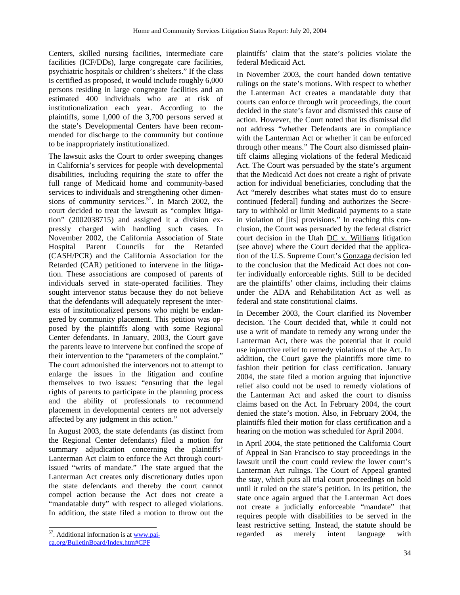Centers, skilled nursing facilities, intermediate care facilities (ICF/DDs), large congregate care facilities, psychiatric hospitals or children's shelters." If the class is certified as proposed, it would include roughly 6,000 persons residing in large congregate facilities and an estimated 400 individuals who are at risk of institutionalization each year. According to the plaintiffs, some 1,000 of the 3,700 persons served at the state's Developmental Centers have been recommended for discharge to the community but continue to be inappropriately institutionalized.

The lawsuit asks the Court to order sweeping changes in California's services for people with developmental disabilities, including requiring the state to offer the full range of Medicaid home and community-based services to individuals and strengthening other dimensions of community services. $57$ . In March 2002, the court decided to treat the lawsuit as "complex litigation" (2002038715) and assigned it a division expressly charged with handling such cases. In November 2002, the California Association of State Hospital Parent Councils for the Retarded (CASH/PCR) and the California Association for the Retarded (CAR) petitioned to intervene in the litigation. These associations are composed of parents of individuals served in state-operated facilities. They sought intervenor status because they do not believe that the defendants will adequately represent the interests of institutionalized persons who might be endangered by community placement. This petition was opposed by the plaintiffs along with some Regional Center defendants. In January, 2003, the Court gave the parents leave to intervene but confined the scope of their intervention to the "parameters of the complaint." The court admonished the intervenors not to attempt to enlarge the issues in the litigation and confine themselves to two issues: "ensuring that the legal rights of parents to participate in the planning process and the ability of professionals to recommend placement in developmental centers are not adversely affected by any judgment in this action."

In August 2003, the state defendants (as distinct from the Regional Center defendants) filed a motion for summary adjudication concerning the plaintiffs' Lanterman Act claim to enforce the Act through courtissued "writs of mandate." The state argued that the Lanterman Act creates only discretionary duties upon the state defendants and thereby the court cannot compel action because the Act does not create a "mandatable duty" with respect to alleged violations. In addition, the state filed a motion to throw out the

l

plaintiffs' claim that the state's policies violate the federal Medicaid Act.

In November 2003, the court handed down tentative rulings on the state's motions. With respect to whether the Lanterman Act creates a mandatable duty that courts can enforce through writ proceedings, the court decided in the state's favor and dismissed this cause of action. However, the Court noted that its dismissal did not address "whether Defendants are in compliance with the Lanterman Act or whether it can be enforced through other means." The Court also dismissed plaintiff claims alleging violations of the federal Medicaid Act. The Court was persuaded by the state's argument that the Medicaid Act does not create a right of private action for individual beneficiaries, concluding that the Act "merely describes what states must do to ensure continued [federal] funding and authorizes the Secretary to withhold or limit Medicaid payments to a state in violation of [its] provisions." In reaching this conclusion, the Court was persuaded by the federal district court decision in the Utah DC v. Williams litigation (see above) where the Court decided that the application of the U.S. Supreme Court's Gonzaga decision led to the conclusion that the Medicaid Act does not confer individually enforceable rights. Still to be decided are the plaintiffs' other claims, including their claims under the ADA and Rehabilitation Act as well as federal and state constitutional claims.

In December 2003, the Court clarified its November decision. The Court decided that, while it could not use a writ of mandate to remedy any wrong under the Lanterman Act, there was the potential that it could use injunctive relief to remedy violations of the Act. In addition, the Court gave the plaintiffs more time to fashion their petition for class certification. January 2004, the state filed a motion arguing that injunctive relief also could not be used to remedy violations of the Lanterman Act and asked the court to dismiss claims based on the Act. In February 2004, the court denied the state's motion. Also, in February 2004, the plaintiffs filed their motion for class certification and a hearing on the motion was scheduled for April 2004.

In April 2004, the state petitioned the California Court of Appeal in San Francisco to stay proceedings in the lawsuit until the court could review the lower court's Lanterman Act rulings. The Court of Appeal granted the stay, which puts all trial court proceedings on hold until it ruled on the state's petition. In its petition, the state once again argued that the Lanterman Act does not create a judicially enforceable "mandate" that requires people with disabilities to be served in the least restrictive setting. Instead, the statute should be regarded as merely intent language with

<sup>&</sup>lt;sup>57</sup>. Additional information is at www.pai-

ca.org/BulletinBoard/Index.htm#CPF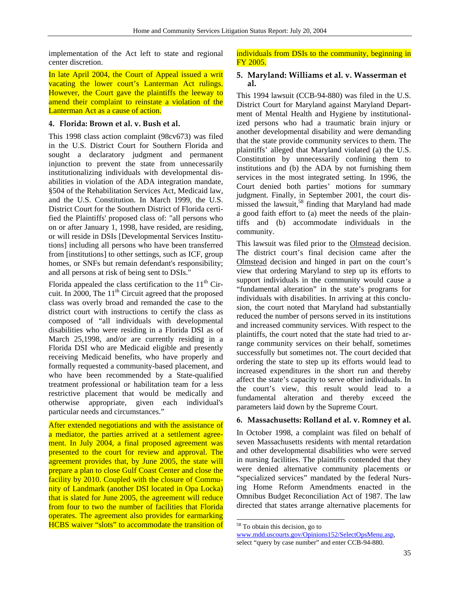implementation of the Act left to state and regional center discretion.

In late April 2004, the Court of Appeal issued a writ vacating the lower court's Lanterman Act rulings. However, the Court gave the plaintiffs the leeway to amend their complaint to reinstate a violation of the Lanterman Act as a cause of action.

## **4. Florida: Brown et al. v. Bush et al.**

This 1998 class action complaint (98cv673) was filed in the U.S. District Court for Southern Florida and sought a declaratory judgment and permanent injunction to prevent the state from unnecessarily institutionalizing individuals with developmental disabilities in violation of the ADA integration mandate, §504 of the Rehabilitation Services Act, Medicaid law, and the U.S. Constitution. In March 1999, the U.S. District Court for the Southern District of Florida certified the Plaintiffs' proposed class of: "all persons who on or after January 1, 1998, have resided, are residing, or will reside in DSIs [Developmental Services Institutions] including all persons who have been transferred from [institutions] to other settings, such as ICF, group homes, or SNFs but remain defendant's responsibility; and all persons at risk of being sent to DSIs."

Florida appealed the class certification to the  $11<sup>th</sup>$  Circuit. In 2000, The  $11<sup>th</sup>$  Circuit agreed that the proposed class was overly broad and remanded the case to the district court with instructions to certify the class as composed of "all individuals with developmental disabilities who were residing in a Florida DSI as of March 25,1998, and/or are currently residing in a Florida DSI who are Medicaid eligible and presently receiving Medicaid benefits, who have properly and formally requested a community-based placement, and who have been recommended by a State-qualified treatment professional or habilitation team for a less restrictive placement that would be medically and otherwise appropriate, given each individual's particular needs and circumstances."

After extended negotiations and with the assistance of a mediator, the parties arrived at a settlement agreement. In July 2004, a final proposed agreement was presented to the court for review and approval. The agreement provides that, by June 2005, the state will prepare a plan to close Gulf Coast Center and close the facility by 2010. Coupled with the closure of Community of Landmark (another DSI located in Opa Locka) that is slated for June 2005, the agreement will reduce from four to two the number of facilities that Florida operates. The agreement also provides for earmarking HCBS waiver "slots" to accommodate the transition of individuals from DSIs to the community, beginning in FY 2005.

#### **5. Maryland: Williams et al. v. Wasserman et al.**

This 1994 lawsuit (CCB-94-880) was filed in the U.S. District Court for Maryland against Maryland Department of Mental Health and Hygiene by institutionalized persons who had a traumatic brain injury or another developmental disability and were demanding that the state provide community services to them. The plaintiffs' alleged that Maryland violated (a) the U.S. Constitution by unnecessarily confining them to institutions and (b) the ADA by not furnishing them services in the most integrated setting. In 1996, the Court denied both parties' motions for summary judgment. Finally, in September 2001, the court dismissed the lawsuit,<sup>58</sup> finding that Maryland had made a good faith effort to (a) meet the needs of the plaintiffs and (b) accommodate individuals in the community.

This lawsuit was filed prior to the Olmstead decision. The district court's final decision came after the Olmstead decision and hinged in part on the court's view that ordering Maryland to step up its efforts to support individuals in the community would cause a "fundamental alteration" in the state's programs for individuals with disabilities. In arriving at this conclusion, the court noted that Maryland had substantially reduced the number of persons served in its institutions and increased community services. With respect to the plaintiffs, the court noted that the state had tried to arrange community services on their behalf, sometimes successfully but sometimes not. The court decided that ordering the state to step up its efforts would lead to increased expenditures in the short run and thereby affect the state's capacity to serve other individuals. In the court's view, this result would lead to a fundamental alteration and thereby exceed the parameters laid down by the Supreme Court.

## **6. Massachusetts: Rolland et al. v. Romney et al.**

In October 1998, a complaint was filed on behalf of seven Massachusetts residents with mental retardation and other developmental disabilities who were served in nursing facilities. The plaintiffs contended that they were denied alternative community placements or "specialized services" mandated by the federal Nursing Home Reform Amendments enacted in the Omnibus Budget Reconciliation Act of 1987. The law directed that states arrange alternative placements for

 $\overline{a}$ 

www.mdd.uscourts.gov/Opinions152/SelectOpsMenu.asp, select "query by case number" and enter CCB-94-880.

<sup>&</sup>lt;sup>58</sup> To obtain this decision, go to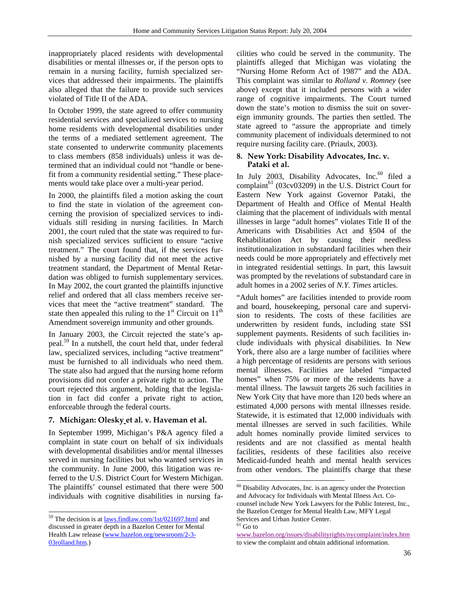inappropriately placed residents with developmental disabilities or mental illnesses or, if the person opts to remain in a nursing facility, furnish specialized services that addressed their impairments. The plaintiffs also alleged that the failure to provide such services violated of Title II of the ADA.

In October 1999, the state agreed to offer community residential services and specialized services to nursing home residents with developmental disabilities under the terms of a mediated settlement agreement. The state consented to underwrite community placements to class members (858 individuals) unless it was determined that an individual could not "handle or benefit from a community residential setting." These placements would take place over a multi-year period.

In 2000, the plaintiffs filed a motion asking the court to find the state in violation of the agreement concerning the provision of specialized services to individuals still residing in nursing facilities. In March 2001, the court ruled that the state was required to furnish specialized services sufficient to ensure "active treatment." The court found that, if the services furnished by a nursing facility did not meet the active treatment standard, the Department of Mental Retardation was obliged to furnish supplementary services. In May 2002, the court granted the plaintiffs injunctive relief and ordered that all class members receive services that meet the "active treatment" standard. The state then appealed this ruling to the  $1<sup>st</sup>$  Circuit on  $11<sup>th</sup>$ Amendment sovereign immunity and other grounds.

In January 2003, the Circuit rejected the state's appeal.59 In a nutshell, the court held that, under federal law, specialized services, including "active treatment" must be furnished to all individuals who need them. The state also had argued that the nursing home reform provisions did not confer a private right to action. The court rejected this argument, holding that the legislation in fact did confer a private right to action, enforceable through the federal courts.

## **7. Michigan: Olesky et al. v. Haveman et al.**

In September 1999, Michigan's P&A agency filed a complaint in state court on behalf of six individuals with developmental disabilities and/or mental illnesses served in nursing facilities but who wanted services in the community. In June 2000, this litigation was referred to the U.S. District Court for Western Michigan. The plaintiffs' counsel estimated that there were 500 individuals with cognitive disabilities in nursing fa-

l

cilities who could be served in the community. The plaintiffs alleged that Michigan was violating the "Nursing Home Reform Act of 1987" and the ADA. This complaint was similar to *Rolland v. Romney* (see above) except that it included persons with a wider range of cognitive impairments. The Court turned down the state's motion to dismiss the suit on sovereign immunity grounds. The parties then settled. The state agreed to "assure the appropriate and timely community placement of individuals determined to not require nursing facility care. (Priaulx, 2003).

#### **8. New York: Disability Advocates, Inc. v. Pataki et al.**

In July 2003, Disability Advocates, Inc. $60$  filed a complaint<sup>61</sup> (03cv03209) in the U.S. District Court for Eastern New York against Governor Pataki, the Department of Health and Office of Mental Health claiming that the placement of individuals with mental illnesses in large "adult homes" violates Title II of the Americans with Disabilities Act and §504 of the Rehabilitation Act by causing their needless institutionalization in substandard facilities when their needs could be more appropriately and effectively met in integrated residential settings. In part, this lawsuit was prompted by the revelations of substandard care in adult homes in a 2002 series of *N.Y. Times* articles.

"Adult homes" are facilities intended to provide room and board, housekeeping, personal care and supervision to residents. The costs of these facilities are underwritten by resident funds, including state SSI supplement payments. Residents of such facilities include individuals with physical disabilities. In New York, there also are a large number of facilities where a high percentage of residents are persons with serious mental illnesses. Facilities are labeled "impacted homes" when 75% or more of the residents have a mental illness. The lawsuit targets 26 such facilities in New York City that have more than 120 beds where an estimated 4,000 persons with mental illnesses reside. Statewide, it is estimated that 12,000 individuals with mental illnesses are served in such facilities. While adult homes nominally provide limited services to residents and are not classified as mental health facilities, residents of these facilities also receive Medicaid-funded health and mental health services from other vendors. The plaintiffs charge that these

<sup>&</sup>lt;sup>59</sup> The decision is at laws.findlaw.com/1st/021697.html and discussed in greater depth in a Bazelon Center for Mental Health Law release (www.bazelon.org/newsroom/2-3- 03rolland.htm.)

 $60$  Disability Advocates, Inc. is an agency under the Protection and Advocacy for Individuals with Mental Illness Act. Cocounsel include New York Lawyers for the Public Interest, Inc., the Bazelon Centger for Mental Health Law, MFY Legal Services and Urban Justice Center.

 $\rm ^{61}$  Go to

www.bazelon.org/issues/disabilityrights/nycomplaint/index.htm to view the complaint and obtain additional information.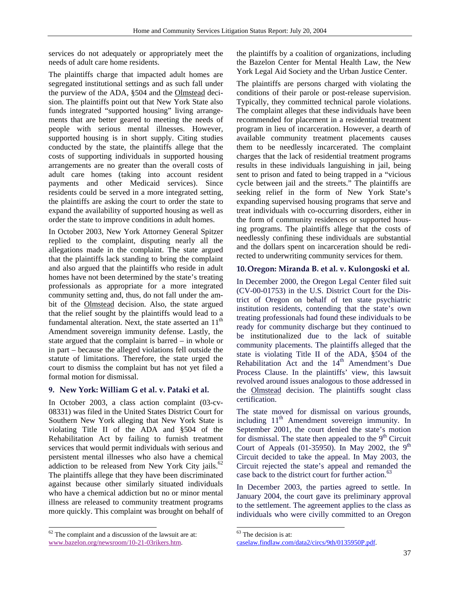services do not adequately or appropriately meet the needs of adult care home residents.

The plaintiffs charge that impacted adult homes are segregated institutional settings and as such fall under the purview of the ADA, §504 and the Olmstead decision. The plaintiffs point out that New York State also funds integrated "supported housing" living arrangements that are better geared to meeting the needs of people with serious mental illnesses. However, supported housing is in short supply. Citing studies conducted by the state, the plaintiffs allege that the costs of supporting individuals in supported housing arrangements are no greater than the overall costs of adult care homes (taking into account resident payments and other Medicaid services). Since residents could be served in a more integrated setting, the plaintiffs are asking the court to order the state to expand the availability of supported housing as well as order the state to improve conditions in adult homes.

In October 2003, New York Attorney General Spitzer replied to the complaint, disputing nearly all the allegations made in the complaint. The state argued that the plaintiffs lack standing to bring the complaint and also argued that the plaintiffs who reside in adult homes have not been determined by the state's treating professionals as appropriate for a more integrated community setting and, thus, do not fall under the ambit of the Olmstead decision. Also, the state argued that the relief sought by the plaintiffs would lead to a fundamental alteration. Next, the state asserted an  $11<sup>th</sup>$ Amendment sovereign immunity defense. Lastly, the state argued that the complaint is barred – in whole or in part – because the alleged violations fell outside the statute of limitations. Therefore, the state urged the court to dismiss the complaint but has not yet filed a formal motion for dismissal.

# **9. New York: William G et al. v. Pataki et al.**

In October 2003, a class action complaint (03-cv-08331) was filed in the United States District Court for Southern New York alleging that New York State is violating Title II of the ADA and §504 of the Rehabilitation Act by failing to furnish treatment services that would permit individuals with serious and persistent mental illnesses who also have a chemical addiction to be released from New York City jails. $62$ The plaintiffs allege that they have been discriminated against because other similarly situated individuals who have a chemical addiction but no or minor mental illness are released to community treatment programs more quickly. This complaint was brought on behalf of

l

the plaintiffs by a coalition of organizations, including the Bazelon Center for Mental Health Law, the New York Legal Aid Society and the Urban Justice Center.

The plaintiffs are persons charged with violating the conditions of their parole or post-release supervision. Typically, they committed technical parole violations. The complaint alleges that these individuals have been recommended for placement in a residential treatment program in lieu of incarceration. However, a dearth of available community treatment placements causes them to be needlessly incarcerated. The complaint charges that the lack of residential treatment programs results in these individuals languishing in jail, being sent to prison and fated to being trapped in a "vicious cycle between jail and the streets." The plaintiffs are seeking relief in the form of New York State's expanding supervised housing programs that serve and treat individuals with co-occurring disorders, either in the form of community residences or supported housing programs. The plaintiffs allege that the costs of needlessly confining these individuals are substantial and the dollars spent on incarceration should be redirected to underwriting community services for them.

# **10.Oregon: Miranda B. et al. v. Kulongoski et al.**

In December 2000, the Oregon Legal Center filed suit (CV-00-01753) in the U.S. District Court for the District of Oregon on behalf of ten state psychiatric institution residents, contending that the state's own treating professionals had found these individuals to be ready for community discharge but they continued to be institutionalized due to the lack of suitable community placements. The plaintiffs alleged that the state is violating Title II of the ADA, §504 of the Rehabilitation Act and the  $14<sup>th</sup>$  Amendment's Due Process Clause. In the plaintiffs' view, this lawsuit revolved around issues analogous to those addressed in the Olmstead decision. The plaintiffs sought class certification.

The state moved for dismissal on various grounds, including  $11<sup>th</sup>$  Amendment sovereign immunity. In September 2001, the court denied the state's motion for dismissal. The state then appealed to the  $9<sup>th</sup>$  Circuit Court of Appeals  $(01-35950)$ . In May 2002, the 9<sup>th</sup> Circuit decided to take the appeal. In May 2003, the Circuit rejected the state's appeal and remanded the case back to the district court for further action.<sup>63</sup>

In December 2003, the parties agreed to settle. In January 2004, the court gave its preliminary approval to the settlement. The agreement applies to the class as individuals who were civilly committed to an Oregon

l

 $62$  The complaint and a discussion of the lawsuit are at: www.bazelon.org/newsroom/10-21-03rikers.htm.

<sup>&</sup>lt;sup>63</sup> The decision is at:

caselaw.findlaw.com/data2/circs/9th/0135950P.pdf.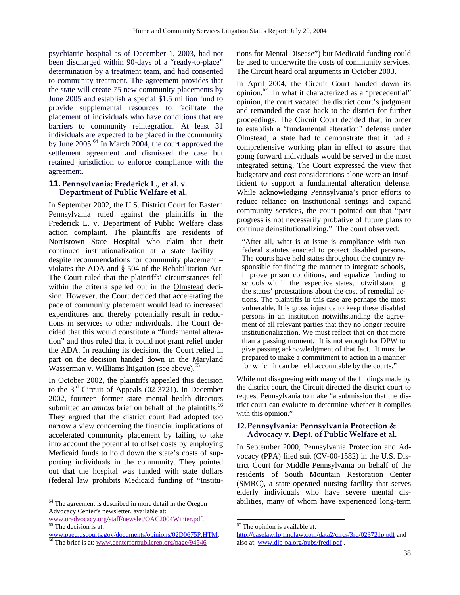psychiatric hospital as of December 1, 2003, had not been discharged within 90-days of a "ready-to-place" determination by a treatment team, and had consented to community treatment. The agreement provides that the state will create 75 new community placements by June 2005 and establish a special \$1.5 million fund to provide supplemental resources to facilitate the placement of individuals who have conditions that are barriers to community reintegration. At least 31 individuals are expected to be placed in the community by June 2005.<sup>64</sup> In March 2004, the court approved the settlement agreement and dismissed the case but retained jurisdiction to enforce compliance with the agreement.

#### **11. Pennsylvania: Frederick L., et al. v. Department of Public Welfare et al.**

In September 2002, the U.S. District Court for Eastern Pennsylvania ruled against the plaintiffs in the Frederick L. v. Department of Public Welfare class action complaint. The plaintiffs are residents of Norristown State Hospital who claim that their continued institutionalization at a state facility – despite recommendations for community placement – violates the ADA and § 504 of the Rehabilitation Act. The Court ruled that the plaintiffs' circumstances fell within the criteria spelled out in the Olmstead decision. However, the Court decided that accelerating the pace of community placement would lead to increased expenditures and thereby potentially result in reductions in services to other individuals. The Court decided that this would constitute a "fundamental alteration" and thus ruled that it could not grant relief under the ADA. In reaching its decision, the Court relied in part on the decision handed down in the Maryland Wasserman v. Williams litigation (see above).<sup>65</sup>

In October 2002, the plaintiffs appealed this decision to the  $3<sup>rd</sup>$  Circuit of Appeals (02-3721). In December 2002, fourteen former state mental health directors submitted an *amicus* brief on behalf of the plaintiffs.<sup>66</sup> They argued that the district court had adopted too narrow a view concerning the financial implications of accelerated community placement by failing to take into account the potential to offset costs by employing Medicaid funds to hold down the state's costs of supporting individuals in the community. They pointed out that the hospital was funded with state dollars (federal law prohibits Medicaid funding of "Institu-

64 The agreement is described in more detail in the Oregon Advocacy Center's newsletter, available at:

l

tions for Mental Disease") but Medicaid funding could be used to underwrite the costs of community services. The Circuit heard oral arguments in October 2003.

In April 2004, the Circuit Court handed down its opinion.67 In what it characterized as a "precedential" opinion, the court vacated the district court's judgment and remanded the case back to the district for further proceedings. The Circuit Court decided that, in order to establish a "fundamental alteration" defense under Olmstead, a state had to demonstrate that it had a comprehensive working plan in effect to assure that going forward individuals would be served in the most integrated setting. The Court expressed the view that budgetary and cost considerations alone were an insufficient to support a fundamental alteration defense. While acknowledging Pennsylvania's prior efforts to reduce reliance on institutional settings and expand community services, the court pointed out that "past progress is not necessarily probative of future plans to continue deinstitutionalizing." The court observed:

"After all, what is at issue is compliance with two federal statutes enacted to protect disabled persons. The courts have held states throughout the country responsible for finding the manner to integrate schools, improve prison conditions, and equalize funding to schools within the respective states, notwithstanding the states' protestations about the cost of remedial actions. The plaintiffs in this case are perhaps the most vulnerable. It is gross injustice to keep these disabled persons in an institution notwithstanding the agreement of all relevant parties that they no longer require institutionalization. We must reflect that on that more than a passing moment. It is not enough for DPW to give passing acknowledgment of that fact. It must be prepared to make a commitment to action in a manner for which it can be held accountable by the courts."

While not disagreeing with many of the findings made by the district court, the Circuit directed the district court to request Pennsylvania to make "a submission that the district court can evaluate to determine whether it complies with this opinion."

# **12.Pennsylvania: Pennsylvania Protection & Advocacy v. Dept. of Public Welfare et al.**

In September 2000, Pennsylvania Protection and Advocacy (PPA) filed suit (CV-00-1582) in the U.S. District Court for Middle Pennsylvania on behalf of the residents of South Mountain Restoration Center (SMRC), a state-operated nursing facility that serves elderly individuals who have severe mental disabilities, many of whom have experienced long-term

www.oradvocacy.org/staff/newslet/OAC2004Winter.pdf. 65 The decision is at:

www.paed.uscourts.gov/documents/opinions/02D0675P.HTM. 66 The brief is at: www.centerforpublicrep.org/page/94546

 $\overline{a}$  $67$  The opinion is available at:

http://caselaw.lp.findlaw.com/data2/circs/3rd/023721p.pdf and also at: www.dlp-pa.org/pubs/fredl.pdf .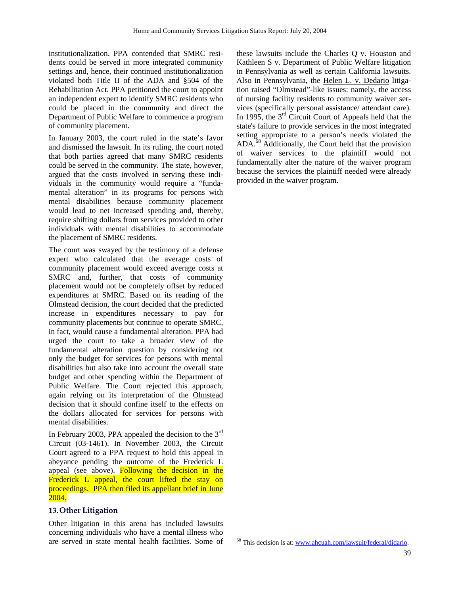institutionalization. PPA contended that SMRC residents could be served in more integrated community settings and, hence, their continued institutionalization violated both Title II of the ADA and §504 of the Rehabilitation Act. PPA petitioned the court to appoint an independent expert to identify SMRC residents who could be placed in the community and direct the Department of Public Welfare to commence a program of community placement.

In January 2003, the court ruled in the state's favor and dismissed the lawsuit. In its ruling, the court noted that both parties agreed that many SMRC residents could be served in the community. The state, however, argued that the costs involved in serving these individuals in the community would require a "fundamental alteration" in its programs for persons with mental disabilities because community placement would lead to net increased spending and, thereby, require shifting dollars from services provided to other individuals with mental disabilities to accommodate the placement of SMRC residents.

The court was swayed by the testimony of a defense expert who calculated that the average costs of community placement would exceed average costs at SMRC and, further, that costs of community placement would not be completely offset by reduced expenditures at SMRC. Based on its reading of the Olmstead decision, the court decided that the predicted increase in expenditures necessary to pay for community placements but continue to operate SMRC, in fact, would cause a fundamental alteration. PPA had urged the court to take a broader view of the fundamental alteration question by considering not only the budget for services for persons with mental disabilities but also take into account the overall state budget and other spending within the Department of Public Welfare. The Court rejected this approach, again relying on its interpretation of the Olmstead decision that it should confine itself to the effects on the dollars allocated for services for persons with mental disabilities.

In February 2003, PPA appealed the decision to the  $3<sup>rd</sup>$ Circuit (03-1461). In November 2003, the Circuit Court agreed to a PPA request to hold this appeal in abeyance pending the outcome of the Frederick L appeal (see above). Following the decision in the Frederick L appeal, the court lifted the stay on proceedings. PPA then filed its appellant brief in June 2004.

## **13.Other Litigation**

Other litigation in this arena has included lawsuits concerning individuals who have a mental illness who are served in state mental health facilities. Some of these lawsuits include the Charles Q v. Houston and Kathleen S v. Department of Public Welfare litigation in Pennsylvania as well as certain California lawsuits. Also in Pennsylvania, the Helen L. v. Dedario litigation raised "Olmstead"-like issues: namely, the access of nursing facility residents to community waiver services (specifically personal assistance/ attendant care). In 1995, the 3<sup>rd</sup> Circuit Court of Appeals held that the state's failure to provide services in the most integrated setting appropriate to a person's needs violated the ADA.<sup>68</sup> Additionally, the Court held that the provision of waiver services to the plaintiff would not fundamentally alter the nature of the waiver program because the services the plaintiff needed were already provided in the waiver program.

<sup>68</sup> This decision is at: www.ahcuah.com/lawsuit/federal/didario.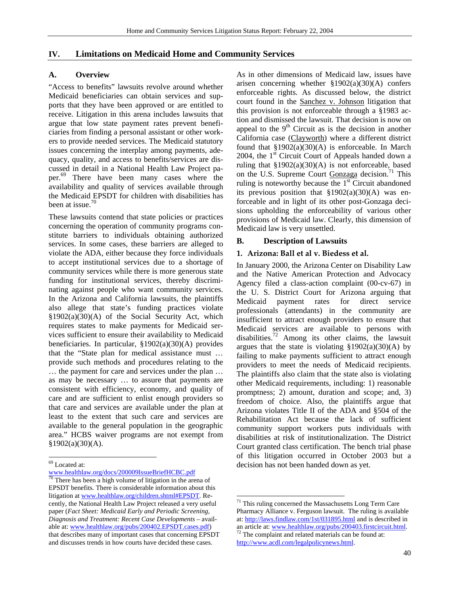# **IV. Limitations on Medicaid Home and Community Services**

# **A. Overview**

"Access to benefits" lawsuits revolve around whether Medicaid beneficiaries can obtain services and supports that they have been approved or are entitled to receive. Litigation in this arena includes lawsuits that argue that low state payment rates prevent beneficiaries from finding a personal assistant or other workers to provide needed services. The Medicaid statutory issues concerning the interplay among payments, adequacy, quality, and access to benefits/services are discussed in detail in a National Health Law Project paper. 69 There have been many cases where the availability and quality of services available through the Medicaid EPSDT for children with disabilities has been at issue. $70$ 

These lawsuits contend that state policies or practices concerning the operation of community programs constitute barriers to individuals obtaining authorized services. In some cases, these barriers are alleged to violate the ADA, either because they force individuals to accept institutional services due to a shortage of community services while there is more generous state funding for institutional services, thereby discriminating against people who want community services. In the Arizona and California lawsuits, the plaintiffs also allege that state's funding practices violate §1902(a)(30)(A) of the Social Security Act, which requires states to make payments for Medicaid services sufficient to ensure their availability to Medicaid beneficiaries. In particular, §1902(a)(30)(A) provides that the "State plan for medical assistance must … provide such methods and procedures relating to the … the payment for care and services under the plan … as may be necessary … to assure that payments are consistent with efficiency, economy, and quality of care and are sufficient to enlist enough providers so that care and services are available under the plan at least to the extent that such care and services are available to the general population in the geographic area." HCBS waiver programs are not exempt from  $§1902(a)(30)(A).$ 

As in other dimensions of Medicaid law, issues have arisen concerning whether §1902(a)(30)(A) confers enforceable rights. As discussed below, the district court found in the Sanchez v. Johnson litigation that this provision is not enforceable through a §1983 action and dismissed the lawsuit. That decision is now on appeal to the  $9<sup>th</sup>$  Circuit as is the decision in another California case (Clayworth) where a different district found that  $\S1902(a)(30)(A)$  is enforceable. In March 2004, the  $1<sup>st</sup>$  Circuit Court of Appeals handed down a ruling that §1902(a)(30)(A) is not enforceable, based on the U.S. Supreme Court Gonzaga decision.<sup>71</sup> This ruling is noteworthy because the  $1<sup>st</sup>$  Circuit abandoned its previous position that  $\S 1902(a)(30)(A)$  was enforceable and in light of its other post-Gonzaga decisions upholding the enforceability of various other provisions of Medicaid law. Clearly, this dimension of Medicaid law is very unsettled.

# **B. Description of Lawsuits**

## **1. Arizona: Ball et al v. Biedess et al.**

In January 2000, the Arizona Center on Disability Law and the Native American Protection and Advocacy Agency filed a class-action complaint (00-cv-67) in the U. S. District Court for Arizona arguing that Medicaid payment rates for direct service professionals (attendants) in the community are insufficient to attract enough providers to ensure that Medicaid services are available to persons with disabilities.<sup>72</sup> Among its other claims, the lawsuit argues that the state is violating  $$1902(a)(30)(A)$  by failing to make payments sufficient to attract enough providers to meet the needs of Medicaid recipients. The plaintiffs also claim that the state also is violating other Medicaid requirements, including: 1) reasonable promptness; 2) amount, duration and scope; and, 3) freedom of choice. Also, the plaintiffs argue that Arizona violates Title II of the ADA and §504 of the Rehabilitation Act because the lack of sufficient community support workers puts individuals with disabilities at risk of institutionalization. The District Court granted class certification. The bench trial phase of this litigation occurred in October 2003 but a decision has not been handed down as yet.

 $\overline{\phantom{a}}$ 

l 69 Located at:

www.healthlaw.org/docs/200009IssueBriefHCBC.pdf<br><sup>70</sup> There has been a high volume of litigation in the arena of EPSDT benefits. There is considerable information about this litigation at www.healthlaw.org/children.shtml#EPSDT. Recently, the National Health Law Project released a very useful paper (*Fact Sheet: Medicaid Early and Periodic Screening, Diagnosis and Treatment: Recent Case Developments* – available at: www.healthlaw.org/pubs/200402.EPSDT.cases.pdf) that describes many of important cases that concerning EPSDT and discusses trends in how courts have decided these cases.

<sup>71</sup> This ruling concerned the Massachusetts Long Term Care Pharmacy Alliance v. Ferguson lawsuit. The ruling is available at: http://laws.findlaw.com/1st/031895.html and is described in an article at: www.healthlaw.org/pubs/200403.firstcircuit.html.  $^{72}$  The complaint and related materials can be found at: http://www.acdl.com/legalpolicynews.html.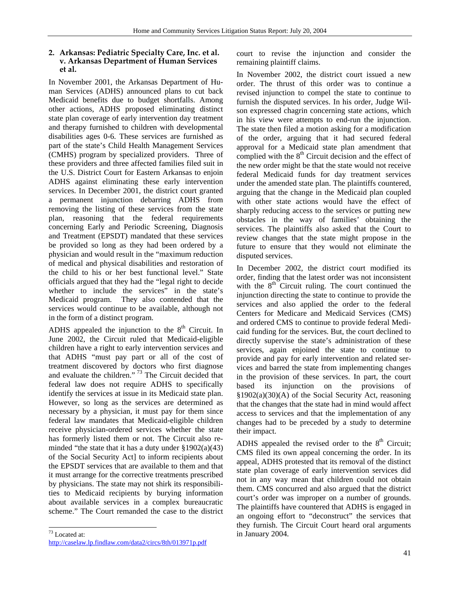# **2. Arkansas: Pediatric Specialty Care, Inc. et al. v. Arkansas Department of Human Services et al.**

In November 2001, the Arkansas Department of Human Services (ADHS) announced plans to cut back Medicaid benefits due to budget shortfalls. Among other actions, ADHS proposed eliminating distinct state plan coverage of early intervention day treatment and therapy furnished to children with developmental disabilities ages 0-6. These services are furnished as part of the state's Child Health Management Services (CMHS) program by specialized providers. Three of these providers and three affected families filed suit in the U.S. District Court for Eastern Arkansas to enjoin ADHS against eliminating these early intervention services. In December 2001, the district court granted a permanent injunction debarring ADHS from removing the listing of these services from the state plan, reasoning that the federal requirements concerning Early and Periodic Screening, Diagnosis and Treatment (EPSDT) mandated that these services be provided so long as they had been ordered by a physician and would result in the "maximum reduction of medical and physical disabilities and restoration of the child to his or her best functional level." State officials argued that they had the "legal right to decide whether to include the services" in the state's Medicaid program. They also contended that the services would continue to be available, although not in the form of a distinct program.

ADHS appealed the injunction to the  $8<sup>th</sup>$  Circuit. In June 2002, the Circuit ruled that Medicaid-eligible children have a right to early intervention services and that ADHS "must pay part or all of the cost of treatment discovered by doctors who first diagnose and evaluate the children." 73 The Circuit decided that federal law does not require ADHS to specifically identify the services at issue in its Medicaid state plan. However, so long as the services are determined as necessary by a physician, it must pay for them since federal law mandates that Medicaid-eligible children receive physician-ordered services whether the state has formerly listed them or not. The Circuit also reminded "the state that it has a duty under  $\S 1902(a)(43)$ of the Social Security Act] to inform recipients about the EPSDT services that are available to them and that it must arrange for the corrective treatments prescribed by physicians. The state may not shirk its responsibilities to Medicaid recipients by burying information about available services in a complex bureaucratic scheme." The Court remanded the case to the district

l

court to revise the injunction and consider the remaining plaintiff claims.

In November 2002, the district court issued a new order. The thrust of this order was to continue a revised injunction to compel the state to continue to furnish the disputed services. In his order, Judge Wilson expressed chagrin concerning state actions, which in his view were attempts to end-run the injunction. The state then filed a motion asking for a modification of the order, arguing that it had secured federal approval for a Medicaid state plan amendment that complied with the  $8<sup>th</sup>$  Circuit decision and the effect of the new order might be that the state would not receive federal Medicaid funds for day treatment services under the amended state plan. The plaintiffs countered, arguing that the change in the Medicaid plan coupled with other state actions would have the effect of sharply reducing access to the services or putting new obstacles in the way of families' obtaining the services. The plaintiffs also asked that the Court to review changes that the state might propose in the future to ensure that they would not eliminate the disputed services.

In December 2002, the district court modified its order, finding that the latest order was not inconsistent with the  $8<sup>th</sup>$  Circuit ruling. The court continued the injunction directing the state to continue to provide the services and also applied the order to the federal Centers for Medicare and Medicaid Services (CMS) and ordered CMS to continue to provide federal Medicaid funding for the services. But, the court declined to directly supervise the state's administration of these services, again enjoined the state to continue to provide and pay for early intervention and related services and barred the state from implementing changes in the provision of these services. In part, the court based its injunction on the provisions of §1902(a)(30)(A) of the Social Security Act, reasoning that the changes that the state had in mind would affect access to services and that the implementation of any changes had to be preceded by a study to determine their impact.

ADHS appealed the revised order to the  $8<sup>th</sup>$  Circuit; CMS filed its own appeal concerning the order. In its appeal, ADHS protested that its removal of the distinct state plan coverage of early intervention services did not in any way mean that children could not obtain them. CMS concurred and also argued that the district court's order was improper on a number of grounds. The plaintiffs have countered that ADHS is engaged in an ongoing effort to "deconstruct" the services that they furnish. The Circuit Court heard oral arguments in January 2004.

 $73$  Located at: http://caselaw.lp.findlaw.com/data2/circs/8th/013971p.pdf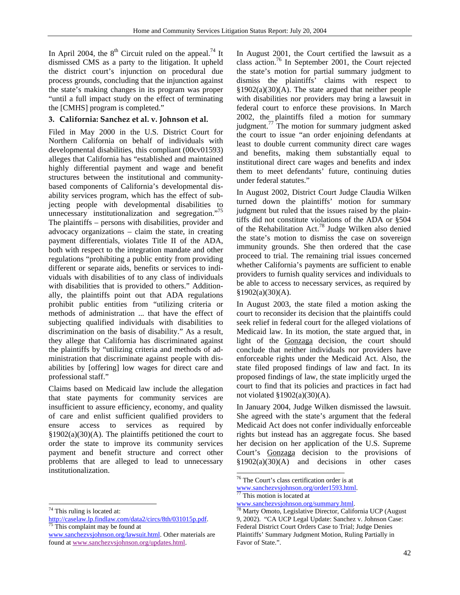In April 2004, the  $8<sup>th</sup>$  Circuit ruled on the appeal.<sup>74</sup> It dismissed CMS as a party to the litigation. It upheld the district court's injunction on procedural due process grounds, concluding that the injunction against the state's making changes in its program was proper "until a full impact study on the effect of terminating the [CMHS] program is completed."

# **3. California: Sanchez et al. v. Johnson et al.**

Filed in May 2000 in the U.S. District Court for Northern California on behalf of individuals with developmental disabilities, this compliant (00cv01593) alleges that California has "established and maintained highly differential payment and wage and benefit structures between the institutional and communitybased components of California's developmental disability services program, which has the effect of subjecting people with developmental disabilities to unnecessary institutionalization and segregation."<sup>75</sup> The plaintiffs – persons with disabilities, provider and advocacy organizations – claim the state, in creating payment differentials, violates Title II of the ADA, both with respect to the integration mandate and other regulations "prohibiting a public entity from providing different or separate aids, benefits or services to individuals with disabilities of to any class of individuals with disabilities that is provided to others." Additionally, the plaintiffs point out that ADA regulations prohibit public entities from "utilizing criteria or methods of administration ... that have the effect of subjecting qualified individuals with disabilities to discrimination on the basis of disability." As a result, they allege that California has discriminated against the plaintiffs by "utilizing criteria and methods of administration that discriminate against people with disabilities by [offering] low wages for direct care and professional staff."

Claims based on Medicaid law include the allegation that state payments for community services are insufficient to assure efficiency, economy, and quality of care and enlist sufficient qualified providers to ensure access to services as required by  $§1902(a)(30)(A)$ . The plaintiffs petitioned the court to order the state to improve its community services payment and benefit structure and correct other problems that are alleged to lead to unnecessary institutionalization.

l

In August 2001, the Court certified the lawsuit as a class action.76 In September 2001, the Court rejected the state's motion for partial summary judgment to dismiss the plaintiffs' claims with respect to §1902(a)(30)(A). The state argued that neither people with disabilities nor providers may bring a lawsuit in federal court to enforce these provisions. In March 2002, the plaintiffs filed a motion for summary judgment. $^{77}$  The motion for summary judgment asked the court to issue "an order enjoining defendants at least to double current community direct care wages and benefits, making them substantially equal to institutional direct care wages and benefits and index them to meet defendants' future, continuing duties under federal statutes."

In August 2002, District Court Judge Claudia Wilken turned down the plaintiffs' motion for summary judgment but ruled that the issues raised by the plaintiffs did not constitute violations of the ADA or §504 of the Rehabilitation Act.78 Judge Wilken also denied the state's motion to dismiss the case on sovereign immunity grounds. She then ordered that the case proceed to trial. The remaining trial issues concerned whether California's payments are sufficient to enable providers to furnish quality services and individuals to be able to access to necessary services, as required by  $§1902(a)(30)(A).$ 

In August 2003, the state filed a motion asking the court to reconsider its decision that the plaintiffs could seek relief in federal court for the alleged violations of Medicaid law. In its motion, the state argued that, in light of the Gonzaga decision, the court should conclude that neither individuals nor providers have enforceable rights under the Medicaid Act. Also, the state filed proposed findings of law and fact. In its proposed findings of law, the state implicitly urged the court to find that its policies and practices in fact had not violated  $\S 1902(a)(30)(A)$ .

In January 2004, Judge Wilken dismissed the lawsuit. She agreed with the state's argument that the federal Medicaid Act does not confer individually enforceable rights but instead has an aggregate focus. She based her decision on her application of the U.S. Supreme Court's Gonzaga decision to the provisions of  $§1902(a)(30)(A)$  and decisions in other cases

<sup>74</sup> This ruling is located at:

http://caselaw.lp.findlaw.com/data2/circs/8th/031015p.pdf.<br><sup>75</sup> This complaint may be found at

www.sanchezvsjohnson.org/lawsuit.html. Other materials are found at www.sanchezvsjohnson.org/updates.html.

 $\overline{a}$ 76 The Court's class certification order is at

www.sanchezvsjohnson.org/order1593.html. 77 This motion is located at

www.sanchezvsjohnson.org/summary.html. 78 Marty Omoto, Legislative Director, California UCP (August 9, 2002). "CA UCP Legal Update: Sanchez v. Johnson Case: Federal District Court Orders Case to Trial; Judge Denies Plaintiffs' Summary Judgment Motion, Ruling Partially in Favor of State.".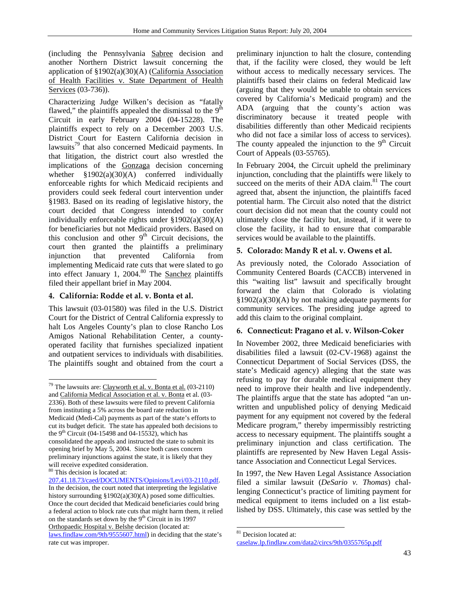(including the Pennsylvania Sabree decision and another Northern District lawsuit concerning the application of §1902(a)(30)(A) (California Association of Health Facilities v. State Department of Health Services (03-736)).

Characterizing Judge Wilken's decision as "fatally flawed," the plaintiffs appealed the dismissal to the  $9<sup>th</sup>$ Circuit in early February 2004 (04-15228). The plaintiffs expect to rely on a December 2003 U.S. District Court for Eastern California decision in lawsuits<sup>79</sup> that also concerned Medicaid payments. In that litigation, the district court also wrestled the implications of the Gonzaga decision concerning whether  $\S 1902(a)(30)(A)$  conferred individually enforceable rights for which Medicaid recipients and providers could seek federal court intervention under §1983. Based on its reading of legislative history, the court decided that Congress intended to confer individually enforceable rights under §1902(a)(30)(A) for beneficiaries but not Medicaid providers. Based on this conclusion and other  $9<sup>th</sup>$  Circuit decisions, the court then granted the plaintiffs a preliminary injunction that prevented California from implementing Medicaid rate cuts that were slated to go into effect January 1, 2004.<sup>80</sup> The Sanchez plaintiffs filed their appellant brief in May 2004.

# **4. California: Rodde et al. v. Bonta et al.**

l

This lawsuit (03-01580) was filed in the U.S. District Court for the District of Central California expressly to halt Los Angeles County's plan to close Rancho Los Amigos National Rehabilitation Center, a countyoperated facility that furnishes specialized inpatient and outpatient services to individuals with disabilities. The plaintiffs sought and obtained from the court a

207.41.18.73/caed/DOCUMENTS/Opinions/Levi/03-2110.pdf. In the decision, the court noted that interpreting the legislative history surrounding §1902(a)(30)(A) posed some difficulties. Once the court decided that Medicaid beneficiaries could bring a federal action to block rate cuts that might harm them, it relied on the standards set down by the  $9<sup>th</sup>$  Circuit in its 1997 Orthopaedic Hospital v. Belshe decision (located at:

preliminary injunction to halt the closure, contending that, if the facility were closed, they would be left without access to medically necessary services. The plaintiffs based their claims on federal Medicaid law (arguing that they would be unable to obtain services covered by California's Medicaid program) and the ADA (arguing that the county's action was discriminatory because it treated people with disabilities differently than other Medicaid recipients who did not face a similar loss of access to services). The county appealed the injunction to the  $9<sup>th</sup>$  Circuit Court of Appeals (03-55765).

In February 2004, the Circuit upheld the preliminary injunction, concluding that the plaintiffs were likely to succeed on the merits of their ADA claim.<sup>81</sup> The court agreed that, absent the injunction, the plaintiffs faced potential harm. The Circuit also noted that the district court decision did not mean that the county could not ultimately close the facility but, instead, if it were to close the facility, it had to ensure that comparable services would be available to the plaintiffs.

# **5. Colorado: Mandy R et al. v. Owens et al.**

As previously noted, the Colorado Association of Community Centered Boards (CACCB) intervened in this "waiting list" lawsuit and specifically brought forward the claim that Colorado is violating §1902(a)(30)(A) by not making adequate payments for community services. The presiding judge agreed to add this claim to the original complaint.

# **6. Connecticut: Pragano et al. v. Wilson-Coker**

In November 2002, three Medicaid beneficiaries with disabilities filed a lawsuit (02-CV-1968) against the Connecticut Department of Social Services (DSS, the state's Medicaid agency) alleging that the state was refusing to pay for durable medical equipment they need to improve their health and live independently. The plaintiffs argue that the state has adopted "an unwritten and unpublished policy of denying Medicaid payment for any equipment not covered by the federal Medicare program," thereby impermissibly restricting access to necessary equipment. The plaintiffs sought a preliminary injunction and class certification. The plaintiffs are represented by New Haven Legal Assistance Association and Connecticut Legal Services.

In 1997, the New Haven Legal Assistance Association filed a similar lawsuit (*DeSario v. Thomas*) challenging Connecticut's practice of limiting payment for medical equipment to items included on a list established by DSS. Ultimately, this case was settled by the

l

 $79$  The lawsuits are: Clayworth et al. v. Bonta et al. (03-2110) and California Medical Association et al. v. Bonta et al. (03- 2336). Both of these lawsuits were filed to prevent California from instituting a 5% across the board rate reduction in Medicaid (Medi-Cal) payments as part of the state's efforts to cut its budget deficit. The state has appealed both decisions to the 9<sup>th</sup> Circuit (04-15498 and 04-15532), which has consolidated the appeals and instructed the state to submit its opening brief by May 5, 2004. Since both cases concern preliminary injunctions against the state, it is likely that they will receive expedited consideration. 80 This decision is located at:

laws.findlaw.com/9th/9555607.html) in deciding that the state's rate cut was improper.

<sup>&</sup>lt;sup>81</sup> Decision located at:

caselaw.lp.findlaw.com/data2/circs/9th/0355765p.pdf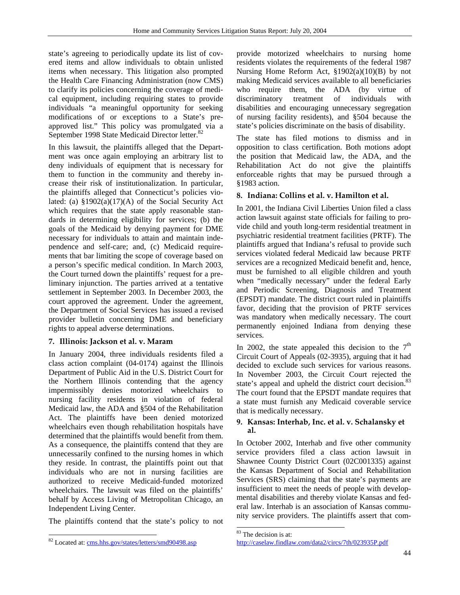state's agreeing to periodically update its list of covered items and allow individuals to obtain unlisted items when necessary. This litigation also prompted the Health Care Financing Administration (now CMS) to clarify its policies concerning the coverage of medical equipment, including requiring states to provide individuals "a meaningful opportunity for seeking modifications of or exceptions to a State's preapproved list." This policy was promulgated via a September 1998 State Medicaid Director letter.<sup>82</sup>

In this lawsuit, the plaintiffs alleged that the Department was once again employing an arbitrary list to deny individuals of equipment that is necessary for them to function in the community and thereby increase their risk of institutionalization. In particular, the plaintiffs alleged that Connecticut's policies violated: (a)  $\frac{1}{9}$ 1902(a)(17)(A) of the Social Security Act which requires that the state apply reasonable standards in determining eligibility for services; (b) the goals of the Medicaid by denying payment for DME necessary for individuals to attain and maintain independence and self-care; and, (c) Medicaid requirements that bar limiting the scope of coverage based on a person's specific medical condition. In March 2003, the Court turned down the plaintiffs' request for a preliminary injunction. The parties arrived at a tentative settlement in September 2003. In December 2003, the court approved the agreement. Under the agreement, the Department of Social Services has issued a revised provider bulletin concerning DME and beneficiary rights to appeal adverse determinations.

# **7. Illinois: Jackson et al. v. Maram**

In January 2004, three individuals residents filed a class action complaint (04-0174) against the Illinois Department of Public Aid in the U.S. District Court for the Northern Illinois contending that the agency impermissibly denies motorized wheelchairs to nursing facility residents in violation of federal Medicaid law, the ADA and §504 of the Rehabilitation Act. The plaintiffs have been denied motorized wheelchairs even though rehabilitation hospitals have determined that the plaintiffs would benefit from them. As a consequence, the plaintiffs contend that they are unnecessarily confined to the nursing homes in which they reside. In contrast, the plaintiffs point out that individuals who are not in nursing facilities are authorized to receive Medicaid-funded motorized wheelchairs. The lawsuit was filed on the plaintiffs' behalf by Access Living of Metropolitan Chicago, an Independent Living Center.

The plaintiffs contend that the state's policy to not

l

provide motorized wheelchairs to nursing home residents violates the requirements of the federal 1987 Nursing Home Reform Act, §1902(a)(10)(B) by not making Medicaid services available to all beneficiaries who require them, the ADA (by virtue of discriminatory treatment of individuals with disabilities and encouraging unnecessary segregation of nursing facility residents), and §504 because the state's policies discriminate on the basis of disability.

The state has filed motions to dismiss and in opposition to class certification. Both motions adopt the position that Medicaid law, the ADA, and the Rehabilitation Act do not give the plaintiffs enforceable rights that may be pursued through a §1983 action.

# **8. Indiana: Collins et al. v. Hamilton et al.**

In 2001, the Indiana Civil Liberties Union filed a class action lawsuit against state officials for failing to provide child and youth long-term residential treatment in psychiatric residential treatment facilities (PRTF). The plaintiffs argued that Indiana's refusal to provide such services violated federal Medicaid law because PRTF services are a recognized Medicaid benefit and, hence, must be furnished to all eligible children and youth when "medically necessary" under the federal Early and Periodic Screening, Diagnosis and Treatment (EPSDT) mandate. The district court ruled in plaintiffs favor, deciding that the provision of PRTF services was mandatory when medically necessary. The court permanently enjoined Indiana from denying these services.

In 2002, the state appealed this decision to the  $7<sup>th</sup>$ Circuit Court of Appeals (02-3935), arguing that it had decided to exclude such services for various reasons. In November 2003, the Circuit Court rejected the state's appeal and upheld the district court decision.<sup>83</sup> The court found that the EPSDT mandate requires that a state must furnish any Medicaid coverable service that is medically necessary.

# **9. Kansas: Interhab, Inc. et al. v. Schalansky et al.**

In October 2002, Interhab and five other community service providers filed a class action lawsuit in Shawnee County District Court (02C001335) against the Kansas Department of Social and Rehabilitation Services (SRS) claiming that the state's payments are insufficient to meet the needs of people with developmental disabilities and thereby violate Kansas and federal law. Interhab is an association of Kansas community service providers. The plaintiffs assert that com-

l

<sup>82</sup> Located at: cms.hhs.gov/states/letters/smd90498.asp

<sup>&</sup>lt;sup>83</sup> The decision is at:

http://caselaw.findlaw.com/data2/circs/7th/023935P.pdf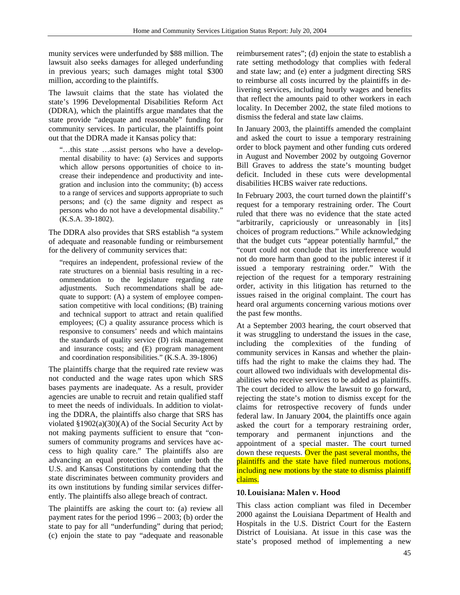munity services were underfunded by \$88 million. The lawsuit also seeks damages for alleged underfunding in previous years; such damages might total \$300 million, according to the plaintiffs.

The lawsuit claims that the state has violated the state's 1996 Developmental Disabilities Reform Act (DDRA), which the plaintiffs argue mandates that the state provide "adequate and reasonable" funding for community services. In particular, the plaintiffs point out that the DDRA made it Kansas policy that:

"…this state …assist persons who have a developmental disability to have: (a) Services and supports which allow persons opportunities of choice to increase their independence and productivity and integration and inclusion into the community; (b) access to a range of services and supports appropriate to such persons; and (c) the same dignity and respect as persons who do not have a developmental disability." (K.S.A. 39-1802).

The DDRA also provides that SRS establish "a system of adequate and reasonable funding or reimbursement for the delivery of community services that:

"requires an independent, professional review of the rate structures on a biennial basis resulting in a recommendation to the legislature regarding rate adjustments. Such recommendations shall be adequate to support: (A) a system of employee compensation competitive with local conditions; (B) training and technical support to attract and retain qualified employees; (C) a quality assurance process which is responsive to consumers' needs and which maintains the standards of quality service (D) risk management and insurance costs; and (E) program management and coordination responsibilities." (K.S.A. 39-1806)

The plaintiffs charge that the required rate review was not conducted and the wage rates upon which SRS bases payments are inadequate. As a result, provider agencies are unable to recruit and retain qualified staff to meet the needs of individuals. In addition to violating the DDRA, the plaintiffs also charge that SRS has violated §1902(a)(30)(A) of the Social Security Act by not making payments sufficient to ensure that "consumers of community programs and services have access to high quality care." The plaintiffs also are advancing an equal protection claim under both the U.S. and Kansas Constitutions by contending that the state discriminates between community providers and its own institutions by funding similar services differently. The plaintiffs also allege breach of contract.

The plaintiffs are asking the court to: (a) review all payment rates for the period 1996 – 2003; (b) order the state to pay for all "underfunding" during that period; (c) enjoin the state to pay "adequate and reasonable

reimbursement rates"; (d) enjoin the state to establish a rate setting methodology that complies with federal and state law; and (e) enter a judgment directing SRS to reimburse all costs incurred by the plaintiffs in delivering services, including hourly wages and benefits that reflect the amounts paid to other workers in each locality. In December 2002, the state filed motions to dismiss the federal and state law claims.

In January 2003, the plaintiffs amended the complaint and asked the court to issue a temporary restraining order to block payment and other funding cuts ordered in August and November 2002 by outgoing Governor Bill Graves to address the state's mounting budget deficit. Included in these cuts were developmental disabilities HCBS waiver rate reductions.

In February 2003, the court turned down the plaintiff's request for a temporary restraining order. The Court ruled that there was no evidence that the state acted "arbitrarily, capriciously or unreasonably in [its] choices of program reductions." While acknowledging that the budget cuts "appear potentially harmful," the "court could not conclude that its interference would not do more harm than good to the public interest if it issued a temporary restraining order." With the rejection of the request for a temporary restraining order, activity in this litigation has returned to the issues raised in the original complaint. The court has heard oral arguments concerning various motions over the past few months.

At a September 2003 hearing, the court observed that it was struggling to understand the issues in the case, including the complexities of the funding of community services in Kansas and whether the plaintiffs had the right to make the claims they had. The court allowed two individuals with developmental disabilities who receive services to be added as plaintiffs. The court decided to allow the lawsuit to go forward, rejecting the state's motion to dismiss except for the claims for retrospective recovery of funds under federal law. In January 2004, the plaintiffs once again asked the court for a temporary restraining order, temporary and permanent injunctions and the appointment of a special master. The court turned down these requests. Over the past several months, the plaintiffs and the state have filed numerous motions, including new motions by the state to dismiss plaintiff claims.

# **10.Louisiana: Malen v. Hood**

This class action compliant was filed in December 2000 against the Louisiana Department of Health and Hospitals in the U.S. District Court for the Eastern District of Louisiana. At issue in this case was the state's proposed method of implementing a new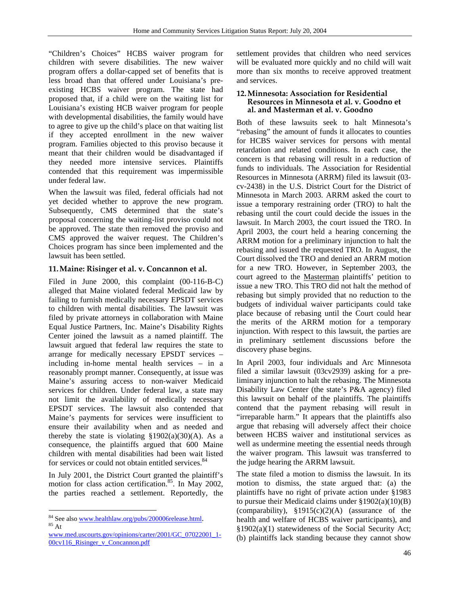"Children's Choices" HCBS waiver program for children with severe disabilities. The new waiver program offers a dollar-capped set of benefits that is less broad than that offered under Louisiana's preexisting HCBS waiver program. The state had proposed that, if a child were on the waiting list for Louisiana's existing HCB waiver program for people with developmental disabilities, the family would have to agree to give up the child's place on that waiting list if they accepted enrollment in the new waiver program. Families objected to this proviso because it meant that their children would be disadvantaged if they needed more intensive services. Plaintiffs contended that this requirement was impermissible under federal law.

When the lawsuit was filed, federal officials had not yet decided whether to approve the new program. Subsequently, CMS determined that the state's proposal concerning the waiting-list proviso could not be approved. The state then removed the proviso and CMS approved the waiver request. The Children's Choices program has since been implemented and the lawsuit has been settled.

# **11.Maine: Risinger et al. v. Concannon et al.**

Filed in June 2000, this complaint (00-116-B-C) alleged that Maine violated federal Medicaid law by failing to furnish medically necessary EPSDT services to children with mental disabilities. The lawsuit was filed by private attorneys in collaboration with Maine Equal Justice Partners, Inc. Maine's Disability Rights Center joined the lawsuit as a named plaintiff. The lawsuit argued that federal law requires the state to arrange for medically necessary EPSDT services – including in-home mental health services – in a reasonably prompt manner. Consequently, at issue was Maine's assuring access to non-waiver Medicaid services for children. Under federal law, a state may not limit the availability of medically necessary EPSDT services. The lawsuit also contended that Maine's payments for services were insufficient to ensure their availability when and as needed and thereby the state is violating  $\S 1902(a)(30)(A)$ . As a consequence, the plaintiffs argued that 600 Maine children with mental disabilities had been wait listed for services or could not obtain entitled services.<sup>84</sup>

In July 2001, the District Court granted the plaintiff's motion for class action certification.<sup>85</sup>. In May 2002, the parties reached a settlement. Reportedly, the

l

settlement provides that children who need services will be evaluated more quickly and no child will wait more than six months to receive approved treatment and services.

#### **12.Minnesota: Association for Residential Resources in Minnesota et al. v. Goodno et al. and Masterman et al. v. Goodno**

Both of these lawsuits seek to halt Minnesota's "rebasing" the amount of funds it allocates to counties for HCBS waiver services for persons with mental retardation and related conditions. In each case, the concern is that rebasing will result in a reduction of funds to individuals. The Association for Residential Resources in Minnesota (ARRM) filed its lawsuit (03 cv-2438) in the U.S. District Court for the District of Minnesota in March 2003. ARRM asked the court to issue a temporary restraining order (TRO) to halt the rebasing until the court could decide the issues in the lawsuit. In March 2003, the court issued the TRO. In April 2003, the court held a hearing concerning the ARRM motion for a preliminary injunction to halt the rebasing and issued the requested TRO. In August, the Court dissolved the TRO and denied an ARRM motion for a new TRO. However, in September 2003, the court agreed to the Masterman plaintiffs' petition to issue a new TRO. This TRO did not halt the method of rebasing but simply provided that no reduction to the budgets of individual waiver participants could take place because of rebasing until the Court could hear the merits of the ARRM motion for a temporary injunction. With respect to this lawsuit, the parties are in preliminary settlement discussions before the discovery phase begins.

In April 2003, four individuals and Arc Minnesota filed a similar lawsuit (03cv2939) asking for a preliminary injunction to halt the rebasing. The Minnesota Disability Law Center (the state's P&A agency) filed this lawsuit on behalf of the plaintiffs. The plaintiffs contend that the payment rebasing will result in "irreparable harm." It appears that the plaintiffs also argue that rebasing will adversely affect their choice between HCBS waiver and institutional services as well as undermine meeting the essential needs through the waiver program. This lawsuit was transferred to the judge hearing the ARRM lawsuit.

The state filed a motion to dismiss the lawsuit. In its motion to dismiss, the state argued that: (a) the plaintiffs have no right of private action under §1983 to pursue their Medicaid claims under  $\S 1902(a)(10)(B)$ (comparability),  $\S1915(c)(2)(A)$  (assurance of the health and welfare of HCBS waiver participants), and §1902(a)(1) statewideness of the Social Security Act; (b) plaintiffs lack standing because they cannot show

 $84$  See also www.healthlaw.org/pubs/200006release.html.<br> $85$  At

www.med.uscourts.gov/opinions/carter/2001/GC\_07022001\_1- 00cv116\_Risinger\_v\_Concannon.pdf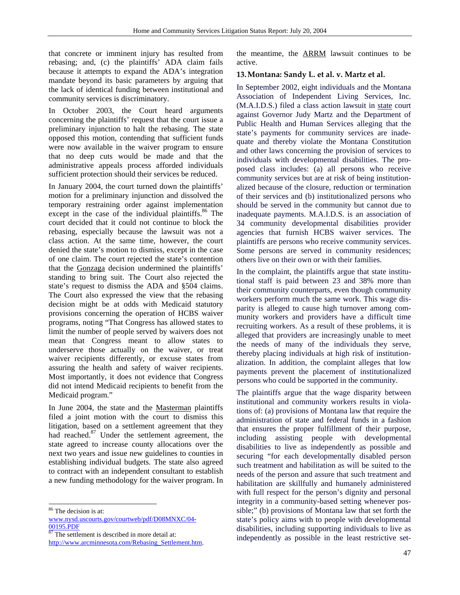that concrete or imminent injury has resulted from rebasing; and, (c) the plaintiffs' ADA claim fails because it attempts to expand the ADA's integration mandate beyond its basic parameters by arguing that the lack of identical funding between institutional and community services is discriminatory.

In October 2003, the Court heard arguments concerning the plaintiffs' request that the court issue a preliminary injunction to halt the rebasing. The state opposed this motion, contending that sufficient funds were now available in the waiver program to ensure that no deep cuts would be made and that the administrative appeals process afforded individuals sufficient protection should their services be reduced.

In January 2004, the court turned down the plaintiffs' motion for a preliminary injunction and dissolved the temporary restraining order against implementation except in the case of the individual plaintiffs.<sup>86</sup> The court decided that it could not continue to block the rebasing, especially because the lawsuit was not a class action. At the same time, however, the court denied the state's motion to dismiss, except in the case of one claim. The court rejected the state's contention that the Gonzaga decision undermined the plaintiffs' standing to bring suit. The Court also rejected the state's request to dismiss the ADA and §504 claims. The Court also expressed the view that the rebasing decision might be at odds with Medicaid statutory provisions concerning the operation of HCBS waiver programs, noting "That Congress has allowed states to limit the number of people served by waivers does not mean that Congress meant to allow states to underserve those actually on the waiver, or treat waiver recipients differently, or excuse states from assuring the health and safety of waiver recipients. Most importantly, it does not evidence that Congress did not intend Medicaid recipients to benefit from the Medicaid program."

In June 2004, the state and the Masterman plaintiffs filed a joint motion with the court to dismiss this litigation, based on a settlement agreement that they had reached.<sup>87</sup> Under the settlement agreement, the state agreed to increase county allocations over the next two years and issue new guidelines to counties in establishing individual budgets. The state also agreed to contract with an independent consultant to establish a new funding methodology for the waiver program. In

l

 $\frac{00195.PDF}{87}$  The settlement is described in more detail at:

http://www.arcminnesota.com/Rebasing\_Settlement.htm.

the meantime, the ARRM lawsuit continues to be active.

#### **13.Montana: Sandy L. et al. v. Martz et al.**

In September 2002, eight individuals and the Montana Association of Independent Living Services, Inc. (M.A.I.D.S.) filed a class action lawsuit in state court against Governor Judy Martz and the Department of Public Health and Human Services alleging that the state's payments for community services are inadequate and thereby violate the Montana Constitution and other laws concerning the provision of services to individuals with developmental disabilities. The proposed class includes: (a) all persons who receive community services but are at risk of being institutionalized because of the closure, reduction or termination of their services and (b) institutionalized persons who should be served in the community but cannot due to inadequate payments. M.A.I.D.S. is an association of 34 community developmental disabilities provider agencies that furnish HCBS waiver services. The plaintiffs are persons who receive community services. Some persons are served in community residences; others live on their own or with their families.

In the complaint, the plaintiffs argue that state institutional staff is paid between 23 and 38% more than their community counterparts, even though community workers perform much the same work. This wage disparity is alleged to cause high turnover among community workers and providers have a difficult time recruiting workers. As a result of these problems, it is alleged that providers are increasingly unable to meet the needs of many of the individuals they serve, thereby placing individuals at high risk of institutionalization. In addition, the complaint alleges that low payments prevent the placement of institutionalized persons who could be supported in the community.

The plaintiffs argue that the wage disparity between institutional and community workers results in violations of: (a) provisions of Montana law that require the administration of state and federal funds in a fashion that ensures the proper fulfillment of their purpose, including assisting people with developmental disabilities to live as independently as possible and securing "for each developmentally disabled person such treatment and habilitation as will be suited to the needs of the person and assure that such treatment and habilitation are skillfully and humanely administered with full respect for the person's dignity and personal integrity in a community-based setting whenever possible;" (b) provisions of Montana law that set forth the state's policy aims with to people with developmental disabilities, including supporting individuals to live as independently as possible in the least restrictive set-

<sup>86</sup> The decision is at:

www.nysd.uscourts.gov/courtweb/pdf/D08MNXC/04-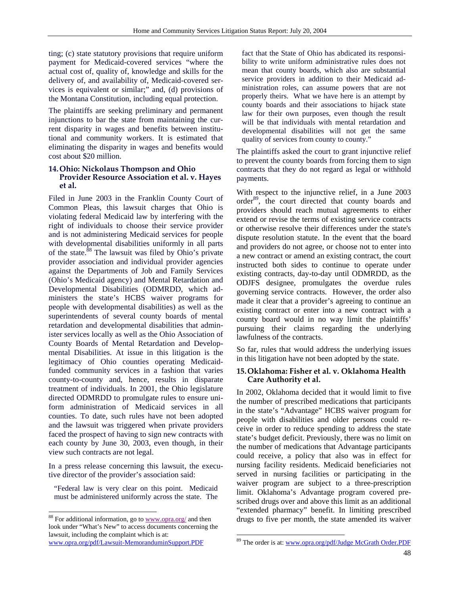ting; (c) state statutory provisions that require uniform payment for Medicaid-covered services "where the actual cost of, quality of, knowledge and skills for the delivery of, and availability of, Medicaid-covered services is equivalent or similar;" and, (d) provisions of the Montana Constitution, including equal protection.

The plaintiffs are seeking preliminary and permanent injunctions to bar the state from maintaining the current disparity in wages and benefits between institutional and community workers. It is estimated that eliminating the disparity in wages and benefits would cost about \$20 million.

## **14.Ohio: Nickolaus Thompson and Ohio Provider Resource Association et al. v. Hayes et al.**

Filed in June 2003 in the Franklin County Court of Common Pleas, this lawsuit charges that Ohio is violating federal Medicaid law by interfering with the right of individuals to choose their service provider and is not administering Medicaid services for people with developmental disabilities uniformly in all parts of the state.<sup>88</sup> The lawsuit was filed by Ohio's private provider association and individual provider agencies against the Departments of Job and Family Services (Ohio's Medicaid agency) and Mental Retardation and Developmental Disabilities (ODMRDD, which administers the state's HCBS waiver programs for people with developmental disabilities) as well as the superintendents of several county boards of mental retardation and developmental disabilities that administer services locally as well as the Ohio Association of County Boards of Mental Retardation and Developmental Disabilities. At issue in this litigation is the legitimacy of Ohio counties operating Medicaidfunded community services in a fashion that varies county-to-county and, hence, results in disparate treatment of individuals. In 2001, the Ohio legislature directed ODMRDD to promulgate rules to ensure uniform administration of Medicaid services in all counties. To date, such rules have not been adopted and the lawsuit was triggered when private providers faced the prospect of having to sign new contracts with each county by June 30, 2003, even though, in their view such contracts are not legal.

In a press release concerning this lawsuit, the executive director of the provider's association said:

"Federal law is very clear on this point. Medicaid must be administered uniformly across the state. The

88 For additional information, go to www.opra.org/ and then look under "What's New" to access documents concerning the lawsuit, including the complaint which is at: www.opra.org/pdf/Lawsuit-MemoranduminSupport.PDF

l

fact that the State of Ohio has abdicated its responsibility to write uniform administrative rules does not mean that county boards, which also are substantial service providers in addition to their Medicaid administration roles, can assume powers that are not properly theirs. What we have here is an attempt by county boards and their associations to hijack state law for their own purposes, even though the result will be that individuals with mental retardation and developmental disabilities will not get the same quality of services from county to county."

The plaintiffs asked the court to grant injunctive relief to prevent the county boards from forcing them to sign contracts that they do not regard as legal or withhold payments.

With respect to the injunctive relief, in a June 2003 order<sup>89</sup>, the court directed that county boards and providers should reach mutual agreements to either extend or revise the terms of existing service contracts or otherwise resolve their differences under the state's dispute resolution statute. In the event that the board and providers do not agree, or choose not to enter into a new contract or amend an existing contract, the court instructed both sides to continue to operate under existing contracts, day-to-day until ODMRDD, as the ODJFS designee, promulgates the overdue rules governing service contracts. However, the order also made it clear that a provider's agreeing to continue an existing contract or enter into a new contract with a county board would in no way limit the plaintiffs' pursuing their claims regarding the underlying lawfulness of the contracts.

So far, rules that would address the underlying issues in this litigation have not been adopted by the state.

#### **15.Oklahoma: Fisher et al. v. Oklahoma Health Care Authority et al.**

In 2002, Oklahoma decided that it would limit to five the number of prescribed medications that participants in the state's "Advantage" HCBS waiver program for people with disabilities and older persons could receive in order to reduce spending to address the state state's budget deficit. Previously, there was no limit on the number of medications that Advantage participants could receive, a policy that also was in effect for nursing facility residents. Medicaid beneficiaries not served in nursing facilities or participating in the waiver program are subject to a three-prescription limit. Oklahoma's Advantage program covered prescribed drugs over and above this limit as an additional "extended pharmacy" benefit. In limiting prescribed drugs to five per month, the state amended its waiver

 $\overline{\phantom{a}}$ 

<sup>89</sup> The order is at: www.opra.org/pdf/Judge McGrath Order.PDF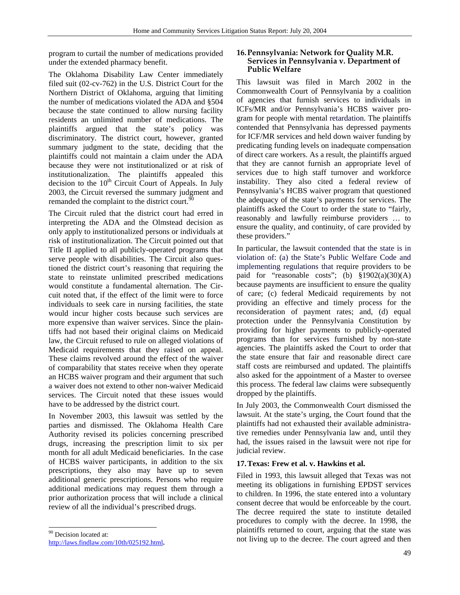program to curtail the number of medications provided under the extended pharmacy benefit.

The Oklahoma Disability Law Center immediately filed suit (02-cv-762) in the U.S. District Court for the Northern District of Oklahoma, arguing that limiting the number of medications violated the ADA and §504 because the state continued to allow nursing facility residents an unlimited number of medications. The plaintiffs argued that the state's policy was discriminatory. The district court, however, granted summary judgment to the state, deciding that the plaintiffs could not maintain a claim under the ADA because they were not institutionalized or at risk of institutionalization. The plaintiffs appealed this decision to the  $10<sup>th</sup>$  Circuit Court of Appeals. In July 2003, the Circuit reversed the summary judgment and remanded the complaint to the district court.<sup>90</sup>

The Circuit ruled that the district court had erred in interpreting the ADA and the Olmstead decision as only apply to institutionalized persons or individuals at risk of institutionalization. The Circuit pointed out that Title II applied to all publicly-operated programs that serve people with disabilities. The Circuit also questioned the district court's reasoning that requiring the state to reinstate unlimited prescribed medications would constitute a fundamental alternation. The Circuit noted that, if the effect of the limit were to force individuals to seek care in nursing facilities, the state would incur higher costs because such services are more expensive than waiver services. Since the plaintiffs had not based their original claims on Medicaid law, the Circuit refused to rule on alleged violations of Medicaid requirements that they raised on appeal. These claims revolved around the effect of the waiver of comparability that states receive when they operate an HCBS waiver program and their argument that such a waiver does not extend to other non-waiver Medicaid services. The Circuit noted that these issues would have to be addressed by the district court.

In November 2003, this lawsuit was settled by the parties and dismissed. The Oklahoma Health Care Authority revised its policies concerning prescribed drugs, increasing the prescription limit to six per month for all adult Medicaid beneficiaries. In the case of HCBS waiver participants, in addition to the six prescriptions, they also may have up to seven additional generic prescriptions. Persons who require additional medications may request them through a prior authorization process that will include a clinical review of all the individual's prescribed drugs.

#### <sup>90</sup> Decision located at:

l

#### **16.Pennsylvania: Network for Quality M.R. Services in Pennsylvania v. Department of Public Welfare**

This lawsuit was filed in March 2002 in the Commonwealth Court of Pennsylvania by a coalition of agencies that furnish services to individuals in ICFs/MR and/or Pennsylvania's HCBS waiver program for people with mental retardation. The plaintiffs contended that Pennsylvania has depressed payments for ICF/MR services and held down waiver funding by predicating funding levels on inadequate compensation of direct care workers. As a result, the plaintiffs argued that they are cannot furnish an appropriate level of services due to high staff turnover and workforce instability. They also cited a federal review of Pennsylvania's HCBS waiver program that questioned the adequacy of the state's payments for services. The plaintiffs asked the Court to order the state to "fairly, reasonably and lawfully reimburse providers … to ensure the quality, and continuity, of care provided by these providers."

In particular, the lawsuit contended that the state is in violation of: (a) the State's Public Welfare Code and implementing regulations that require providers to be paid for "reasonable costs"; (b)  $\S 1902(a)(30)(A)$ because payments are insufficient to ensure the quality of care; (c) federal Medicaid requirements by not providing an effective and timely process for the reconsideration of payment rates; and, (d) equal protection under the Pennsylvania Constitution by providing for higher payments to publicly-operated programs than for services furnished by non-state agencies. The plaintiffs asked the Court to order that the state ensure that fair and reasonable direct care staff costs are reimbursed and updated. The plaintiffs also asked for the appointment of a Master to oversee this process. The federal law claims were subsequently dropped by the plaintiffs.

In July 2003, the Commonwealth Court dismissed the lawsuit. At the state's urging, the Court found that the plaintiffs had not exhausted their available administrative remedies under Pennsylvania law and, until they had, the issues raised in the lawsuit were not ripe for judicial review.

#### **17.Texas: Frew et al. v. Hawkins et al.**

Filed in 1993, this lawsuit alleged that Texas was not meeting its obligations in furnishing EPDST services to children. In 1996, the state entered into a voluntary consent decree that would be enforceable by the court. The decree required the state to institute detailed procedures to comply with the decree. In 1998, the plaintiffs returned to court, arguing that the state was not living up to the decree. The court agreed and then

http://laws.findlaw.com/10th/025192.html**.**